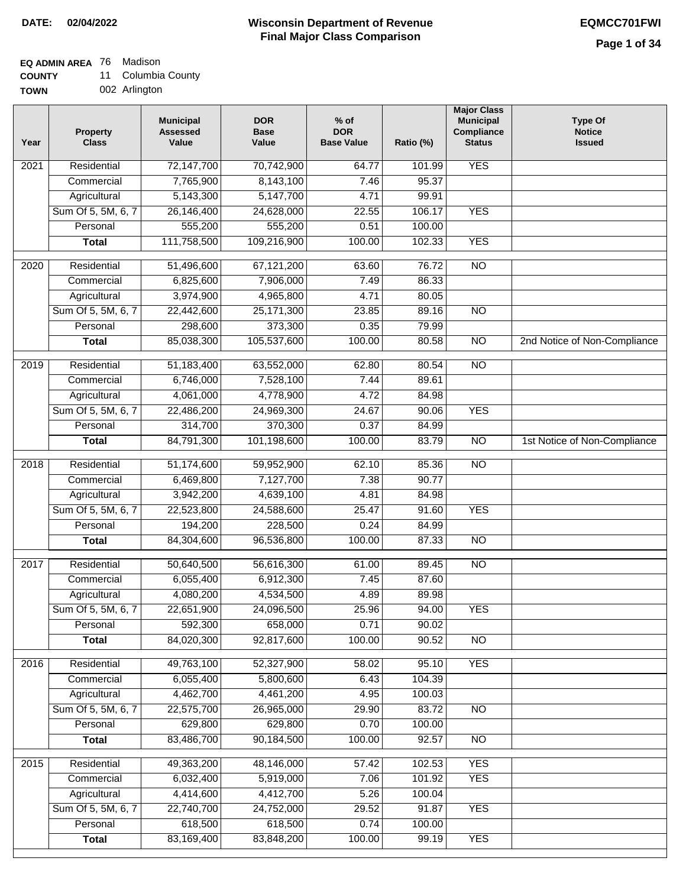### **EQ ADMIN AREA** 76 Madison

**COUNTY** 11 Columbia County

**TOWN** 002 Arlington

| Year              | <b>Property</b><br><b>Class</b> | <b>Municipal</b><br><b>Assessed</b><br>Value | <b>DOR</b><br><b>Base</b><br>Value | $%$ of<br><b>DOR</b><br><b>Base Value</b> | Ratio (%) | <b>Major Class</b><br><b>Municipal</b><br>Compliance<br><b>Status</b> | <b>Type Of</b><br><b>Notice</b><br><b>Issued</b> |
|-------------------|---------------------------------|----------------------------------------------|------------------------------------|-------------------------------------------|-----------|-----------------------------------------------------------------------|--------------------------------------------------|
| $\overline{202}1$ | Residential                     | 72,147,700                                   | 70,742,900                         | 64.77                                     | 101.99    | <b>YES</b>                                                            |                                                  |
|                   | Commercial                      | 7,765,900                                    | 8,143,100                          | 7.46                                      | 95.37     |                                                                       |                                                  |
|                   | Agricultural                    | 5,143,300                                    | 5,147,700                          | 4.71                                      | 99.91     |                                                                       |                                                  |
|                   | Sum Of 5, 5M, 6, 7              | 26,146,400                                   | 24,628,000                         | 22.55                                     | 106.17    | <b>YES</b>                                                            |                                                  |
|                   | Personal                        | 555,200                                      | 555,200                            | 0.51                                      | 100.00    |                                                                       |                                                  |
|                   | <b>Total</b>                    | 111,758,500                                  | 109,216,900                        | 100.00                                    | 102.33    | <b>YES</b>                                                            |                                                  |
| $\overline{2020}$ | Residential                     | 51,496,600                                   | 67,121,200                         | 63.60                                     | 76.72     | $\overline{NO}$                                                       |                                                  |
|                   | Commercial                      | 6,825,600                                    | 7,906,000                          | 7.49                                      | 86.33     |                                                                       |                                                  |
|                   | Agricultural                    | 3,974,900                                    | 4,965,800                          | 4.71                                      | 80.05     |                                                                       |                                                  |
|                   | Sum Of 5, 5M, 6, 7              | 22,442,600                                   | 25, 171, 300                       | 23.85                                     | 89.16     | $\overline{NO}$                                                       |                                                  |
|                   | Personal                        | 298,600                                      | 373,300                            | 0.35                                      | 79.99     |                                                                       |                                                  |
|                   | <b>Total</b>                    | 85,038,300                                   | 105,537,600                        | 100.00                                    | 80.58     | $\overline{NO}$                                                       | 2nd Notice of Non-Compliance                     |
| 2019              | Residential                     | 51,183,400                                   | 63,552,000                         | 62.80                                     | 80.54     | $\overline{10}$                                                       |                                                  |
|                   | Commercial                      | 6,746,000                                    | 7,528,100                          | 7.44                                      | 89.61     |                                                                       |                                                  |
|                   | Agricultural                    | 4,061,000                                    | 4,778,900                          | 4.72                                      | 84.98     |                                                                       |                                                  |
|                   | Sum Of 5, 5M, 6, 7              | 22,486,200                                   | 24,969,300                         | 24.67                                     | 90.06     | <b>YES</b>                                                            |                                                  |
|                   | Personal                        | 314,700                                      | 370,300                            | 0.37                                      | 84.99     |                                                                       |                                                  |
|                   | <b>Total</b>                    | 84,791,300                                   | 101,198,600                        | 100.00                                    | 83.79     | $\overline{NO}$                                                       | 1st Notice of Non-Compliance                     |
| 2018              | Residential                     | 51,174,600                                   | 59,952,900                         | 62.10                                     | 85.36     | $\overline{10}$                                                       |                                                  |
|                   | Commercial                      | 6,469,800                                    | 7,127,700                          | 7.38                                      | 90.77     |                                                                       |                                                  |
|                   | Agricultural                    | 3,942,200                                    | 4,639,100                          | 4.81                                      | 84.98     |                                                                       |                                                  |
|                   | Sum Of 5, 5M, 6, 7              | 22,523,800                                   | 24,588,600                         | 25.47                                     | 91.60     | <b>YES</b>                                                            |                                                  |
|                   | Personal                        | 194,200                                      | 228,500                            | 0.24                                      | 84.99     |                                                                       |                                                  |
|                   | <b>Total</b>                    | 84,304,600                                   | 96,536,800                         | 100.00                                    | 87.33     | <b>NO</b>                                                             |                                                  |
| 2017              | Residential                     | 50,640,500                                   | 56,616,300                         | 61.00                                     | 89.45     | <b>NO</b>                                                             |                                                  |
|                   | Commercial                      | 6,055,400                                    | 6,912,300                          | 7.45                                      | 87.60     |                                                                       |                                                  |
|                   | Agricultural                    | 4,080,200                                    | 4,534,500                          | 4.89                                      | 89.98     |                                                                       |                                                  |
|                   | Sum Of 5, 5M, 6, 7              | 22,651,900                                   | 24,096,500                         | 25.96                                     | 94.00     | <b>YES</b>                                                            |                                                  |
|                   | Personal                        | 592,300                                      | 658,000                            | 0.71                                      | 90.02     |                                                                       |                                                  |
|                   | <b>Total</b>                    | 84,020,300                                   | 92,817,600                         | 100.00                                    | 90.52     | <b>NO</b>                                                             |                                                  |
| 2016              | Residential                     | 49,763,100                                   | 52,327,900                         | 58.02                                     | 95.10     | <b>YES</b>                                                            |                                                  |
|                   | Commercial                      | 6,055,400                                    | 5,800,600                          | 6.43                                      | 104.39    |                                                                       |                                                  |
|                   | Agricultural                    | 4,462,700                                    | 4,461,200                          | 4.95                                      | 100.03    |                                                                       |                                                  |
|                   | Sum Of 5, 5M, 6, 7              | 22,575,700                                   | 26,965,000                         | 29.90                                     | 83.72     | $\overline{NO}$                                                       |                                                  |
|                   | Personal                        | 629,800                                      | 629,800                            | 0.70                                      | 100.00    |                                                                       |                                                  |
|                   | <b>Total</b>                    | 83,486,700                                   | 90,184,500                         | 100.00                                    | 92.57     | N <sub>O</sub>                                                        |                                                  |
| 2015              | Residential                     | 49,363,200                                   | 48,146,000                         | 57.42                                     | 102.53    | <b>YES</b>                                                            |                                                  |
|                   | Commercial                      | 6,032,400                                    | 5,919,000                          | 7.06                                      | 101.92    | <b>YES</b>                                                            |                                                  |
|                   | Agricultural                    | 4,414,600                                    | 4,412,700                          | 5.26                                      | 100.04    |                                                                       |                                                  |
|                   | Sum Of 5, 5M, 6, 7              | 22,740,700                                   | 24,752,000                         | 29.52                                     | 91.87     | <b>YES</b>                                                            |                                                  |
|                   | Personal                        | 618,500                                      | 618,500                            | 0.74                                      | 100.00    |                                                                       |                                                  |
|                   | <b>Total</b>                    | 83,169,400                                   | 83,848,200                         | 100.00                                    | 99.19     | <b>YES</b>                                                            |                                                  |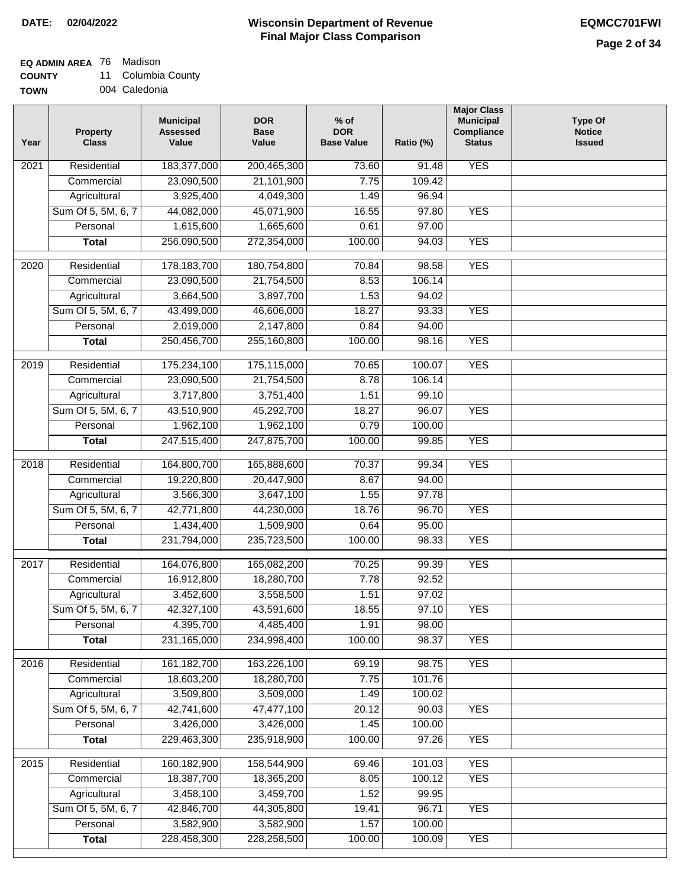### **EQ ADMIN AREA** 76 Madison

**COUNTY** 11 Columbia County

| 004 Caledonia |
|---------------|
|               |

| Year              | <b>Property</b><br><b>Class</b> | <b>Municipal</b><br><b>Assessed</b><br>Value | <b>DOR</b><br><b>Base</b><br>Value | $%$ of<br><b>DOR</b><br><b>Base Value</b> | Ratio (%) | <b>Major Class</b><br><b>Municipal</b><br>Compliance<br><b>Status</b> | <b>Type Of</b><br><b>Notice</b><br><b>Issued</b> |
|-------------------|---------------------------------|----------------------------------------------|------------------------------------|-------------------------------------------|-----------|-----------------------------------------------------------------------|--------------------------------------------------|
| 2021              | Residential                     | 183,377,000                                  | 200,465,300                        | 73.60                                     | 91.48     | <b>YES</b>                                                            |                                                  |
|                   | Commercial                      | 23,090,500                                   | 21,101,900                         | 7.75                                      | 109.42    |                                                                       |                                                  |
|                   | Agricultural                    | 3,925,400                                    | 4,049,300                          | 1.49                                      | 96.94     |                                                                       |                                                  |
|                   | Sum Of 5, 5M, 6, 7              | 44,082,000                                   | 45,071,900                         | 16.55                                     | 97.80     | <b>YES</b>                                                            |                                                  |
|                   | Personal                        | 1,615,600                                    | 1,665,600                          | 0.61                                      | 97.00     |                                                                       |                                                  |
|                   | <b>Total</b>                    | 256,090,500                                  | 272,354,000                        | 100.00                                    | 94.03     | <b>YES</b>                                                            |                                                  |
| 2020              | Residential                     | 178, 183, 700                                | 180,754,800                        | 70.84                                     | 98.58     | <b>YES</b>                                                            |                                                  |
|                   | Commercial                      | 23,090,500                                   | 21,754,500                         | 8.53                                      | 106.14    |                                                                       |                                                  |
|                   | Agricultural                    | 3,664,500                                    | 3,897,700                          | 1.53                                      | 94.02     |                                                                       |                                                  |
|                   | Sum Of 5, 5M, 6, 7              | 43,499,000                                   | 46,606,000                         | 18.27                                     | 93.33     | <b>YES</b>                                                            |                                                  |
|                   | Personal                        | 2,019,000                                    | 2,147,800                          | 0.84                                      | 94.00     |                                                                       |                                                  |
|                   | <b>Total</b>                    | 250,456,700                                  | 255,160,800                        | 100.00                                    | 98.16     | <b>YES</b>                                                            |                                                  |
| 2019              | Residential                     | 175,234,100                                  | 175,115,000                        | 70.65                                     | 100.07    | <b>YES</b>                                                            |                                                  |
|                   | Commercial                      | 23,090,500                                   | 21,754,500                         | 8.78                                      | 106.14    |                                                                       |                                                  |
|                   | Agricultural                    | 3,717,800                                    | 3,751,400                          | 1.51                                      | 99.10     |                                                                       |                                                  |
|                   | Sum Of 5, 5M, 6, 7              | 43,510,900                                   | 45,292,700                         | 18.27                                     | 96.07     | <b>YES</b>                                                            |                                                  |
|                   | Personal                        | 1,962,100                                    | 1,962,100                          | 0.79                                      | 100.00    |                                                                       |                                                  |
|                   | <b>Total</b>                    | 247,515,400                                  | 247,875,700                        | 100.00                                    | 99.85     | <b>YES</b>                                                            |                                                  |
| $\overline{2018}$ | Residential                     | 164,800,700                                  | 165,888,600                        | 70.37                                     | 99.34     | <b>YES</b>                                                            |                                                  |
|                   | Commercial                      | 19,220,800                                   | 20,447,900                         | 8.67                                      | 94.00     |                                                                       |                                                  |
|                   | Agricultural                    | 3,566,300                                    | 3,647,100                          | 1.55                                      | 97.78     |                                                                       |                                                  |
|                   | Sum Of 5, 5M, 6, 7              | 42,771,800                                   | 44,230,000                         | 18.76                                     | 96.70     | <b>YES</b>                                                            |                                                  |
|                   | Personal                        | 1,434,400                                    | 1,509,900                          | 0.64                                      | 95.00     |                                                                       |                                                  |
|                   | <b>Total</b>                    | 231,794,000                                  | 235,723,500                        | 100.00                                    | 98.33     | <b>YES</b>                                                            |                                                  |
|                   |                                 |                                              |                                    |                                           |           |                                                                       |                                                  |
| 2017              | Residential                     | 164,076,800                                  | 165,082,200                        | 70.25                                     | 99.39     | <b>YES</b>                                                            |                                                  |
|                   | Commercial                      | 16,912,800                                   | 18,280,700                         | 7.78                                      | 92.52     |                                                                       |                                                  |
|                   | Agricultural                    | 3,452,600                                    | 3,558,500                          | 1.51                                      | 97.02     |                                                                       |                                                  |
|                   | Sum Of 5, 5M, 6, 7              | 42,327,100                                   | 43,591,600                         | 18.55                                     | 97.10     | YES                                                                   |                                                  |
|                   | Personal                        | 4,395,700                                    | 4,485,400                          | 1.91                                      | 98.00     |                                                                       |                                                  |
|                   | <b>Total</b>                    | 231,165,000                                  | 234,998,400                        | 100.00                                    | 98.37     | <b>YES</b>                                                            |                                                  |
| 2016              | Residential                     | 161, 182, 700                                | 163,226,100                        | 69.19                                     | 98.75     | <b>YES</b>                                                            |                                                  |
|                   | Commercial                      | 18,603,200                                   | 18,280,700                         | 7.75                                      | 101.76    |                                                                       |                                                  |
|                   | Agricultural                    | 3,509,800                                    | 3,509,000                          | 1.49                                      | 100.02    |                                                                       |                                                  |
|                   | Sum Of 5, 5M, 6, 7              | 42,741,600                                   | 47,477,100                         | 20.12                                     | 90.03     | <b>YES</b>                                                            |                                                  |
|                   | Personal                        | 3,426,000                                    | 3,426,000                          | 1.45                                      | 100.00    |                                                                       |                                                  |
|                   | <b>Total</b>                    | 229,463,300                                  | 235,918,900                        | 100.00                                    | 97.26     | <b>YES</b>                                                            |                                                  |
| 2015              | Residential                     | 160,182,900                                  | 158,544,900                        | 69.46                                     | 101.03    | <b>YES</b>                                                            |                                                  |
|                   | Commercial                      | 18,387,700                                   | 18,365,200                         | 8.05                                      | 100.12    | <b>YES</b>                                                            |                                                  |
|                   | Agricultural                    | 3,458,100                                    | 3,459,700                          | 1.52                                      | 99.95     |                                                                       |                                                  |
|                   | Sum Of 5, 5M, 6, 7              | 42,846,700                                   | 44,305,800                         | 19.41                                     | 96.71     | <b>YES</b>                                                            |                                                  |
|                   | Personal                        | 3,582,900                                    | 3,582,900                          | 1.57                                      | 100.00    |                                                                       |                                                  |
|                   | <b>Total</b>                    | 228,458,300                                  | 228,258,500                        | 100.00                                    | 100.09    | <b>YES</b>                                                            |                                                  |
|                   |                                 |                                              |                                    |                                           |           |                                                                       |                                                  |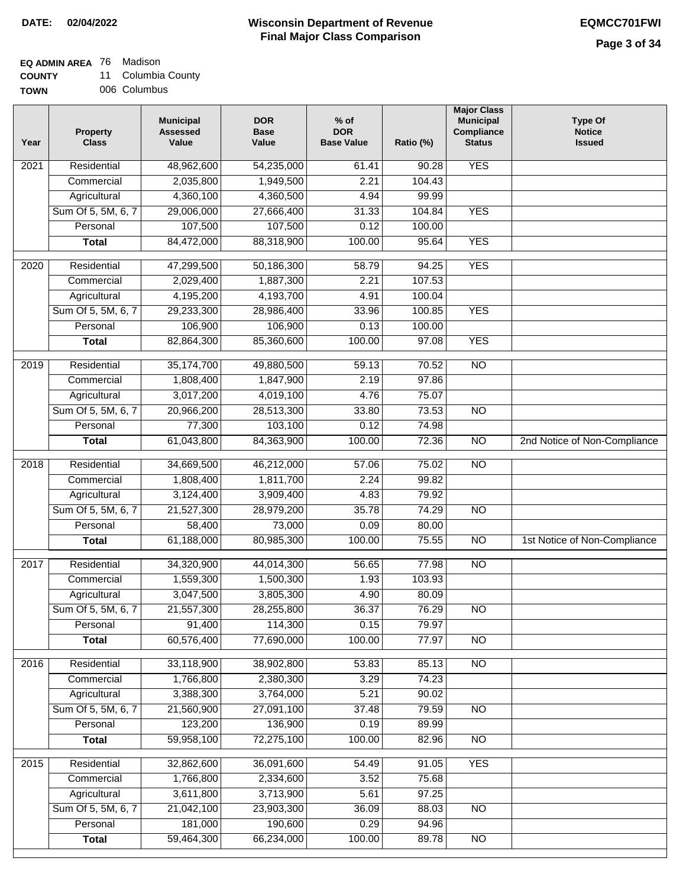#### **Wisconsin Department of Revenue Final Major Class Comparison DATE: 02/04/2022 EQMCC701FWI**

### **EQ ADMIN AREA** 76 Madison

**COUNTY** 11 Columbia County

| <b>TOWN</b> | 006 Columbus |
|-------------|--------------|
|             |              |

| Year              | <b>Property</b><br><b>Class</b> | <b>Municipal</b><br><b>Assessed</b><br>Value | <b>DOR</b><br><b>Base</b><br>Value | $%$ of<br><b>DOR</b><br><b>Base Value</b> | Ratio (%) | <b>Major Class</b><br><b>Municipal</b><br>Compliance<br><b>Status</b> | <b>Type Of</b><br><b>Notice</b><br><b>Issued</b> |
|-------------------|---------------------------------|----------------------------------------------|------------------------------------|-------------------------------------------|-----------|-----------------------------------------------------------------------|--------------------------------------------------|
| 2021              | Residential                     | 48,962,600                                   | 54,235,000                         | 61.41                                     | 90.28     | <b>YES</b>                                                            |                                                  |
|                   | Commercial                      | 2,035,800                                    | 1,949,500                          | 2.21                                      | 104.43    |                                                                       |                                                  |
|                   | Agricultural                    | 4,360,100                                    | 4,360,500                          | 4.94                                      | 99.99     |                                                                       |                                                  |
|                   | Sum Of 5, 5M, 6, 7              | 29,006,000                                   | 27,666,400                         | 31.33                                     | 104.84    | <b>YES</b>                                                            |                                                  |
|                   | Personal                        | 107,500                                      | 107,500                            | 0.12                                      | 100.00    |                                                                       |                                                  |
|                   | <b>Total</b>                    | 84,472,000                                   | 88,318,900                         | 100.00                                    | 95.64     | <b>YES</b>                                                            |                                                  |
| $\overline{2020}$ | Residential                     | 47,299,500                                   | 50,186,300                         | 58.79                                     | 94.25     | <b>YES</b>                                                            |                                                  |
|                   | Commercial                      | 2,029,400                                    | 1,887,300                          | 2.21                                      | 107.53    |                                                                       |                                                  |
|                   | Agricultural                    | 4,195,200                                    | 4,193,700                          | 4.91                                      | 100.04    |                                                                       |                                                  |
|                   | Sum Of 5, 5M, 6, 7              | 29,233,300                                   | 28,986,400                         | 33.96                                     | 100.85    | <b>YES</b>                                                            |                                                  |
|                   | Personal                        | 106,900                                      | 106,900                            | 0.13                                      | 100.00    |                                                                       |                                                  |
|                   | <b>Total</b>                    | 82,864,300                                   | 85,360,600                         | 100.00                                    | 97.08     | <b>YES</b>                                                            |                                                  |
|                   |                                 |                                              |                                    |                                           |           |                                                                       |                                                  |
| $\frac{1}{2019}$  | Residential                     | 35, 174, 700                                 | 49,880,500                         | 59.13                                     | 70.52     | $\overline{NO}$                                                       |                                                  |
|                   | Commercial                      | 1,808,400                                    | 1,847,900                          | 2.19                                      | 97.86     |                                                                       |                                                  |
|                   | Agricultural                    | 3,017,200                                    | 4,019,100                          | 4.76                                      | 75.07     |                                                                       |                                                  |
|                   | Sum Of 5, 5M, 6, 7              | 20,966,200                                   | 28,513,300                         | 33.80                                     | 73.53     | $\overline{NO}$                                                       |                                                  |
|                   | Personal                        | 77,300                                       | 103,100                            | 0.12                                      | 74.98     |                                                                       |                                                  |
|                   | <b>Total</b>                    | 61,043,800                                   | 84,363,900                         | 100.00                                    | 72.36     | $\overline{NO}$                                                       | 2nd Notice of Non-Compliance                     |
| 2018              | Residential                     | 34,669,500                                   | 46,212,000                         | 57.06                                     | 75.02     | $\overline{NO}$                                                       |                                                  |
|                   | Commercial                      | 1,808,400                                    | 1,811,700                          | 2.24                                      | 99.82     |                                                                       |                                                  |
|                   | Agricultural                    | 3,124,400                                    | 3,909,400                          | 4.83                                      | 79.92     |                                                                       |                                                  |
|                   | Sum Of 5, 5M, 6, 7              | 21,527,300                                   | 28,979,200                         | 35.78                                     | 74.29     | <b>NO</b>                                                             |                                                  |
|                   | Personal                        | 58,400                                       | 73,000                             | 0.09                                      | 80.00     |                                                                       |                                                  |
|                   | <b>Total</b>                    | 61,188,000                                   | 80,985,300                         | 100.00                                    | 75.55     | $\overline{10}$                                                       | 1st Notice of Non-Compliance                     |
| 2017              | Residential                     | 34,320,900                                   | 44,014,300                         | 56.65                                     | 77.98     | <b>NO</b>                                                             |                                                  |
|                   | Commercial                      | 1,559,300                                    | 1,500,300                          | 1.93                                      | 103.93    |                                                                       |                                                  |
|                   | Agricultural                    | 3,047,500                                    | 3,805,300                          | 4.90                                      | 80.09     |                                                                       |                                                  |
|                   | Sum Of 5, 5M, 6, 7              | 21,557,300                                   | 28,255,800                         | 36.37                                     | 76.29     | $\overline{N}$                                                        |                                                  |
|                   | Personal                        | 91,400                                       | 114,300                            | 0.15                                      | 79.97     |                                                                       |                                                  |
|                   | <b>Total</b>                    | 60,576,400                                   | 77,690,000                         | 100.00                                    | 77.97     | $\overline{N}$                                                        |                                                  |
| 2016              | Residential                     | 33,118,900                                   | 38,902,800                         | 53.83                                     | 85.13     | N <sub>O</sub>                                                        |                                                  |
|                   | Commercial                      | 1,766,800                                    | 2,380,300                          | 3.29                                      | 74.23     |                                                                       |                                                  |
|                   | Agricultural                    | 3,388,300                                    | 3,764,000                          | 5.21                                      | 90.02     |                                                                       |                                                  |
|                   | Sum Of 5, 5M, 6, 7              | 21,560,900                                   | 27,091,100                         | 37.48                                     | 79.59     | <b>NO</b>                                                             |                                                  |
|                   | Personal                        | 123,200                                      | 136,900                            | 0.19                                      | 89.99     |                                                                       |                                                  |
|                   | <b>Total</b>                    | 59,958,100                                   | 72,275,100                         | 100.00                                    | 82.96     | N <sub>O</sub>                                                        |                                                  |
|                   |                                 |                                              |                                    |                                           |           |                                                                       |                                                  |
| 2015              | Residential                     | 32,862,600                                   | 36,091,600                         | 54.49                                     | 91.05     | <b>YES</b>                                                            |                                                  |
|                   | Commercial                      | 1,766,800                                    | 2,334,600                          | 3.52                                      | 75.68     |                                                                       |                                                  |
|                   | Agricultural                    | 3,611,800                                    | 3,713,900                          | 5.61                                      | 97.25     |                                                                       |                                                  |
|                   | Sum Of 5, 5M, 6, 7              | 21,042,100                                   | 23,903,300                         | 36.09                                     | 88.03     | <b>NO</b>                                                             |                                                  |
|                   | Personal                        | 181,000                                      | 190,600                            | 0.29                                      | 94.96     |                                                                       |                                                  |
|                   | <b>Total</b>                    | 59,464,300                                   | 66,234,000                         | 100.00                                    | 89.78     | $\overline{NO}$                                                       |                                                  |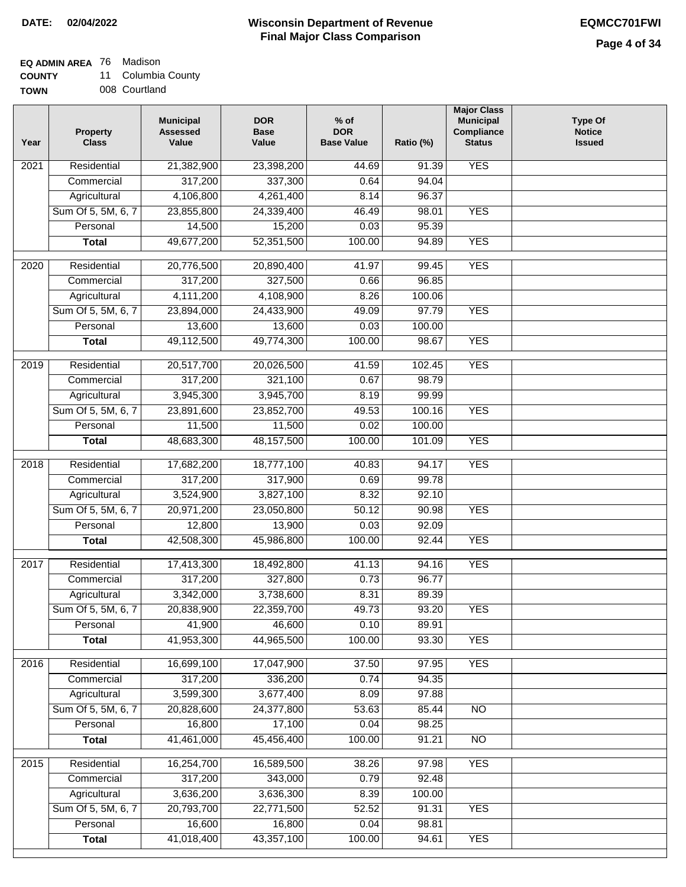### **EQ ADMIN AREA** 76 Madison

**COUNTY** 11 Columbia County

| <b>GUUNIT</b> | <b>UUIUIIIIUI</b> |
|---------------|-------------------|
| <b>TOWN</b>   | 008 Courtland     |

| Year | <b>Property</b><br><b>Class</b>    | <b>Municipal</b><br><b>Assessed</b><br>Value | <b>DOR</b><br><b>Base</b><br>Value | $%$ of<br><b>DOR</b><br><b>Base Value</b> | Ratio (%)      | <b>Major Class</b><br><b>Municipal</b><br>Compliance<br><b>Status</b> | <b>Type Of</b><br><b>Notice</b><br><b>Issued</b> |
|------|------------------------------------|----------------------------------------------|------------------------------------|-------------------------------------------|----------------|-----------------------------------------------------------------------|--------------------------------------------------|
| 2021 | Residential                        | 21,382,900                                   | 23,398,200                         | 44.69                                     | 91.39          | <b>YES</b>                                                            |                                                  |
|      | Commercial                         | 317,200                                      | 337,300                            | 0.64                                      | 94.04          |                                                                       |                                                  |
|      | Agricultural                       | 4,106,800                                    | 4,261,400                          | 8.14                                      | 96.37          |                                                                       |                                                  |
|      | Sum Of 5, 5M, 6, 7                 | 23,855,800                                   | 24,339,400                         | 46.49                                     | 98.01          | <b>YES</b>                                                            |                                                  |
|      | Personal                           | 14,500                                       | 15,200                             | 0.03                                      | 95.39          |                                                                       |                                                  |
|      | <b>Total</b>                       | 49,677,200                                   | 52,351,500                         | 100.00                                    | 94.89          | <b>YES</b>                                                            |                                                  |
| 2020 | Residential                        | 20,776,500                                   | 20,890,400                         | 41.97                                     | 99.45          | <b>YES</b>                                                            |                                                  |
|      | Commercial                         | 317,200                                      | 327,500                            | 0.66                                      | 96.85          |                                                                       |                                                  |
|      | Agricultural                       | 4,111,200                                    | 4,108,900                          | 8.26                                      | 100.06         |                                                                       |                                                  |
|      | Sum Of 5, 5M, 6, 7                 | 23,894,000                                   | 24,433,900                         | 49.09                                     | 97.79          | <b>YES</b>                                                            |                                                  |
|      | Personal                           | 13,600                                       | 13,600                             | 0.03                                      | 100.00         |                                                                       |                                                  |
|      | <b>Total</b>                       | 49,112,500                                   | 49,774,300                         | 100.00                                    | 98.67          | <b>YES</b>                                                            |                                                  |
|      |                                    |                                              |                                    |                                           |                |                                                                       |                                                  |
| 2019 | Residential                        | 20,517,700                                   | 20,026,500                         | 41.59                                     | 102.45         | <b>YES</b>                                                            |                                                  |
|      | Commercial                         | 317,200                                      | 321,100                            | 0.67                                      | 98.79          |                                                                       |                                                  |
|      | Agricultural                       | 3,945,300                                    | 3,945,700                          | 8.19                                      | 99.99          |                                                                       |                                                  |
|      | Sum Of 5, 5M, 6, 7                 | 23,891,600                                   | 23,852,700                         | 49.53                                     | 100.16         | <b>YES</b>                                                            |                                                  |
|      | Personal                           | 11,500                                       | 11,500                             | 0.02                                      | 100.00         |                                                                       |                                                  |
|      | <b>Total</b>                       | 48,683,300                                   | 48, 157, 500                       | 100.00                                    | 101.09         | <b>YES</b>                                                            |                                                  |
| 2018 | Residential                        | 17,682,200                                   | 18,777,100                         | 40.83                                     | 94.17          | <b>YES</b>                                                            |                                                  |
|      | Commercial                         | 317,200                                      | 317,900                            | 0.69                                      | 99.78          |                                                                       |                                                  |
|      | Agricultural                       | 3,524,900                                    | 3,827,100                          | 8.32                                      | 92.10          |                                                                       |                                                  |
|      | Sum Of 5, 5M, 6, 7                 | 20,971,200                                   | 23,050,800                         | 50.12                                     | 90.98          | <b>YES</b>                                                            |                                                  |
|      | Personal                           | 12,800                                       | 13,900                             | 0.03                                      | 92.09          |                                                                       |                                                  |
|      | <b>Total</b>                       | 42,508,300                                   | 45,986,800                         | 100.00                                    | 92.44          | <b>YES</b>                                                            |                                                  |
| 2017 | Residential                        | 17,413,300                                   | 18,492,800                         | 41.13                                     | 94.16          | <b>YES</b>                                                            |                                                  |
|      | Commercial                         | 317,200                                      | 327,800                            | 0.73                                      | 96.77          |                                                                       |                                                  |
|      | Agricultural                       | 3,342,000                                    | 3,738,600                          | 8.31                                      | 89.39          |                                                                       |                                                  |
|      | Sum Of 5, 5M, 6, 7                 | 20,838,900                                   | 22,359,700                         | 49.73                                     | 93.20          | <b>YES</b>                                                            |                                                  |
|      | Personal                           | 41,900                                       | 46,600                             | 0.10                                      | 89.91          |                                                                       |                                                  |
|      | <b>Total</b>                       | 41,953,300                                   | 44,965,500                         | 100.00                                    | 93.30          | <b>YES</b>                                                            |                                                  |
|      |                                    |                                              |                                    |                                           |                |                                                                       |                                                  |
| 2016 | Residential                        | 16,699,100                                   | 17,047,900                         | 37.50                                     | 97.95          | <b>YES</b>                                                            |                                                  |
|      | Commercial                         | 317,200<br>3,599,300                         | 336,200<br>3,677,400               | 0.74<br>8.09                              | 94.35<br>97.88 |                                                                       |                                                  |
|      | Agricultural<br>Sum Of 5, 5M, 6, 7 | 20,828,600                                   | 24,377,800                         | 53.63                                     | 85.44          | N <sub>O</sub>                                                        |                                                  |
|      | Personal                           | 16,800                                       | 17,100                             | 0.04                                      | 98.25          |                                                                       |                                                  |
|      | <b>Total</b>                       | 41,461,000                                   | 45,456,400                         | 100.00                                    | 91.21          | N <sub>O</sub>                                                        |                                                  |
|      |                                    |                                              |                                    |                                           |                |                                                                       |                                                  |
| 2015 | Residential                        | 16,254,700                                   | 16,589,500                         | 38.26                                     | 97.98          | <b>YES</b>                                                            |                                                  |
|      | Commercial                         | 317,200                                      | 343,000                            | 0.79                                      | 92.48          |                                                                       |                                                  |
|      | Agricultural                       | 3,636,200                                    | 3,636,300                          | 8.39                                      | 100.00         |                                                                       |                                                  |
|      | Sum Of 5, 5M, 6, 7                 | 20,793,700                                   | 22,771,500                         | 52.52                                     | 91.31          | <b>YES</b>                                                            |                                                  |
|      | Personal                           | 16,600                                       | 16,800                             | 0.04                                      | 98.81          |                                                                       |                                                  |
|      | <b>Total</b>                       | 41,018,400                                   | 43,357,100                         | 100.00                                    | 94.61          | <b>YES</b>                                                            |                                                  |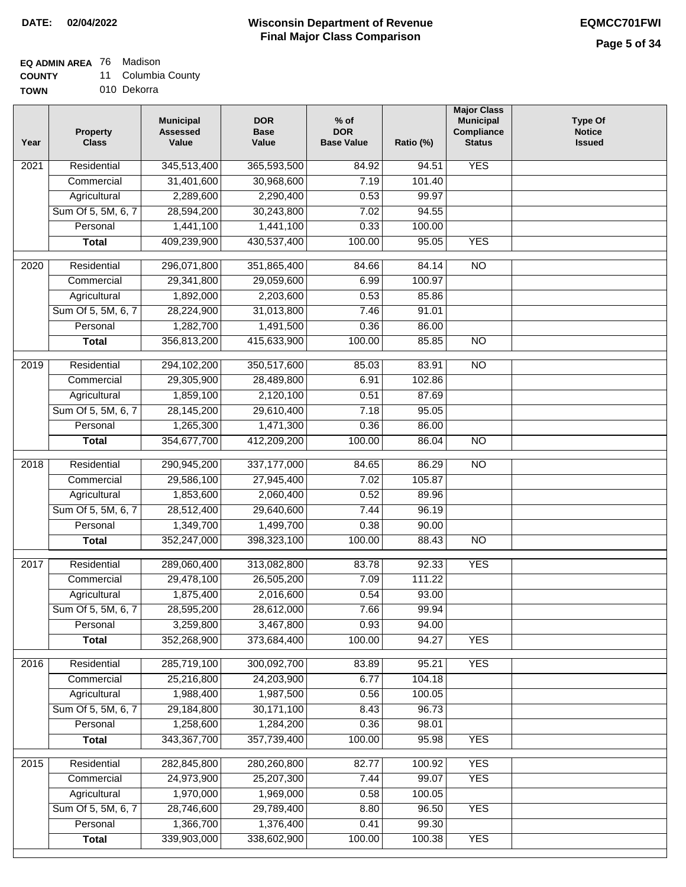### **EQ ADMIN AREA** 76 Madison

**COUNTY** 11 Columbia County

**TOWN** 010 Dekorra

| Year              | <b>Property</b><br><b>Class</b> | <b>Municipal</b><br><b>Assessed</b><br>Value | <b>DOR</b><br><b>Base</b><br>Value | $%$ of<br><b>DOR</b><br><b>Base Value</b> | Ratio (%) | <b>Major Class</b><br><b>Municipal</b><br>Compliance<br><b>Status</b> | <b>Type Of</b><br><b>Notice</b><br><b>Issued</b> |
|-------------------|---------------------------------|----------------------------------------------|------------------------------------|-------------------------------------------|-----------|-----------------------------------------------------------------------|--------------------------------------------------|
| $\overline{202}1$ | Residential                     | 345,513,400                                  | 365,593,500                        | 84.92                                     | 94.51     | <b>YES</b>                                                            |                                                  |
|                   | Commercial                      | 31,401,600                                   | 30,968,600                         | 7.19                                      | 101.40    |                                                                       |                                                  |
|                   | Agricultural                    | 2,289,600                                    | 2,290,400                          | 0.53                                      | 99.97     |                                                                       |                                                  |
|                   | Sum Of 5, 5M, 6, 7              | 28,594,200                                   | 30,243,800                         | 7.02                                      | 94.55     |                                                                       |                                                  |
|                   | Personal                        | 1,441,100                                    | 1,441,100                          | 0.33                                      | 100.00    |                                                                       |                                                  |
|                   | <b>Total</b>                    | 409,239,900                                  | 430,537,400                        | 100.00                                    | 95.05     | <b>YES</b>                                                            |                                                  |
| $\overline{2020}$ | Residential                     | 296,071,800                                  | 351,865,400                        | 84.66                                     | 84.14     | $\overline{10}$                                                       |                                                  |
|                   | Commercial                      | 29,341,800                                   | 29,059,600                         | 6.99                                      | 100.97    |                                                                       |                                                  |
|                   | Agricultural                    | 1,892,000                                    | 2,203,600                          | 0.53                                      | 85.86     |                                                                       |                                                  |
|                   | Sum Of 5, 5M, 6, 7              | 28,224,900                                   | 31,013,800                         | 7.46                                      | 91.01     |                                                                       |                                                  |
|                   | Personal                        | 1,282,700                                    | 1,491,500                          | 0.36                                      | 86.00     |                                                                       |                                                  |
|                   | <b>Total</b>                    | 356,813,200                                  | 415,633,900                        | 100.00                                    | 85.85     | $\overline{NO}$                                                       |                                                  |
|                   |                                 |                                              |                                    |                                           |           |                                                                       |                                                  |
| 2019              | Residential                     | 294,102,200                                  | 350,517,600                        | 85.03                                     | 83.91     | $\overline{NO}$                                                       |                                                  |
|                   | Commercial                      | 29,305,900                                   | 28,489,800                         | 6.91                                      | 102.86    |                                                                       |                                                  |
|                   | Agricultural                    | 1,859,100                                    | 2,120,100                          | 0.51                                      | 87.69     |                                                                       |                                                  |
|                   | Sum Of 5, 5M, 6, 7              | 28,145,200                                   | 29,610,400                         | 7.18                                      | 95.05     |                                                                       |                                                  |
|                   | Personal                        | 1,265,300                                    | 1,471,300                          | 0.36                                      | 86.00     |                                                                       |                                                  |
|                   | <b>Total</b>                    | 354,677,700                                  | 412,209,200                        | 100.00                                    | 86.04     | $\overline{NO}$                                                       |                                                  |
| 2018              | Residential                     | 290,945,200                                  | 337, 177, 000                      | 84.65                                     | 86.29     | $\overline{10}$                                                       |                                                  |
|                   | Commercial                      | 29,586,100                                   | 27,945,400                         | 7.02                                      | 105.87    |                                                                       |                                                  |
|                   | Agricultural                    | 1,853,600                                    | 2,060,400                          | 0.52                                      | 89.96     |                                                                       |                                                  |
|                   | Sum Of 5, 5M, 6, 7              | 28,512,400                                   | 29,640,600                         | 7.44                                      | 96.19     |                                                                       |                                                  |
|                   | Personal                        | 1,349,700                                    | 1,499,700                          | 0.38                                      | 90.00     |                                                                       |                                                  |
|                   | <b>Total</b>                    | 352,247,000                                  | 398,323,100                        | 100.00                                    | 88.43     | $\overline{10}$                                                       |                                                  |
| 2017              | Residential                     | 289,060,400                                  | 313,082,800                        | 83.78                                     | 92.33     | <b>YES</b>                                                            |                                                  |
|                   | Commercial                      | 29,478,100                                   | 26,505,200                         | 7.09                                      | 111.22    |                                                                       |                                                  |
|                   | Agricultural                    | 1,875,400                                    | 2,016,600                          | 0.54                                      | 93.00     |                                                                       |                                                  |
|                   | Sum Of 5, 5M, 6, 7              | 28,595,200                                   | 28,612,000                         | 7.66                                      | 99.94     |                                                                       |                                                  |
|                   | Personal                        | 3,259,800                                    | 3,467,800                          | 0.93                                      | 94.00     |                                                                       |                                                  |
|                   | <b>Total</b>                    | 352,268,900                                  | 373,684,400                        | 100.00                                    | 94.27     | <b>YES</b>                                                            |                                                  |
| 2016              | Residential                     | 285,719,100                                  | 300,092,700                        | 83.89                                     | 95.21     | <b>YES</b>                                                            |                                                  |
|                   | Commercial                      | 25,216,800                                   | 24,203,900                         | 6.77                                      | 104.18    |                                                                       |                                                  |
|                   | Agricultural                    | 1,988,400                                    | 1,987,500                          | 0.56                                      | 100.05    |                                                                       |                                                  |
|                   | Sum Of 5, 5M, 6, 7              | 29,184,800                                   | 30,171,100                         | 8.43                                      | 96.73     |                                                                       |                                                  |
|                   | Personal                        | 1,258,600                                    | 1,284,200                          | 0.36                                      | 98.01     |                                                                       |                                                  |
|                   | <b>Total</b>                    | 343,367,700                                  | 357,739,400                        | 100.00                                    | 95.98     | <b>YES</b>                                                            |                                                  |
| 2015              | Residential                     | 282,845,800                                  | 280,260,800                        | 82.77                                     | 100.92    | <b>YES</b>                                                            |                                                  |
|                   | Commercial                      | 24,973,900                                   | 25,207,300                         | 7.44                                      | 99.07     | <b>YES</b>                                                            |                                                  |
|                   | Agricultural                    | 1,970,000                                    | 1,969,000                          | 0.58                                      | 100.05    |                                                                       |                                                  |
|                   | Sum Of 5, 5M, 6, 7              | 28,746,600                                   | 29,789,400                         | 8.80                                      | 96.50     | <b>YES</b>                                                            |                                                  |
|                   | Personal                        | 1,366,700                                    | 1,376,400                          | 0.41                                      | 99.30     |                                                                       |                                                  |
|                   | <b>Total</b>                    | 339,903,000                                  | 338,602,900                        | 100.00                                    | 100.38    | <b>YES</b>                                                            |                                                  |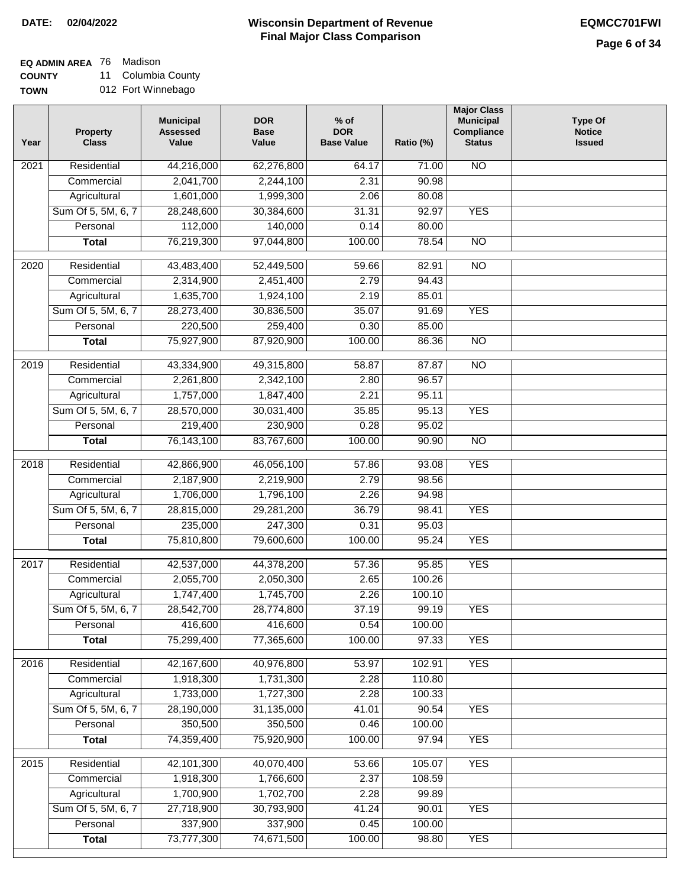#### **Wisconsin Department of Revenue Final Major Class Comparison DATE: 02/04/2022 EQMCC701FWI**

**EQ ADMIN AREA** 76 Madison

**COUNTY TOWN** 11 Columbia County

| )WN | 012 Fort Winnebago |
|-----|--------------------|
|     |                    |

| Year | <b>Property</b><br><b>Class</b> | <b>Municipal</b><br><b>Assessed</b><br>Value | <b>DOR</b><br><b>Base</b><br>Value | $%$ of<br><b>DOR</b><br><b>Base Value</b> | Ratio (%) | <b>Major Class</b><br><b>Municipal</b><br>Compliance<br><b>Status</b> | <b>Type Of</b><br><b>Notice</b><br><b>Issued</b> |
|------|---------------------------------|----------------------------------------------|------------------------------------|-------------------------------------------|-----------|-----------------------------------------------------------------------|--------------------------------------------------|
| 2021 | Residential                     | 44,216,000                                   | 62,276,800                         | 64.17                                     | 71.00     | N <sub>O</sub>                                                        |                                                  |
|      | Commercial                      | 2,041,700                                    | 2,244,100                          | 2.31                                      | 90.98     |                                                                       |                                                  |
|      | Agricultural                    | 1,601,000                                    | 1,999,300                          | 2.06                                      | 80.08     |                                                                       |                                                  |
|      | Sum Of 5, 5M, 6, 7              | 28,248,600                                   | 30,384,600                         | 31.31                                     | 92.97     | <b>YES</b>                                                            |                                                  |
|      | Personal                        | 112,000                                      | 140,000                            | 0.14                                      | 80.00     |                                                                       |                                                  |
|      | <b>Total</b>                    | 76,219,300                                   | 97,044,800                         | 100.00                                    | 78.54     | $\overline{NO}$                                                       |                                                  |
| 2020 | Residential                     | 43,483,400                                   | 52,449,500                         | 59.66                                     | 82.91     | $\overline{NO}$                                                       |                                                  |
|      | Commercial                      | 2,314,900                                    | 2,451,400                          | 2.79                                      | 94.43     |                                                                       |                                                  |
|      | Agricultural                    | 1,635,700                                    | 1,924,100                          | 2.19                                      | 85.01     |                                                                       |                                                  |
|      | Sum Of 5, 5M, 6, 7              | 28,273,400                                   | 30,836,500                         | 35.07                                     | 91.69     | <b>YES</b>                                                            |                                                  |
|      | Personal                        | 220,500                                      | 259,400                            | 0.30                                      | 85.00     |                                                                       |                                                  |
|      | <b>Total</b>                    | 75,927,900                                   | 87,920,900                         | 100.00                                    | 86.36     | $\overline{NO}$                                                       |                                                  |
|      |                                 |                                              |                                    |                                           |           |                                                                       |                                                  |
| 2019 | Residential                     | 43,334,900                                   | 49,315,800                         | 58.87                                     | 87.87     | $\overline{10}$                                                       |                                                  |
|      | Commercial                      | 2,261,800                                    | 2,342,100                          | 2.80                                      | 96.57     |                                                                       |                                                  |
|      | Agricultural                    | 1,757,000                                    | 1,847,400                          | 2.21                                      | 95.11     |                                                                       |                                                  |
|      | Sum Of 5, 5M, 6, 7              | 28,570,000                                   | 30,031,400                         | 35.85                                     | 95.13     | <b>YES</b>                                                            |                                                  |
|      | Personal                        | 219,400                                      | 230,900                            | 0.28                                      | 95.02     |                                                                       |                                                  |
|      | <b>Total</b>                    | 76,143,100                                   | 83,767,600                         | 100.00                                    | 90.90     | $\overline{NO}$                                                       |                                                  |
| 2018 | Residential                     | 42,866,900                                   | 46,056,100                         | 57.86                                     | 93.08     | <b>YES</b>                                                            |                                                  |
|      | Commercial                      | 2,187,900                                    | 2,219,900                          | 2.79                                      | 98.56     |                                                                       |                                                  |
|      | Agricultural                    | 1,706,000                                    | 1,796,100                          | 2.26                                      | 94.98     |                                                                       |                                                  |
|      | Sum Of 5, 5M, 6, 7              | 28,815,000                                   | 29,281,200                         | 36.79                                     | 98.41     | <b>YES</b>                                                            |                                                  |
|      | Personal                        | 235,000                                      | 247,300                            | 0.31                                      | 95.03     |                                                                       |                                                  |
|      | <b>Total</b>                    | 75,810,800                                   | 79,600,600                         | 100.00                                    | 95.24     | <b>YES</b>                                                            |                                                  |
| 2017 | Residential                     | 42,537,000                                   | 44,378,200                         | 57.36                                     | 95.85     | <b>YES</b>                                                            |                                                  |
|      | Commercial                      | 2,055,700                                    | 2,050,300                          | 2.65                                      | 100.26    |                                                                       |                                                  |
|      | Agricultural                    | 1,747,400                                    | 1,745,700                          | 2.26                                      | 100.10    |                                                                       |                                                  |
|      | Sum Of 5, 5M, 6, 7              | 28,542,700                                   | 28,774,800                         | 37.19                                     | 99.19     | <b>YES</b>                                                            |                                                  |
|      | Personal                        | 416,600                                      | 416,600                            | 0.54                                      | 100.00    |                                                                       |                                                  |
|      | <b>Total</b>                    | 75,299,400                                   | 77,365,600                         | 100.00                                    | 97.33     | <b>YES</b>                                                            |                                                  |
|      |                                 |                                              |                                    |                                           |           |                                                                       |                                                  |
| 2016 | Residential                     | 42,167,600                                   | 40,976,800                         | 53.97                                     | 102.91    | <b>YES</b>                                                            |                                                  |
|      | Commercial                      | 1,918,300                                    | 1,731,300                          | 2.28                                      | 110.80    |                                                                       |                                                  |
|      | Agricultural                    | 1,733,000                                    | 1,727,300                          | 2.28                                      | 100.33    |                                                                       |                                                  |
|      | Sum Of 5, 5M, 6, 7              | 28,190,000                                   | 31,135,000                         | 41.01                                     | 90.54     | <b>YES</b>                                                            |                                                  |
|      | Personal                        | 350,500                                      | 350,500                            | 0.46                                      | 100.00    |                                                                       |                                                  |
|      | <b>Total</b>                    | 74,359,400                                   | 75,920,900                         | 100.00                                    | 97.94     | <b>YES</b>                                                            |                                                  |
| 2015 | Residential                     | 42,101,300                                   | 40,070,400                         | 53.66                                     | 105.07    | <b>YES</b>                                                            |                                                  |
|      | Commercial                      | 1,918,300                                    | 1,766,600                          | 2.37                                      | 108.59    |                                                                       |                                                  |
|      | Agricultural                    | 1,700,900                                    | 1,702,700                          | 2.28                                      | 99.89     |                                                                       |                                                  |
|      | Sum Of 5, 5M, 6, 7              | 27,718,900                                   | 30,793,900                         | 41.24                                     | 90.01     | <b>YES</b>                                                            |                                                  |
|      | Personal                        | 337,900                                      | 337,900                            | 0.45                                      | 100.00    |                                                                       |                                                  |
|      | <b>Total</b>                    | 73,777,300                                   | 74,671,500                         | 100.00                                    | 98.80     | <b>YES</b>                                                            |                                                  |
|      |                                 |                                              |                                    |                                           |           |                                                                       |                                                  |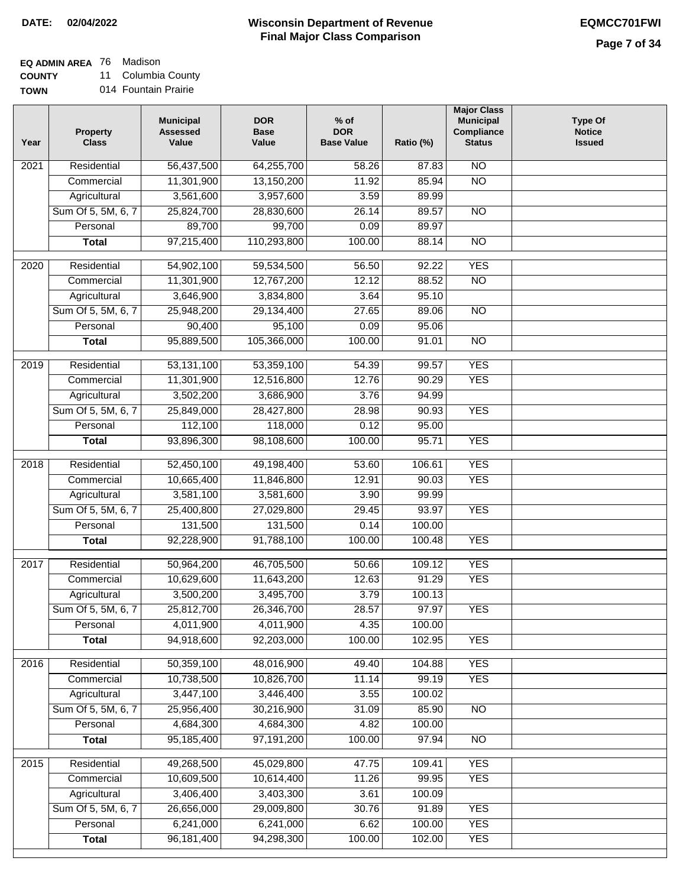**EQ ADMIN AREA** 76 Madison

**COUNTY** 11 Columbia County

**TOWN** 014 Fountain Prairie

| Year              | <b>Property</b><br><b>Class</b> | <b>Municipal</b><br><b>Assessed</b><br>Value | <b>DOR</b><br><b>Base</b><br>Value | $%$ of<br><b>DOR</b><br><b>Base Value</b> | Ratio (%) | <b>Major Class</b><br><b>Municipal</b><br>Compliance<br><b>Status</b> | <b>Type Of</b><br><b>Notice</b><br><b>Issued</b> |
|-------------------|---------------------------------|----------------------------------------------|------------------------------------|-------------------------------------------|-----------|-----------------------------------------------------------------------|--------------------------------------------------|
| $\overline{202}1$ | Residential                     | 56,437,500                                   | 64,255,700                         | 58.26                                     | 87.83     | $\overline{NO}$                                                       |                                                  |
|                   | Commercial                      | 11,301,900                                   | 13,150,200                         | 11.92                                     | 85.94     | $\overline{NO}$                                                       |                                                  |
|                   | Agricultural                    | 3,561,600                                    | 3,957,600                          | 3.59                                      | 89.99     |                                                                       |                                                  |
|                   | Sum Of 5, 5M, 6, 7              | 25,824,700                                   | 28,830,600                         | 26.14                                     | 89.57     | $\overline{NO}$                                                       |                                                  |
|                   | Personal                        | 89,700                                       | 99,700                             | 0.09                                      | 89.97     |                                                                       |                                                  |
|                   | <b>Total</b>                    | 97,215,400                                   | 110,293,800                        | 100.00                                    | 88.14     | $\overline{NO}$                                                       |                                                  |
| $\overline{2020}$ | Residential                     | 54,902,100                                   | 59,534,500                         | 56.50                                     | 92.22     | <b>YES</b>                                                            |                                                  |
|                   | Commercial                      | 11,301,900                                   | 12,767,200                         | 12.12                                     | 88.52     | $\overline{NO}$                                                       |                                                  |
|                   | Agricultural                    | 3,646,900                                    | 3,834,800                          | 3.64                                      | 95.10     |                                                                       |                                                  |
|                   | Sum Of 5, 5M, 6, 7              | 25,948,200                                   | 29,134,400                         | 27.65                                     | 89.06     | $\overline{NO}$                                                       |                                                  |
|                   | Personal                        | 90,400                                       | 95,100                             | 0.09                                      | 95.06     |                                                                       |                                                  |
|                   | <b>Total</b>                    | 95,889,500                                   | 105,366,000                        | 100.00                                    | 91.01     | $\overline{NO}$                                                       |                                                  |
|                   |                                 |                                              |                                    |                                           |           |                                                                       |                                                  |
| $\frac{2019}{ }$  | Residential                     | 53,131,100                                   | 53,359,100                         | 54.39                                     | 99.57     | <b>YES</b>                                                            |                                                  |
|                   | Commercial                      | 11,301,900                                   | 12,516,800                         | 12.76                                     | 90.29     | <b>YES</b>                                                            |                                                  |
|                   | Agricultural                    | 3,502,200                                    | 3,686,900                          | 3.76                                      | 94.99     |                                                                       |                                                  |
|                   | Sum Of 5, 5M, 6, 7              | 25,849,000                                   | 28,427,800                         | 28.98                                     | 90.93     | <b>YES</b>                                                            |                                                  |
|                   | Personal                        | 112,100                                      | 118,000                            | 0.12                                      | 95.00     |                                                                       |                                                  |
|                   | <b>Total</b>                    | 93,896,300                                   | 98,108,600                         | 100.00                                    | 95.71     | <b>YES</b>                                                            |                                                  |
| 2018              | Residential                     | 52,450,100                                   | 49,198,400                         | 53.60                                     | 106.61    | <b>YES</b>                                                            |                                                  |
|                   | Commercial                      | 10,665,400                                   | 11,846,800                         | 12.91                                     | 90.03     | <b>YES</b>                                                            |                                                  |
|                   | Agricultural                    | 3,581,100                                    | 3,581,600                          | 3.90                                      | 99.99     |                                                                       |                                                  |
|                   | Sum Of 5, 5M, 6, 7              | 25,400,800                                   | 27,029,800                         | 29.45                                     | 93.97     | <b>YES</b>                                                            |                                                  |
|                   | Personal                        | 131,500                                      | 131,500                            | 0.14                                      | 100.00    |                                                                       |                                                  |
|                   | <b>Total</b>                    | 92,228,900                                   | 91,788,100                         | 100.00                                    | 100.48    | <b>YES</b>                                                            |                                                  |
| $\overline{2017}$ | Residential                     | 50,964,200                                   | 46,705,500                         | 50.66                                     | 109.12    | <b>YES</b>                                                            |                                                  |
|                   | Commercial                      | 10,629,600                                   | 11,643,200                         | 12.63                                     | 91.29     | <b>YES</b>                                                            |                                                  |
|                   | Agricultural                    | 3,500,200                                    | 3,495,700                          | 3.79                                      | 100.13    |                                                                       |                                                  |
|                   | Sum Of 5, 5M, 6, 7              | 25,812,700                                   | 26,346,700                         | 28.57                                     | 97.97     | <b>YES</b>                                                            |                                                  |
|                   | Personal                        | 4,011,900                                    | 4,011,900                          | 4.35                                      | 100.00    |                                                                       |                                                  |
|                   | <b>Total</b>                    | 94,918,600                                   | 92,203,000                         | 100.00                                    | 102.95    | <b>YES</b>                                                            |                                                  |
| 2016              | Residential                     | 50,359,100                                   | 48,016,900                         | 49.40                                     | 104.88    | <b>YES</b>                                                            |                                                  |
|                   | Commercial                      | 10,738,500                                   | 10,826,700                         | 11.14                                     | 99.19     | <b>YES</b>                                                            |                                                  |
|                   | Agricultural                    | 3,447,100                                    | 3,446,400                          | 3.55                                      | 100.02    |                                                                       |                                                  |
|                   | Sum Of 5, 5M, 6, 7              | 25,956,400                                   | 30,216,900                         | 31.09                                     | 85.90     | $\overline{NO}$                                                       |                                                  |
|                   | Personal                        | 4,684,300                                    | 4,684,300                          | 4.82                                      | 100.00    |                                                                       |                                                  |
|                   | <b>Total</b>                    | 95,185,400                                   | 97,191,200                         | 100.00                                    | 97.94     | N <sub>O</sub>                                                        |                                                  |
| 2015              | Residential                     | 49,268,500                                   | 45,029,800                         | 47.75                                     | 109.41    | <b>YES</b>                                                            |                                                  |
|                   | Commercial                      | 10,609,500                                   | 10,614,400                         | 11.26                                     | 99.95     | <b>YES</b>                                                            |                                                  |
|                   | Agricultural                    | 3,406,400                                    | 3,403,300                          | 3.61                                      | 100.09    |                                                                       |                                                  |
|                   | Sum Of 5, 5M, 6, 7              | 26,656,000                                   | 29,009,800                         | 30.76                                     | 91.89     | <b>YES</b>                                                            |                                                  |
|                   | Personal                        | 6,241,000                                    | 6,241,000                          | 6.62                                      | 100.00    | <b>YES</b>                                                            |                                                  |
|                   | <b>Total</b>                    | 96, 181, 400                                 | 94,298,300                         | 100.00                                    | 102.00    | <b>YES</b>                                                            |                                                  |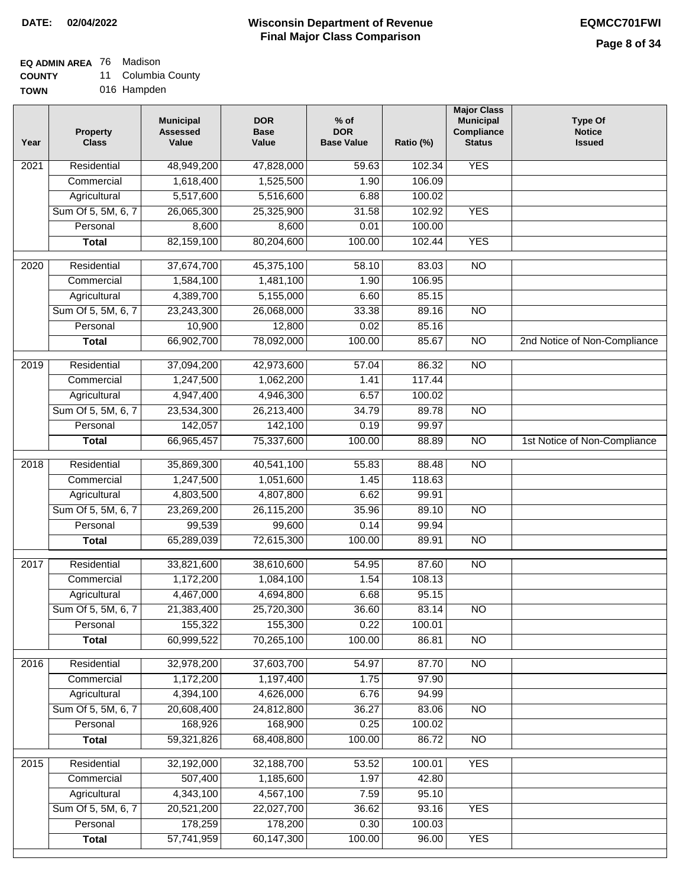#### **Wisconsin Department of Revenue Final Major Class Comparison DATE: 02/04/2022 EQMCC701FWI**

٦

### **EQ ADMIN AREA** 76 Madison

**COUNTY** 11 Columbia County

| Year              | <b>Property</b><br><b>Class</b> | <b>Municipal</b><br><b>Assessed</b><br>Value | <b>DOR</b><br><b>Base</b><br>Value | $%$ of<br><b>DOR</b><br><b>Base Value</b> | Ratio (%)       | <b>Major Class</b><br><b>Municipal</b><br>Compliance<br><b>Status</b> | <b>Type Of</b><br><b>Notice</b><br><b>Issued</b> |
|-------------------|---------------------------------|----------------------------------------------|------------------------------------|-------------------------------------------|-----------------|-----------------------------------------------------------------------|--------------------------------------------------|
| 2021              | Residential                     | 48,949,200                                   | 47,828,000                         | 59.63                                     | 102.34          | <b>YES</b>                                                            |                                                  |
|                   | Commercial                      | 1,618,400                                    | 1,525,500                          | 1.90                                      | 106.09          |                                                                       |                                                  |
|                   | Agricultural                    | 5,517,600                                    | 5,516,600                          | 6.88                                      | 100.02          |                                                                       |                                                  |
|                   | Sum Of 5, 5M, 6, 7              | 26,065,300                                   | 25,325,900                         | 31.58                                     | 102.92          | <b>YES</b>                                                            |                                                  |
|                   | Personal                        | 8,600                                        | 8,600                              | 0.01                                      | 100.00          |                                                                       |                                                  |
|                   | <b>Total</b>                    | 82,159,100                                   | 80,204,600                         | 100.00                                    | 102.44          | <b>YES</b>                                                            |                                                  |
| 2020              | Residential                     | 37,674,700                                   | 45,375,100                         | 58.10                                     | 83.03           | $\overline{NO}$                                                       |                                                  |
|                   | Commercial                      | 1,584,100                                    | 1,481,100                          | 1.90                                      | 106.95          |                                                                       |                                                  |
|                   | Agricultural                    | 4,389,700                                    | 5,155,000                          | 6.60                                      | 85.15           |                                                                       |                                                  |
|                   | Sum Of 5, 5M, 6, 7              | 23,243,300                                   | 26,068,000                         | 33.38                                     | 89.16           | $\overline{NO}$                                                       |                                                  |
|                   | Personal                        | 10,900                                       | 12,800                             | 0.02                                      | 85.16           |                                                                       |                                                  |
|                   | <b>Total</b>                    | 66,902,700                                   | 78,092,000                         | 100.00                                    | 85.67           | $\overline{NO}$                                                       | 2nd Notice of Non-Compliance                     |
|                   |                                 |                                              |                                    |                                           |                 |                                                                       |                                                  |
| 2019              | Residential                     | 37,094,200                                   | 42,973,600                         | 57.04                                     | 86.32           | $\overline{10}$                                                       |                                                  |
|                   | Commercial                      | 1,247,500                                    | 1,062,200                          | 1.41                                      | 117.44          |                                                                       |                                                  |
|                   | Agricultural                    | 4,947,400                                    | 4,946,300                          | 6.57                                      | 100.02          |                                                                       |                                                  |
|                   | Sum Of 5, 5M, 6, 7              | 23,534,300                                   | 26,213,400                         | 34.79                                     | 89.78           | $\overline{N}$                                                        |                                                  |
|                   | Personal                        | 142,057                                      | 142,100                            | 0.19                                      | 99.97           |                                                                       |                                                  |
|                   | <b>Total</b>                    | 66,965,457                                   | 75,337,600                         | 100.00                                    | 88.89           | $\overline{NO}$                                                       | 1st Notice of Non-Compliance                     |
| $\overline{2018}$ | Residential                     | 35,869,300                                   | 40,541,100                         | 55.83                                     | 88.48           | $\overline{NO}$                                                       |                                                  |
|                   | Commercial                      | 1,247,500                                    | 1,051,600                          | 1.45                                      | 118.63          |                                                                       |                                                  |
|                   | Agricultural                    | 4,803,500                                    | 4,807,800                          | 6.62                                      | 99.91           |                                                                       |                                                  |
|                   | Sum Of 5, 5M, 6, 7              | 23,269,200                                   | 26,115,200                         | 35.96                                     | 89.10           | <b>NO</b>                                                             |                                                  |
|                   | Personal                        | 99,539                                       | 99,600                             | 0.14                                      | 99.94           |                                                                       |                                                  |
|                   | <b>Total</b>                    | 65,289,039                                   | 72,615,300                         | 100.00                                    | 89.91           | <b>NO</b>                                                             |                                                  |
| 2017              | Residential                     | 33,821,600                                   | 38,610,600                         | 54.95                                     | 87.60           | N <sub>O</sub>                                                        |                                                  |
|                   | Commercial                      | 1,172,200                                    | 1,084,100                          | 1.54                                      | 108.13          |                                                                       |                                                  |
|                   | Agricultural                    | 4,467,000                                    | 4,694,800                          | 6.68                                      | 95.15           |                                                                       |                                                  |
|                   | Sum Of 5, 5M, 6, 7              | 21,383,400                                   | 25,720,300                         | 36.60                                     | 83.14           | <b>NO</b>                                                             |                                                  |
|                   | Personal                        | 155,322                                      | 155,300                            | 0.22                                      | 100.01          |                                                                       |                                                  |
|                   | <b>Total</b>                    | 60,999,522                                   | 70,265,100                         | 100.00                                    | 86.81           | $\overline{3}$                                                        |                                                  |
| 2016              | Residential                     | 32,978,200                                   | 37,603,700                         | 54.97                                     | 87.70           | $\overline{NO}$                                                       |                                                  |
|                   | Commercial                      | 1,172,200                                    | 1,197,400                          | 1.75                                      | 97.90           |                                                                       |                                                  |
|                   | Agricultural                    | 4,394,100                                    | 4,626,000                          | 6.76                                      | 94.99           |                                                                       |                                                  |
|                   | Sum Of 5, 5M, 6, 7              | 20,608,400                                   | 24,812,800                         | 36.27                                     | 83.06           | $\overline{NO}$                                                       |                                                  |
|                   | Personal                        | 168,926                                      | 168,900                            | 0.25                                      | 100.02          |                                                                       |                                                  |
|                   | <b>Total</b>                    | 59,321,826                                   | 68,408,800                         | 100.00                                    | 86.72           | $\overline{NO}$                                                       |                                                  |
|                   |                                 |                                              |                                    |                                           |                 | <b>YES</b>                                                            |                                                  |
| 2015              | Residential<br>Commercial       | 32,192,000<br>507,400                        | 32,188,700<br>1,185,600            | 53.52<br>1.97                             | 100.01<br>42.80 |                                                                       |                                                  |
|                   |                                 |                                              |                                    |                                           |                 |                                                                       |                                                  |
|                   | Agricultural                    | 4,343,100                                    | 4,567,100                          | 7.59                                      | 95.10           |                                                                       |                                                  |
|                   | Sum Of 5, 5M, 6, 7<br>Personal  | 20,521,200<br>178,259                        | 22,027,700<br>178,200              | 36.62<br>0.30                             | 93.16<br>100.03 | <b>YES</b>                                                            |                                                  |
|                   | <b>Total</b>                    | 57,741,959                                   | 60,147,300                         | 100.00                                    | 96.00           | <b>YES</b>                                                            |                                                  |
|                   |                                 |                                              |                                    |                                           |                 |                                                                       |                                                  |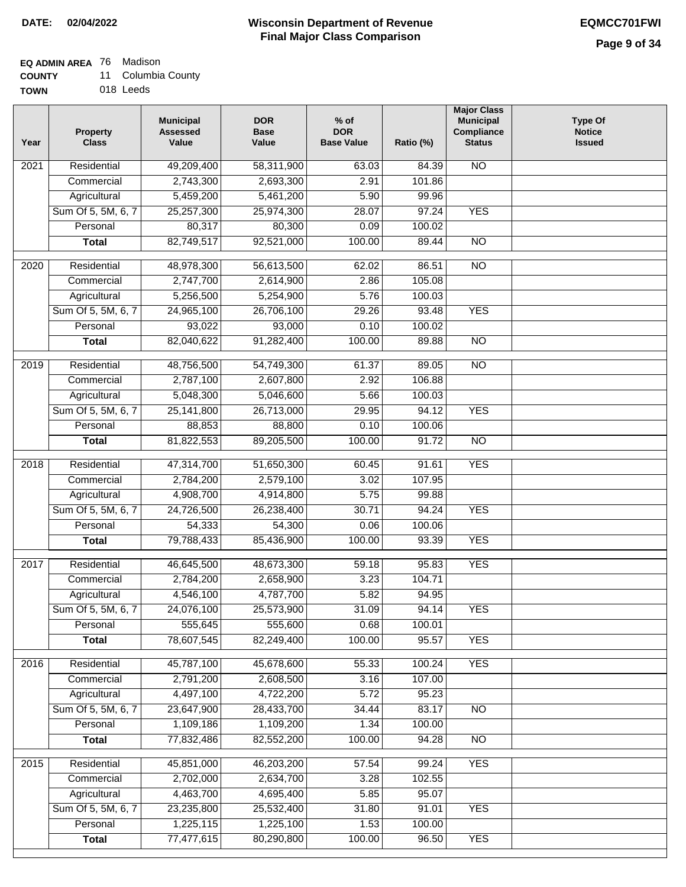### **EQ ADMIN AREA** 76 Madison

**COUNTY** 11 Columbia County

**TOWN** 018 Leeds

| Year              | <b>Property</b><br><b>Class</b> | <b>Municipal</b><br><b>Assessed</b><br>Value | <b>DOR</b><br><b>Base</b><br>Value | $%$ of<br><b>DOR</b><br><b>Base Value</b> | Ratio (%) | <b>Major Class</b><br><b>Municipal</b><br>Compliance<br><b>Status</b> | <b>Type Of</b><br><b>Notice</b><br><b>Issued</b> |
|-------------------|---------------------------------|----------------------------------------------|------------------------------------|-------------------------------------------|-----------|-----------------------------------------------------------------------|--------------------------------------------------|
| $\overline{202}1$ | Residential                     | 49,209,400                                   | 58,311,900                         | 63.03                                     | 84.39     | N <sub>O</sub>                                                        |                                                  |
|                   | Commercial                      | 2,743,300                                    | 2,693,300                          | 2.91                                      | 101.86    |                                                                       |                                                  |
|                   | Agricultural                    | 5,459,200                                    | 5,461,200                          | 5.90                                      | 99.96     |                                                                       |                                                  |
|                   | Sum Of 5, 5M, 6, 7              | 25,257,300                                   | 25,974,300                         | 28.07                                     | 97.24     | <b>YES</b>                                                            |                                                  |
|                   | Personal                        | 80,317                                       | 80,300                             | 0.09                                      | 100.02    |                                                                       |                                                  |
|                   | <b>Total</b>                    | 82,749,517                                   | 92,521,000                         | 100.00                                    | 89.44     | $\overline{NO}$                                                       |                                                  |
| $\overline{2020}$ | Residential                     | 48,978,300                                   | 56,613,500                         | 62.02                                     | 86.51     | $\overline{NO}$                                                       |                                                  |
|                   | Commercial                      | 2,747,700                                    | 2,614,900                          | 2.86                                      | 105.08    |                                                                       |                                                  |
|                   | Agricultural                    | 5,256,500                                    | 5,254,900                          | 5.76                                      | 100.03    |                                                                       |                                                  |
|                   | Sum Of 5, 5M, 6, 7              | 24,965,100                                   | 26,706,100                         | 29.26                                     | 93.48     | <b>YES</b>                                                            |                                                  |
|                   | Personal                        | 93,022                                       | 93,000                             | 0.10                                      | 100.02    |                                                                       |                                                  |
|                   | <b>Total</b>                    | 82,040,622                                   | 91,282,400                         | 100.00                                    | 89.88     | $\overline{NO}$                                                       |                                                  |
|                   |                                 |                                              |                                    |                                           |           |                                                                       |                                                  |
| 2019              | Residential                     | 48,756,500                                   | 54,749,300                         | 61.37                                     | 89.05     | $\overline{NO}$                                                       |                                                  |
|                   | Commercial                      | 2,787,100                                    | 2,607,800                          | 2.92                                      | 106.88    |                                                                       |                                                  |
|                   | Agricultural                    | 5,048,300                                    | 5,046,600                          | 5.66                                      | 100.03    |                                                                       |                                                  |
|                   | Sum Of 5, 5M, 6, 7              | 25,141,800                                   | 26,713,000                         | 29.95                                     | 94.12     | <b>YES</b>                                                            |                                                  |
|                   | Personal                        | 88,853                                       | 88,800                             | 0.10                                      | 100.06    |                                                                       |                                                  |
|                   | <b>Total</b>                    | 81,822,553                                   | 89,205,500                         | 100.00                                    | 91.72     | $\overline{NO}$                                                       |                                                  |
| 2018              | Residential                     | 47,314,700                                   | 51,650,300                         | 60.45                                     | 91.61     | <b>YES</b>                                                            |                                                  |
|                   | Commercial                      | 2,784,200                                    | 2,579,100                          | 3.02                                      | 107.95    |                                                                       |                                                  |
|                   | Agricultural                    | 4,908,700                                    | 4,914,800                          | 5.75                                      | 99.88     |                                                                       |                                                  |
|                   | Sum Of 5, 5M, 6, 7              | 24,726,500                                   | 26,238,400                         | 30.71                                     | 94.24     | <b>YES</b>                                                            |                                                  |
|                   | Personal                        | 54,333                                       | 54,300                             | 0.06                                      | 100.06    |                                                                       |                                                  |
|                   | <b>Total</b>                    | 79,788,433                                   | 85,436,900                         | 100.00                                    | 93.39     | <b>YES</b>                                                            |                                                  |
| $\overline{2017}$ | Residential                     | 46,645,500                                   | 48,673,300                         | 59.18                                     | 95.83     | <b>YES</b>                                                            |                                                  |
|                   | Commercial                      | 2,784,200                                    | 2,658,900                          | 3.23                                      | 104.71    |                                                                       |                                                  |
|                   | Agricultural                    | 4,546,100                                    | 4,787,700                          | 5.82                                      | 94.95     |                                                                       |                                                  |
|                   | Sum Of 5, 5M, 6, 7              | 24,076,100                                   | 25,573,900                         | 31.09                                     | 94.14     | <b>YES</b>                                                            |                                                  |
|                   | Personal                        | 555,645                                      | 555,600                            | 0.68                                      | 100.01    |                                                                       |                                                  |
|                   | <b>Total</b>                    | 78,607,545                                   | 82,249,400                         | 100.00                                    | 95.57     | <b>YES</b>                                                            |                                                  |
| 2016              | Residential                     | 45,787,100                                   | 45,678,600                         | 55.33                                     | 100.24    | <b>YES</b>                                                            |                                                  |
|                   | Commercial                      | 2,791,200                                    | 2,608,500                          | 3.16                                      | 107.00    |                                                                       |                                                  |
|                   | Agricultural                    | 4,497,100                                    | 4,722,200                          | 5.72                                      | 95.23     |                                                                       |                                                  |
|                   | Sum Of 5, 5M, 6, 7              | 23,647,900                                   | 28,433,700                         | 34.44                                     | 83.17     | $\overline{NO}$                                                       |                                                  |
|                   | Personal                        | 1,109,186                                    | 1,109,200                          | 1.34                                      | 100.00    |                                                                       |                                                  |
|                   | <b>Total</b>                    | 77,832,486                                   | 82,552,200                         | 100.00                                    | 94.28     | $\overline{NO}$                                                       |                                                  |
|                   |                                 |                                              |                                    |                                           |           |                                                                       |                                                  |
| 2015              | Residential                     | 45,851,000                                   | 46,203,200                         | 57.54                                     | 99.24     | <b>YES</b>                                                            |                                                  |
|                   | Commercial                      | 2,702,000                                    | 2,634,700                          | 3.28                                      | 102.55    |                                                                       |                                                  |
|                   | Agricultural                    | 4,463,700                                    | 4,695,400                          | 5.85                                      | 95.07     |                                                                       |                                                  |
|                   | Sum Of 5, 5M, 6, 7              | 23,235,800                                   | 25,532,400                         | 31.80                                     | 91.01     | <b>YES</b>                                                            |                                                  |
|                   | Personal                        | 1,225,115                                    | 1,225,100                          | 1.53                                      | 100.00    |                                                                       |                                                  |
|                   | <b>Total</b>                    | 77,477,615                                   | 80,290,800                         | 100.00                                    | 96.50     | <b>YES</b>                                                            |                                                  |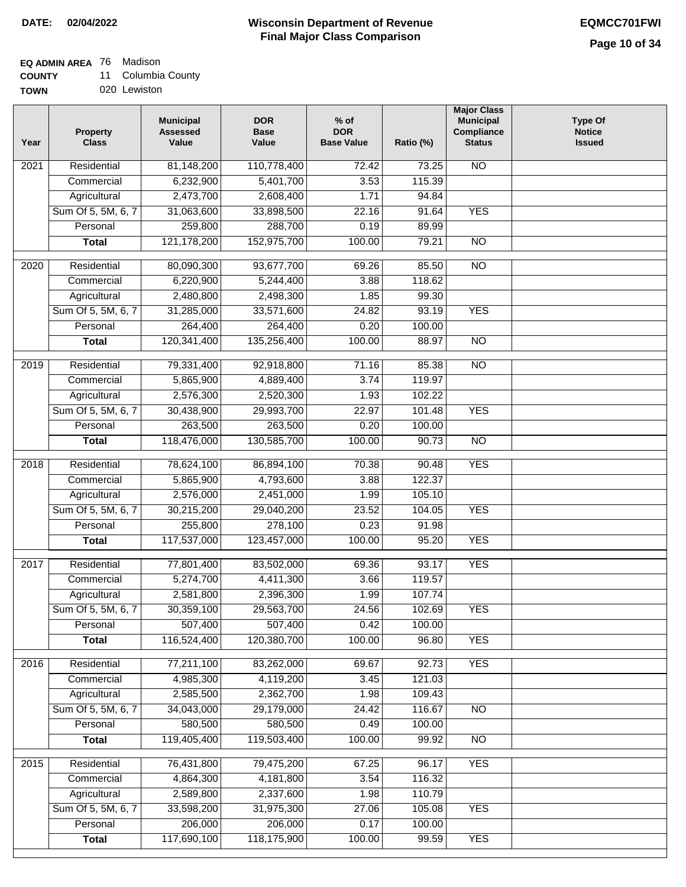## **EQ ADMIN AREA** 76 Madison

**COUNTY** 11 Columbia County

**TOWN** 020 Lewiston

| Year              | <b>Property</b><br><b>Class</b> | <b>Municipal</b><br><b>Assessed</b><br>Value | <b>DOR</b><br><b>Base</b><br>Value | $%$ of<br><b>DOR</b><br><b>Base Value</b> | Ratio (%) | <b>Major Class</b><br><b>Municipal</b><br>Compliance<br><b>Status</b> | <b>Type Of</b><br><b>Notice</b><br><b>Issued</b> |
|-------------------|---------------------------------|----------------------------------------------|------------------------------------|-------------------------------------------|-----------|-----------------------------------------------------------------------|--------------------------------------------------|
| $\overline{202}1$ | Residential                     | 81,148,200                                   | 110,778,400                        | 72.42                                     | 73.25     | <b>NO</b>                                                             |                                                  |
|                   | Commercial                      | 6,232,900                                    | 5,401,700                          | 3.53                                      | 115.39    |                                                                       |                                                  |
|                   | Agricultural                    | 2,473,700                                    | 2,608,400                          | 1.71                                      | 94.84     |                                                                       |                                                  |
|                   | Sum Of 5, 5M, 6, 7              | 31,063,600                                   | 33,898,500                         | 22.16                                     | 91.64     | <b>YES</b>                                                            |                                                  |
|                   | Personal                        | 259,800                                      | 288,700                            | 0.19                                      | 89.99     |                                                                       |                                                  |
|                   | <b>Total</b>                    | 121, 178, 200                                | 152,975,700                        | 100.00                                    | 79.21     | $\overline{NO}$                                                       |                                                  |
| $\overline{2020}$ | Residential                     | 80,090,300                                   | 93,677,700                         | 69.26                                     | 85.50     | $\overline{NO}$                                                       |                                                  |
|                   | Commercial                      | 6,220,900                                    | 5,244,400                          | 3.88                                      | 118.62    |                                                                       |                                                  |
|                   | Agricultural                    | 2,480,800                                    | 2,498,300                          | 1.85                                      | 99.30     |                                                                       |                                                  |
|                   | Sum Of 5, 5M, 6, 7              | 31,285,000                                   | 33,571,600                         | 24.82                                     | 93.19     | <b>YES</b>                                                            |                                                  |
|                   | Personal                        | 264,400                                      | 264,400                            | 0.20                                      | 100.00    |                                                                       |                                                  |
|                   | <b>Total</b>                    | 120,341,400                                  | 135,256,400                        | 100.00                                    | 88.97     | $\overline{NO}$                                                       |                                                  |
| 2019              | Residential                     | 79,331,400                                   | 92,918,800                         | 71.16                                     | 85.38     | $\overline{NO}$                                                       |                                                  |
|                   | Commercial                      | 5,865,900                                    | 4,889,400                          | 3.74                                      | 119.97    |                                                                       |                                                  |
|                   | Agricultural                    | 2,576,300                                    | 2,520,300                          | 1.93                                      | 102.22    |                                                                       |                                                  |
|                   | Sum Of 5, 5M, 6, 7              | 30,438,900                                   | 29,993,700                         | 22.97                                     | 101.48    | <b>YES</b>                                                            |                                                  |
|                   | Personal                        | 263,500                                      | 263,500                            | 0.20                                      | 100.00    |                                                                       |                                                  |
|                   | <b>Total</b>                    | 118,476,000                                  | 130,585,700                        | 100.00                                    | 90.73     | $\overline{NO}$                                                       |                                                  |
| 2018              | Residential                     | 78,624,100                                   | 86,894,100                         | 70.38                                     | 90.48     | <b>YES</b>                                                            |                                                  |
|                   | Commercial                      | 5,865,900                                    | 4,793,600                          | 3.88                                      | 122.37    |                                                                       |                                                  |
|                   | Agricultural                    | 2,576,000                                    | 2,451,000                          | 1.99                                      | 105.10    |                                                                       |                                                  |
|                   | Sum Of 5, 5M, 6, 7              | 30,215,200                                   | 29,040,200                         | 23.52                                     | 104.05    | <b>YES</b>                                                            |                                                  |
|                   | Personal                        | 255,800                                      | 278,100                            | 0.23                                      | 91.98     |                                                                       |                                                  |
|                   | <b>Total</b>                    | 117,537,000                                  | 123,457,000                        | 100.00                                    | 95.20     | <b>YES</b>                                                            |                                                  |
| 2017              | Residential                     | 77,801,400                                   | 83,502,000                         | 69.36                                     | 93.17     | <b>YES</b>                                                            |                                                  |
|                   | Commercial                      | 5,274,700                                    | 4,411,300                          | 3.66                                      | 119.57    |                                                                       |                                                  |
|                   | Agricultural                    | 2,581,800                                    | 2,396,300                          | 1.99                                      | 107.74    |                                                                       |                                                  |
|                   | Sum Of 5, 5M, 6, 7              | 30,359,100                                   | 29,563,700                         | 24.56                                     | 102.69    | <b>YES</b>                                                            |                                                  |
|                   | Personal                        | 507,400                                      | 507,400                            | 0.42                                      | 100.00    |                                                                       |                                                  |
|                   | <b>Total</b>                    | 116,524,400                                  | 120,380,700                        | 100.00                                    | 96.80     | <b>YES</b>                                                            |                                                  |
|                   |                                 |                                              |                                    |                                           |           |                                                                       |                                                  |
| 2016              | Residential                     | 77,211,100                                   | 83,262,000                         | 69.67                                     | 92.73     | <b>YES</b>                                                            |                                                  |
|                   | Commercial                      | 4,985,300                                    | 4,119,200                          | 3.45                                      | 121.03    |                                                                       |                                                  |
|                   | Agricultural                    | 2,585,500                                    | 2,362,700                          | 1.98                                      | 109.43    |                                                                       |                                                  |
|                   | Sum Of 5, 5M, 6, 7              | 34,043,000                                   | 29,179,000                         | 24.42                                     | 116.67    | $\overline{NO}$                                                       |                                                  |
|                   | Personal                        | 580,500                                      | 580,500                            | 0.49                                      | 100.00    |                                                                       |                                                  |
|                   | <b>Total</b>                    | 119,405,400                                  | 119,503,400                        | 100.00                                    | 99.92     | $\overline{NO}$                                                       |                                                  |
| 2015              | Residential                     | 76,431,800                                   | 79,475,200                         | 67.25                                     | 96.17     | <b>YES</b>                                                            |                                                  |
|                   | Commercial                      | 4,864,300                                    | 4,181,800                          | 3.54                                      | 116.32    |                                                                       |                                                  |
|                   | Agricultural                    | 2,589,800                                    | 2,337,600                          | 1.98                                      | 110.79    |                                                                       |                                                  |
|                   | Sum Of 5, 5M, 6, 7              | 33,598,200                                   | 31,975,300                         | 27.06                                     | 105.08    | <b>YES</b>                                                            |                                                  |
|                   | Personal                        | 206,000                                      | 206,000                            | 0.17                                      | 100.00    |                                                                       |                                                  |
|                   | <b>Total</b>                    | 117,690,100                                  | 118,175,900                        | 100.00                                    | 99.59     | <b>YES</b>                                                            |                                                  |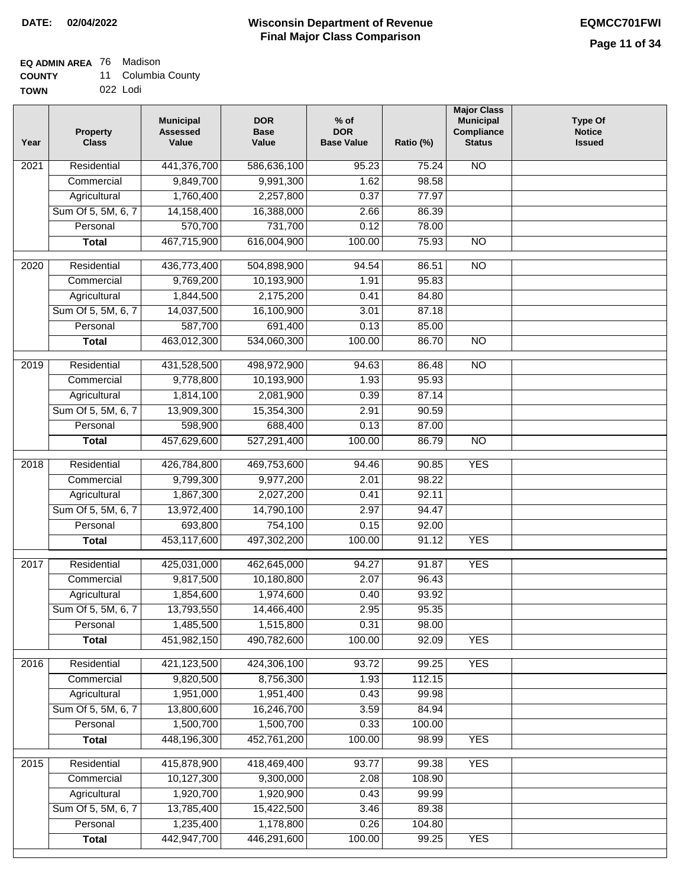# **EQ ADMIN AREA** 76 Madison

| <b>COUNTY</b> |  | 11 Columbia County |  |
|---------------|--|--------------------|--|
|---------------|--|--------------------|--|

**TOWN** 022 Lodi

| Year | <b>Property</b><br><b>Class</b> | <b>Municipal</b><br><b>Assessed</b><br>Value | <b>DOR</b><br><b>Base</b><br>Value | % of<br><b>DOR</b><br><b>Base Value</b> | Ratio (%) | <b>Major Class</b><br><b>Municipal</b><br>Compliance<br><b>Status</b> | <b>Type Of</b><br><b>Notice</b><br><b>Issued</b> |
|------|---------------------------------|----------------------------------------------|------------------------------------|-----------------------------------------|-----------|-----------------------------------------------------------------------|--------------------------------------------------|
| 2021 | Residential                     | 441,376,700                                  | 586,636,100                        | 95.23                                   | 75.24     | N <sub>O</sub>                                                        |                                                  |
|      | Commercial                      | 9,849,700                                    | 9,991,300                          | 1.62                                    | 98.58     |                                                                       |                                                  |
|      | Agricultural                    | 1,760,400                                    | 2,257,800                          | 0.37                                    | 77.97     |                                                                       |                                                  |
|      | Sum Of 5, 5M, 6, 7              | 14,158,400                                   | 16,388,000                         | 2.66                                    | 86.39     |                                                                       |                                                  |
|      | Personal                        | 570,700                                      | 731,700                            | 0.12                                    | 78.00     |                                                                       |                                                  |
|      | <b>Total</b>                    | 467,715,900                                  | 616,004,900                        | 100.00                                  | 75.93     | $\overline{NO}$                                                       |                                                  |
| 2020 | Residential                     | 436,773,400                                  | 504,898,900                        | 94.54                                   | 86.51     | $\overline{10}$                                                       |                                                  |
|      | Commercial                      | 9,769,200                                    | 10,193,900                         | 1.91                                    | 95.83     |                                                                       |                                                  |
|      | Agricultural                    | 1,844,500                                    | 2,175,200                          | 0.41                                    | 84.80     |                                                                       |                                                  |
|      | Sum Of 5, 5M, 6, 7              | 14,037,500                                   | 16,100,900                         | 3.01                                    | 87.18     |                                                                       |                                                  |
|      | Personal                        | 587,700                                      | 691,400                            | 0.13                                    | 85.00     |                                                                       |                                                  |
|      | <b>Total</b>                    | 463,012,300                                  | 534,060,300                        | 100.00                                  | 86.70     | $\overline{NO}$                                                       |                                                  |
| 2019 | Residential                     | 431,528,500                                  | 498,972,900                        | 94.63                                   | 86.48     | $\overline{10}$                                                       |                                                  |
|      | Commercial                      | 9,778,800                                    | 10,193,900                         | 1.93                                    | 95.93     |                                                                       |                                                  |
|      | Agricultural                    | 1,814,100                                    | 2,081,900                          | 0.39                                    | 87.14     |                                                                       |                                                  |
|      | Sum Of 5, 5M, 6, 7              | 13,909,300                                   | 15,354,300                         | 2.91                                    | 90.59     |                                                                       |                                                  |
|      | Personal                        | 598,900                                      | 688,400                            | 0.13                                    | 87.00     |                                                                       |                                                  |
|      | <b>Total</b>                    | 457,629,600                                  | 527,291,400                        | 100.00                                  | 86.79     | $\overline{NO}$                                                       |                                                  |
| 2018 | Residential                     | 426,784,800                                  | 469,753,600                        | 94.46                                   | 90.85     | <b>YES</b>                                                            |                                                  |
|      | Commercial                      | 9,799,300                                    | 9,977,200                          | 2.01                                    | 98.22     |                                                                       |                                                  |
|      | Agricultural                    | 1,867,300                                    | 2,027,200                          | 0.41                                    | 92.11     |                                                                       |                                                  |
|      | Sum Of 5, 5M, 6, 7              | 13,972,400                                   | 14,790,100                         | 2.97                                    | 94.47     |                                                                       |                                                  |
|      | Personal                        | 693,800                                      | 754,100                            | 0.15                                    | 92.00     |                                                                       |                                                  |
|      | <b>Total</b>                    | 453,117,600                                  | 497,302,200                        | 100.00                                  | 91.12     | <b>YES</b>                                                            |                                                  |
| 2017 | Residential                     | 425,031,000                                  | 462,645,000                        | 94.27                                   | 91.87     | <b>YES</b>                                                            |                                                  |
|      | Commercial                      | 9,817,500                                    | 10,180,800                         | 2.07                                    | 96.43     |                                                                       |                                                  |
|      | Agricultural                    | 1,854,600                                    | 1,974,600                          | 0.40                                    | 93.92     |                                                                       |                                                  |
|      | Sum Of 5, 5M, 6, 7              | 13,793,550                                   | 14,466,400                         | 2.95                                    | 95.35     |                                                                       |                                                  |
|      | Personal                        | 1,485,500                                    | 1,515,800                          | 0.31                                    | 98.00     |                                                                       |                                                  |
|      | <b>Total</b>                    | 451,982,150                                  | 490,782,600                        | 100.00                                  | 92.09     | <b>YES</b>                                                            |                                                  |
| 2016 | Residential                     | 421,123,500                                  | 424,306,100                        | 93.72                                   | 99.25     | <b>YES</b>                                                            |                                                  |
|      | Commercial                      | 9,820,500                                    | 8,756,300                          | 1.93                                    | 112.15    |                                                                       |                                                  |
|      | Agricultural                    | 1,951,000                                    | 1,951,400                          | 0.43                                    | 99.98     |                                                                       |                                                  |
|      | Sum Of 5, 5M, 6, 7              | 13,800,600                                   | 16,246,700                         | 3.59                                    | 84.94     |                                                                       |                                                  |
|      | Personal                        | 1,500,700                                    | 1,500,700                          | 0.33                                    | 100.00    |                                                                       |                                                  |
|      | <b>Total</b>                    | 448,196,300                                  | 452,761,200                        | 100.00                                  | 98.99     | <b>YES</b>                                                            |                                                  |
| 2015 | Residential                     | 415,878,900                                  | 418,469,400                        | 93.77                                   | 99.38     | <b>YES</b>                                                            |                                                  |
|      | Commercial                      | 10,127,300                                   | 9,300,000                          | 2.08                                    | 108.90    |                                                                       |                                                  |
|      | Agricultural                    | 1,920,700                                    | 1,920,900                          | 0.43                                    | 99.99     |                                                                       |                                                  |
|      | Sum Of 5, 5M, 6, 7              | 13,785,400                                   | 15,422,500                         | 3.46                                    | 89.38     |                                                                       |                                                  |
|      | Personal                        | 1,235,400                                    | 1,178,800                          | 0.26                                    | 104.80    |                                                                       |                                                  |
|      | <b>Total</b>                    | 442,947,700                                  | 446,291,600                        | 100.00                                  | 99.25     | <b>YES</b>                                                            |                                                  |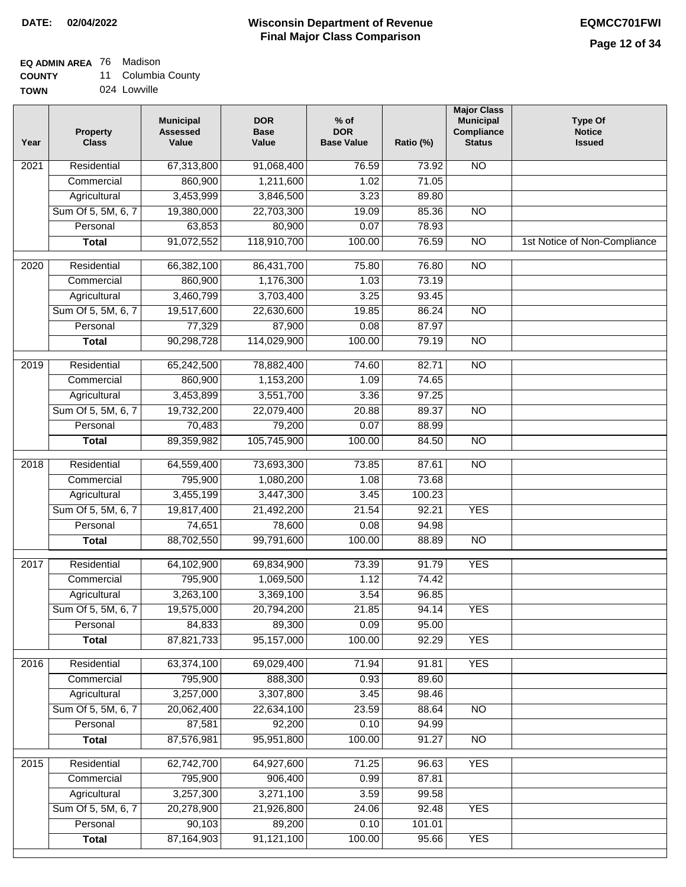### **EQ ADMIN AREA** 76 Madison

| <b>COUNTY</b> | 11 Columbia County |
|---------------|--------------------|
|---------------|--------------------|

**TOWN** 024 Lowville

| Year | <b>Property</b><br><b>Class</b> | <b>Municipal</b><br><b>Assessed</b><br>Value | <b>DOR</b><br><b>Base</b><br>Value | $%$ of<br><b>DOR</b><br><b>Base Value</b> | Ratio (%) | <b>Major Class</b><br><b>Municipal</b><br>Compliance<br><b>Status</b> | <b>Type Of</b><br><b>Notice</b><br><b>Issued</b> |
|------|---------------------------------|----------------------------------------------|------------------------------------|-------------------------------------------|-----------|-----------------------------------------------------------------------|--------------------------------------------------|
| 2021 | Residential                     | 67,313,800                                   | 91,068,400                         | 76.59                                     | 73.92     | <b>NO</b>                                                             |                                                  |
|      | Commercial                      | 860,900                                      | 1,211,600                          | 1.02                                      | 71.05     |                                                                       |                                                  |
|      | Agricultural                    | 3,453,999                                    | 3,846,500                          | 3.23                                      | 89.80     |                                                                       |                                                  |
|      | Sum Of 5, 5M, 6, 7              | 19,380,000                                   | 22,703,300                         | 19.09                                     | 85.36     | $\overline{NO}$                                                       |                                                  |
|      | Personal                        | 63,853                                       | 80,900                             | 0.07                                      | 78.93     |                                                                       |                                                  |
|      | <b>Total</b>                    | 91,072,552                                   | 118,910,700                        | 100.00                                    | 76.59     | $\overline{NO}$                                                       | 1st Notice of Non-Compliance                     |
| 2020 | Residential                     | 66,382,100                                   | 86,431,700                         | 75.80                                     | 76.80     | $\overline{NO}$                                                       |                                                  |
|      | Commercial                      | 860,900                                      | 1,176,300                          | 1.03                                      | 73.19     |                                                                       |                                                  |
|      | Agricultural                    | 3,460,799                                    | 3,703,400                          | 3.25                                      | 93.45     |                                                                       |                                                  |
|      | Sum Of 5, 5M, 6, 7              | 19,517,600                                   | 22,630,600                         | 19.85                                     | 86.24     | <b>NO</b>                                                             |                                                  |
|      | Personal                        | 77,329                                       | 87,900                             | 0.08                                      | 87.97     |                                                                       |                                                  |
|      | <b>Total</b>                    | 90,298,728                                   | 114,029,900                        | 100.00                                    | 79.19     | $\overline{NO}$                                                       |                                                  |
| 2019 | Residential                     | 65,242,500                                   | 78,882,400                         | 74.60                                     | 82.71     | $\overline{NO}$                                                       |                                                  |
|      | Commercial                      | 860,900                                      | 1,153,200                          | 1.09                                      | 74.65     |                                                                       |                                                  |
|      | Agricultural                    | 3,453,899                                    | 3,551,700                          | 3.36                                      | 97.25     |                                                                       |                                                  |
|      | Sum Of 5, 5M, 6, 7              | 19,732,200                                   | 22,079,400                         | 20.88                                     | 89.37     | $\overline{NO}$                                                       |                                                  |
|      | Personal                        | 70,483                                       | 79,200                             | 0.07                                      | 88.99     |                                                                       |                                                  |
|      | <b>Total</b>                    | 89,359,982                                   | 105,745,900                        | 100.00                                    | 84.50     | $\overline{NO}$                                                       |                                                  |
| 2018 | Residential                     | 64,559,400                                   | 73,693,300                         | 73.85                                     | 87.61     | $\overline{NO}$                                                       |                                                  |
|      | Commercial                      | 795,900                                      | 1,080,200                          | 1.08                                      | 73.68     |                                                                       |                                                  |
|      | Agricultural                    | 3,455,199                                    | 3,447,300                          | 3.45                                      | 100.23    |                                                                       |                                                  |
|      | Sum Of 5, 5M, 6, 7              | 19,817,400                                   | 21,492,200                         | 21.54                                     | 92.21     | <b>YES</b>                                                            |                                                  |
|      | Personal                        | 74,651                                       | 78,600                             | 0.08                                      | 94.98     |                                                                       |                                                  |
|      | <b>Total</b>                    | 88,702,550                                   | 99,791,600                         | 100.00                                    | 88.89     | <b>NO</b>                                                             |                                                  |
| 2017 | Residential                     | 64,102,900                                   | 69,834,900                         | 73.39                                     | 91.79     | <b>YES</b>                                                            |                                                  |
|      | Commercial                      | 795,900                                      | 1,069,500                          | 1.12                                      | 74.42     |                                                                       |                                                  |
|      | Agricultural                    | 3,263,100                                    | 3,369,100                          | 3.54                                      | 96.85     |                                                                       |                                                  |
|      | Sum Of 5, 5M, 6, 7              | 19,575,000                                   | 20,794,200                         | 21.85                                     | 94.14     | <b>YES</b>                                                            |                                                  |
|      | Personal                        | 84,833                                       | 89,300                             | 0.09                                      | 95.00     |                                                                       |                                                  |
|      | <b>Total</b>                    | 87,821,733                                   | 95,157,000                         | 100.00                                    | 92.29     | <b>YES</b>                                                            |                                                  |
| 2016 | Residential                     | 63,374,100                                   | 69,029,400                         | 71.94                                     | 91.81     | <b>YES</b>                                                            |                                                  |
|      | Commercial                      | 795,900                                      | 888,300                            | 0.93                                      | 89.60     |                                                                       |                                                  |
|      | Agricultural                    | 3,257,000                                    | 3,307,800                          | 3.45                                      | 98.46     |                                                                       |                                                  |
|      | Sum Of 5, 5M, 6, 7              | 20,062,400                                   | 22,634,100                         | 23.59                                     | 88.64     | N <sub>O</sub>                                                        |                                                  |
|      | Personal                        | 87,581                                       | 92,200                             | 0.10                                      | 94.99     |                                                                       |                                                  |
|      | <b>Total</b>                    | 87,576,981                                   | 95,951,800                         | 100.00                                    | 91.27     | N <sub>O</sub>                                                        |                                                  |
| 2015 | Residential                     | 62,742,700                                   | 64,927,600                         | 71.25                                     | 96.63     | <b>YES</b>                                                            |                                                  |
|      | Commercial                      | 795,900                                      | 906,400                            | 0.99                                      | 87.81     |                                                                       |                                                  |
|      | Agricultural                    | 3,257,300                                    | 3,271,100                          | 3.59                                      | 99.58     |                                                                       |                                                  |
|      | Sum Of 5, 5M, 6, 7              | 20,278,900                                   | 21,926,800                         | 24.06                                     | 92.48     | <b>YES</b>                                                            |                                                  |
|      | Personal                        | 90,103                                       | 89,200                             | 0.10                                      | 101.01    |                                                                       |                                                  |
|      | <b>Total</b>                    | 87, 164, 903                                 | 91,121,100                         | 100.00                                    | 95.66     | <b>YES</b>                                                            |                                                  |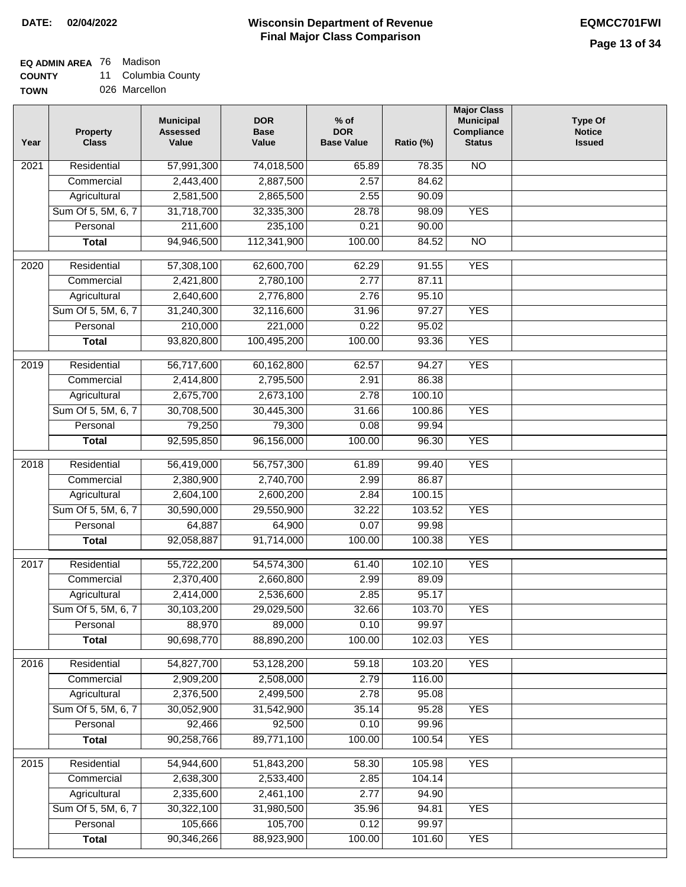#### **Wisconsin Department of Revenue Final Major Class Comparison DATE: 02/04/2022 EQMCC701FWI**

٦

## **EQ ADMIN AREA** 76 Madison

**COUNTY** 11 Columbia County

| Year              | <b>Property</b><br><b>Class</b> | <b>Municipal</b><br><b>Assessed</b><br>Value | <b>DOR</b><br><b>Base</b><br>Value | $%$ of<br><b>DOR</b><br><b>Base Value</b> | Ratio (%) | <b>Major Class</b><br><b>Municipal</b><br>Compliance<br><b>Status</b> | <b>Type Of</b><br><b>Notice</b><br><b>Issued</b> |
|-------------------|---------------------------------|----------------------------------------------|------------------------------------|-------------------------------------------|-----------|-----------------------------------------------------------------------|--------------------------------------------------|
| 2021              | Residential                     | 57,991,300                                   | 74,018,500                         | 65.89                                     | 78.35     | <b>NO</b>                                                             |                                                  |
|                   | Commercial                      | 2,443,400                                    | 2,887,500                          | 2.57                                      | 84.62     |                                                                       |                                                  |
|                   | Agricultural                    | 2,581,500                                    | 2,865,500                          | 2.55                                      | 90.09     |                                                                       |                                                  |
|                   | Sum Of 5, 5M, 6, 7              | 31,718,700                                   | 32,335,300                         | 28.78                                     | 98.09     | <b>YES</b>                                                            |                                                  |
|                   | Personal                        | 211,600                                      | 235,100                            | 0.21                                      | 90.00     |                                                                       |                                                  |
|                   | <b>Total</b>                    | 94,946,500                                   | 112,341,900                        | 100.00                                    | 84.52     | $\overline{NO}$                                                       |                                                  |
| $\overline{2020}$ | Residential                     | 57,308,100                                   | 62,600,700                         | 62.29                                     | 91.55     | <b>YES</b>                                                            |                                                  |
|                   | Commercial                      | 2,421,800                                    | 2,780,100                          | 2.77                                      | 87.11     |                                                                       |                                                  |
|                   | Agricultural                    | 2,640,600                                    | 2,776,800                          | 2.76                                      | 95.10     |                                                                       |                                                  |
|                   | Sum Of 5, 5M, 6, 7              | 31,240,300                                   | 32,116,600                         | 31.96                                     | 97.27     | <b>YES</b>                                                            |                                                  |
|                   | Personal                        | 210,000                                      | 221,000                            | 0.22                                      | 95.02     |                                                                       |                                                  |
|                   | <b>Total</b>                    | 93,820,800                                   | 100,495,200                        | 100.00                                    | 93.36     | <b>YES</b>                                                            |                                                  |
|                   |                                 |                                              |                                    |                                           |           |                                                                       |                                                  |
| $\frac{1}{2019}$  | Residential                     | 56,717,600                                   | 60,162,800                         | 62.57                                     | 94.27     | <b>YES</b>                                                            |                                                  |
|                   | Commercial                      | 2,414,800                                    | 2,795,500                          | 2.91                                      | 86.38     |                                                                       |                                                  |
|                   | Agricultural                    | 2,675,700                                    | 2,673,100                          | 2.78                                      | 100.10    |                                                                       |                                                  |
|                   | Sum Of 5, 5M, 6, 7              | 30,708,500                                   | 30,445,300                         | 31.66                                     | 100.86    | <b>YES</b>                                                            |                                                  |
|                   | Personal                        | 79,250                                       | 79,300                             | 0.08                                      | 99.94     |                                                                       |                                                  |
|                   | <b>Total</b>                    | 92,595,850                                   | 96,156,000                         | 100.00                                    | 96.30     | <b>YES</b>                                                            |                                                  |
| 2018              | Residential                     | 56,419,000                                   | 56,757,300                         | 61.89                                     | 99.40     | <b>YES</b>                                                            |                                                  |
|                   | Commercial                      | 2,380,900                                    | 2,740,700                          | 2.99                                      | 86.87     |                                                                       |                                                  |
|                   | Agricultural                    | 2,604,100                                    | 2,600,200                          | 2.84                                      | 100.15    |                                                                       |                                                  |
|                   | Sum Of 5, 5M, 6, 7              | 30,590,000                                   | 29,550,900                         | 32.22                                     | 103.52    | <b>YES</b>                                                            |                                                  |
|                   | Personal                        | 64,887                                       | 64,900                             | 0.07                                      | 99.98     |                                                                       |                                                  |
|                   | <b>Total</b>                    | 92,058,887                                   | 91,714,000                         | 100.00                                    | 100.38    | <b>YES</b>                                                            |                                                  |
| 2017              | Residential                     | 55,722,200                                   | 54,574,300                         | 61.40                                     | 102.10    | <b>YES</b>                                                            |                                                  |
|                   | Commercial                      | 2,370,400                                    | 2,660,800                          | 2.99                                      | 89.09     |                                                                       |                                                  |
|                   | Agricultural                    | 2,414,000                                    | 2,536,600                          | 2.85                                      | 95.17     |                                                                       |                                                  |
|                   | Sum Of 5, 5M, 6, 7              | 30,103,200                                   | 29,029,500                         | 32.66                                     | 103.70    | <b>YES</b>                                                            |                                                  |
|                   | Personal                        | 88,970                                       | 89,000                             | 0.10                                      | 99.97     |                                                                       |                                                  |
|                   | <b>Total</b>                    | 90,698,770                                   | 88,890,200                         | 100.00                                    | 102.03    | <b>YES</b>                                                            |                                                  |
| 2016              | Residential                     | 54,827,700                                   | 53,128,200                         | 59.18                                     | 103.20    | <b>YES</b>                                                            |                                                  |
|                   | Commercial                      | 2,909,200                                    | 2,508,000                          | 2.79                                      | 116.00    |                                                                       |                                                  |
|                   | Agricultural                    | 2,376,500                                    | 2,499,500                          | 2.78                                      | 95.08     |                                                                       |                                                  |
|                   | Sum Of 5, 5M, 6, 7              | 30,052,900                                   | 31,542,900                         | 35.14                                     | 95.28     | <b>YES</b>                                                            |                                                  |
|                   | Personal                        | 92,466                                       | 92,500                             | 0.10                                      | 99.96     |                                                                       |                                                  |
|                   | <b>Total</b>                    | 90,258,766                                   | 89,771,100                         | 100.00                                    | 100.54    | <b>YES</b>                                                            |                                                  |
|                   |                                 |                                              |                                    |                                           |           |                                                                       |                                                  |
| 2015              | Residential                     | 54,944,600                                   | 51,843,200                         | 58.30                                     | 105.98    | <b>YES</b>                                                            |                                                  |
|                   | Commercial                      | 2,638,300                                    | 2,533,400                          | 2.85                                      | 104.14    |                                                                       |                                                  |
|                   | Agricultural                    | 2,335,600                                    | 2,461,100                          | 2.77                                      | 94.90     |                                                                       |                                                  |
|                   | Sum Of 5, 5M, 6, 7              | 30,322,100                                   | 31,980,500                         | 35.96                                     | 94.81     | <b>YES</b>                                                            |                                                  |
|                   | Personal                        | 105,666                                      | 105,700                            | 0.12                                      | 99.97     |                                                                       |                                                  |
|                   | <b>Total</b>                    | 90,346,266                                   | 88,923,900                         | 100.00                                    | 101.60    | <b>YES</b>                                                            |                                                  |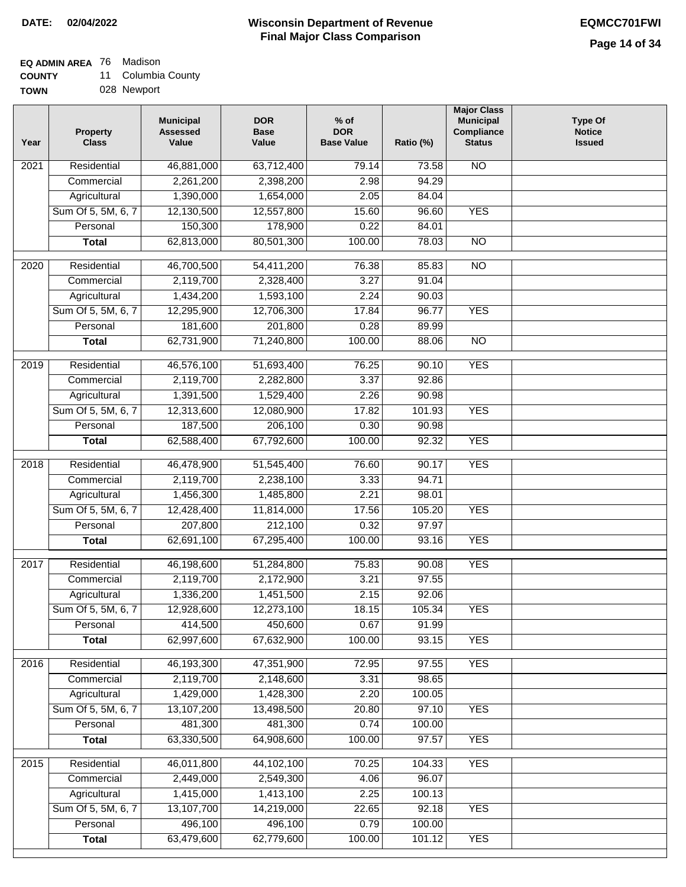## **EQ ADMIN AREA** 76 Madison

**COUNTY** 11 Columbia County

**TOWN** 028 Newport

| Year              | <b>Property</b><br><b>Class</b> | <b>Municipal</b><br><b>Assessed</b><br>Value | <b>DOR</b><br><b>Base</b><br>Value | $%$ of<br><b>DOR</b><br><b>Base Value</b> | Ratio (%) | <b>Major Class</b><br><b>Municipal</b><br>Compliance<br><b>Status</b> | <b>Type Of</b><br><b>Notice</b><br><b>Issued</b> |
|-------------------|---------------------------------|----------------------------------------------|------------------------------------|-------------------------------------------|-----------|-----------------------------------------------------------------------|--------------------------------------------------|
| $\overline{202}1$ | Residential                     | 46,881,000                                   | 63,712,400                         | 79.14                                     | 73.58     | <b>NO</b>                                                             |                                                  |
|                   | Commercial                      | 2,261,200                                    | 2,398,200                          | 2.98                                      | 94.29     |                                                                       |                                                  |
|                   | Agricultural                    | 1,390,000                                    | 1,654,000                          | 2.05                                      | 84.04     |                                                                       |                                                  |
|                   | Sum Of 5, 5M, 6, 7              | 12,130,500                                   | 12,557,800                         | 15.60                                     | 96.60     | <b>YES</b>                                                            |                                                  |
|                   | Personal                        | 150,300                                      | 178,900                            | 0.22                                      | 84.01     |                                                                       |                                                  |
|                   | <b>Total</b>                    | 62,813,000                                   | 80,501,300                         | 100.00                                    | 78.03     | $\overline{NO}$                                                       |                                                  |
| $\overline{2020}$ | Residential                     | 46,700,500                                   | 54,411,200                         | 76.38                                     | 85.83     | $\overline{10}$                                                       |                                                  |
|                   | Commercial                      | 2,119,700                                    | 2,328,400                          | 3.27                                      | 91.04     |                                                                       |                                                  |
|                   | Agricultural                    | 1,434,200                                    | 1,593,100                          | 2.24                                      | 90.03     |                                                                       |                                                  |
|                   | Sum Of 5, 5M, 6, 7              | 12,295,900                                   | 12,706,300                         | 17.84                                     | 96.77     | <b>YES</b>                                                            |                                                  |
|                   | Personal                        | 181,600                                      | 201,800                            | 0.28                                      | 89.99     |                                                                       |                                                  |
|                   | <b>Total</b>                    | 62,731,900                                   | 71,240,800                         | 100.00                                    | 88.06     | $\overline{NO}$                                                       |                                                  |
|                   |                                 |                                              |                                    |                                           |           |                                                                       |                                                  |
| 2019              | Residential                     | 46,576,100                                   | 51,693,400                         | 76.25                                     | 90.10     | <b>YES</b>                                                            |                                                  |
|                   | Commercial                      | 2,119,700                                    | 2,282,800                          | 3.37                                      | 92.86     |                                                                       |                                                  |
|                   | Agricultural                    | 1,391,500                                    | 1,529,400                          | 2.26                                      | 90.98     |                                                                       |                                                  |
|                   | Sum Of 5, 5M, 6, 7              | 12,313,600                                   | 12,080,900                         | 17.82                                     | 101.93    | <b>YES</b>                                                            |                                                  |
|                   | Personal                        | 187,500                                      | 206,100                            | 0.30                                      | 90.98     |                                                                       |                                                  |
|                   | <b>Total</b>                    | 62,588,400                                   | 67,792,600                         | 100.00                                    | 92.32     | <b>YES</b>                                                            |                                                  |
| 2018              | Residential                     | 46,478,900                                   | 51,545,400                         | 76.60                                     | 90.17     | <b>YES</b>                                                            |                                                  |
|                   | Commercial                      | 2,119,700                                    | 2,238,100                          | 3.33                                      | 94.71     |                                                                       |                                                  |
|                   | Agricultural                    | 1,456,300                                    | 1,485,800                          | 2.21                                      | 98.01     |                                                                       |                                                  |
|                   | Sum Of 5, 5M, 6, 7              | 12,428,400                                   | 11,814,000                         | 17.56                                     | 105.20    | <b>YES</b>                                                            |                                                  |
|                   | Personal                        | 207,800                                      | 212,100                            | 0.32                                      | 97.97     |                                                                       |                                                  |
|                   | <b>Total</b>                    | 62,691,100                                   | 67,295,400                         | 100.00                                    | 93.16     | <b>YES</b>                                                            |                                                  |
| 2017              | Residential                     | 46,198,600                                   | 51,284,800                         | 75.83                                     | 90.08     | <b>YES</b>                                                            |                                                  |
|                   | Commercial                      | 2,119,700                                    | 2,172,900                          | 3.21                                      | 97.55     |                                                                       |                                                  |
|                   | Agricultural                    | 1,336,200                                    | 1,451,500                          | 2.15                                      | 92.06     |                                                                       |                                                  |
|                   | Sum Of 5, 5M, 6, 7              | 12,928,600                                   | 12,273,100                         | 18.15                                     | 105.34    | <b>YES</b>                                                            |                                                  |
|                   | Personal                        | 414,500                                      | 450,600                            | 0.67                                      | 91.99     |                                                                       |                                                  |
|                   | <b>Total</b>                    | 62,997,600                                   | 67,632,900                         | 100.00                                    | 93.15     | <b>YES</b>                                                            |                                                  |
|                   |                                 |                                              |                                    |                                           |           |                                                                       |                                                  |
| 2016              | Residential                     | 46,193,300                                   | 47,351,900                         | 72.95                                     | 97.55     | <b>YES</b>                                                            |                                                  |
|                   | Commercial                      | 2,119,700                                    | 2,148,600                          | 3.31                                      | 98.65     |                                                                       |                                                  |
|                   | Agricultural                    | 1,429,000                                    | 1,428,300                          | 2.20                                      | 100.05    |                                                                       |                                                  |
|                   | Sum Of 5, 5M, 6, 7              | 13,107,200                                   | 13,498,500                         | 20.80                                     | 97.10     | <b>YES</b>                                                            |                                                  |
|                   | Personal                        | 481,300                                      | 481,300                            | 0.74                                      | 100.00    |                                                                       |                                                  |
|                   | <b>Total</b>                    | 63,330,500                                   | 64,908,600                         | 100.00                                    | 97.57     | <b>YES</b>                                                            |                                                  |
| 2015              | Residential                     | 46,011,800                                   | 44,102,100                         | 70.25                                     | 104.33    | <b>YES</b>                                                            |                                                  |
|                   | Commercial                      | 2,449,000                                    | 2,549,300                          | 4.06                                      | 96.07     |                                                                       |                                                  |
|                   | Agricultural                    | 1,415,000                                    | 1,413,100                          | 2.25                                      | 100.13    |                                                                       |                                                  |
|                   | Sum Of 5, 5M, 6, 7              | 13,107,700                                   | 14,219,000                         | 22.65                                     | 92.18     | <b>YES</b>                                                            |                                                  |
|                   | Personal                        | 496,100                                      | 496,100                            | 0.79                                      | 100.00    |                                                                       |                                                  |
|                   | <b>Total</b>                    | 63,479,600                                   | 62,779,600                         | 100.00                                    | 101.12    | <b>YES</b>                                                            |                                                  |
|                   |                                 |                                              |                                    |                                           |           |                                                                       |                                                  |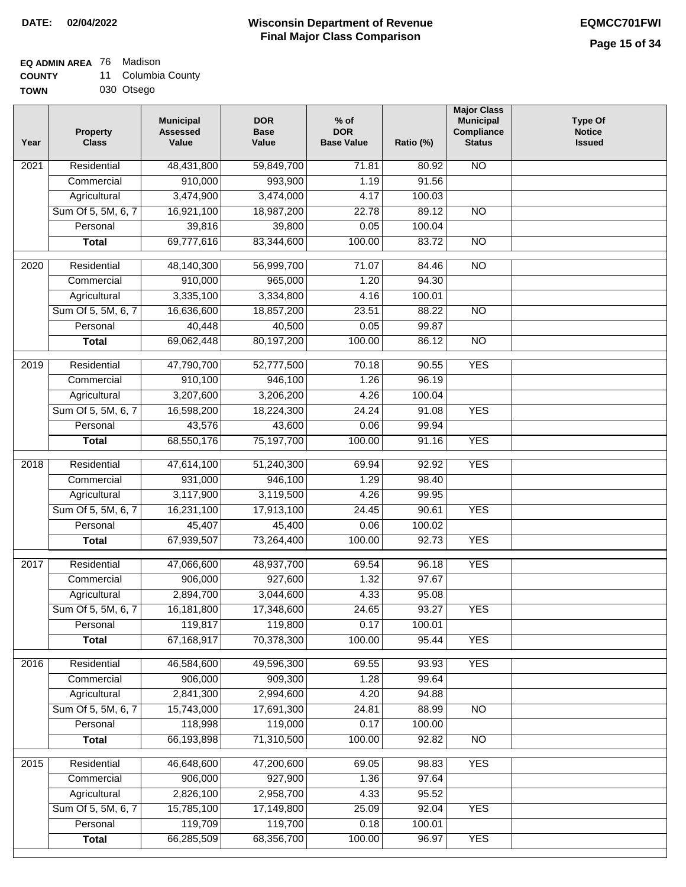# **EQ ADMIN AREA** 76 Madison

| <b>COUNTY</b> |  | 11 Columbia County |  |
|---------------|--|--------------------|--|
|---------------|--|--------------------|--|

**TOWN** 030 Otsego

| Year | <b>Property</b><br><b>Class</b> | <b>Municipal</b><br><b>Assessed</b><br>Value | <b>DOR</b><br><b>Base</b><br>Value | $%$ of<br><b>DOR</b><br><b>Base Value</b> | Ratio (%) | <b>Major Class</b><br><b>Municipal</b><br>Compliance<br><b>Status</b> | <b>Type Of</b><br><b>Notice</b><br><b>Issued</b> |
|------|---------------------------------|----------------------------------------------|------------------------------------|-------------------------------------------|-----------|-----------------------------------------------------------------------|--------------------------------------------------|
| 2021 | Residential                     | 48,431,800                                   | 59,849,700                         | 71.81                                     | 80.92     | <b>NO</b>                                                             |                                                  |
|      | Commercial                      | 910,000                                      | 993,900                            | 1.19                                      | 91.56     |                                                                       |                                                  |
|      | Agricultural                    | 3,474,900                                    | 3,474,000                          | 4.17                                      | 100.03    |                                                                       |                                                  |
|      | Sum Of 5, 5M, 6, 7              | 16,921,100                                   | 18,987,200                         | 22.78                                     | 89.12     | $\overline{NO}$                                                       |                                                  |
|      | Personal                        | 39,816                                       | 39,800                             | 0.05                                      | 100.04    |                                                                       |                                                  |
|      | <b>Total</b>                    | 69,777,616                                   | 83,344,600                         | 100.00                                    | 83.72     | $\overline{NO}$                                                       |                                                  |
| 2020 | Residential                     | 48,140,300                                   | 56,999,700                         | 71.07                                     | 84.46     | $\overline{NO}$                                                       |                                                  |
|      | Commercial                      | 910,000                                      | 965,000                            | 1.20                                      | 94.30     |                                                                       |                                                  |
|      | Agricultural                    | 3,335,100                                    | 3,334,800                          | 4.16                                      | 100.01    |                                                                       |                                                  |
|      | Sum Of 5, 5M, 6, 7              | 16,636,600                                   | 18,857,200                         | 23.51                                     | 88.22     | <b>NO</b>                                                             |                                                  |
|      | Personal                        | 40,448                                       | 40,500                             | 0.05                                      | 99.87     |                                                                       |                                                  |
|      | <b>Total</b>                    | 69,062,448                                   | 80,197,200                         | 100.00                                    | 86.12     | $\overline{NO}$                                                       |                                                  |
| 2019 | Residential                     | 47,790,700                                   | 52,777,500                         | 70.18                                     | 90.55     | <b>YES</b>                                                            |                                                  |
|      | Commercial                      | 910,100                                      | 946,100                            | 1.26                                      | 96.19     |                                                                       |                                                  |
|      | Agricultural                    | 3,207,600                                    | 3,206,200                          | 4.26                                      | 100.04    |                                                                       |                                                  |
|      | Sum Of 5, 5M, 6, 7              | 16,598,200                                   | 18,224,300                         | 24.24                                     | 91.08     | <b>YES</b>                                                            |                                                  |
|      | Personal                        | 43,576                                       | 43,600                             | 0.06                                      | 99.94     |                                                                       |                                                  |
|      | <b>Total</b>                    | 68,550,176                                   | 75,197,700                         | 100.00                                    | 91.16     | <b>YES</b>                                                            |                                                  |
|      | Residential                     |                                              |                                    |                                           | 92.92     | <b>YES</b>                                                            |                                                  |
| 2018 | Commercial                      | 47,614,100<br>931,000                        | 51,240,300<br>946,100              | 69.94<br>1.29                             | 98.40     |                                                                       |                                                  |
|      | Agricultural                    | 3,117,900                                    | 3,119,500                          | 4.26                                      | 99.95     |                                                                       |                                                  |
|      | Sum Of 5, 5M, 6, 7              | 16,231,100                                   | 17,913,100                         | 24.45                                     | 90.61     | <b>YES</b>                                                            |                                                  |
|      | Personal                        | 45,407                                       | 45,400                             | 0.06                                      | 100.02    |                                                                       |                                                  |
|      | <b>Total</b>                    | 67,939,507                                   | 73,264,400                         | 100.00                                    | 92.73     | <b>YES</b>                                                            |                                                  |
|      |                                 |                                              |                                    |                                           |           |                                                                       |                                                  |
| 2017 | Residential                     | 47,066,600                                   | 48,937,700                         | 69.54                                     | 96.18     | <b>YES</b>                                                            |                                                  |
|      | Commercial                      | 906,000                                      | 927,600                            | 1.32                                      | 97.67     |                                                                       |                                                  |
|      | Agricultural                    | 2,894,700                                    | 3,044,600                          | 4.33                                      | 95.08     |                                                                       |                                                  |
|      | Sum Of 5, 5M, 6, 7              | 16,181,800                                   | 17,348,600                         | 24.65                                     | 93.27     | <b>YES</b>                                                            |                                                  |
|      | Personal                        | 119,817                                      | 119,800                            | 0.17                                      | 100.01    |                                                                       |                                                  |
|      | <b>Total</b>                    | 67,168,917                                   | 70,378,300                         | 100.00                                    | 95.44     | <b>YES</b>                                                            |                                                  |
| 2016 | Residential                     | 46,584,600                                   | 49,596,300                         | 69.55                                     | 93.93     | <b>YES</b>                                                            |                                                  |
|      | Commercial                      | 906,000                                      | 909,300                            | 1.28                                      | 99.64     |                                                                       |                                                  |
|      | Agricultural                    | 2,841,300                                    | 2,994,600                          | 4.20                                      | 94.88     |                                                                       |                                                  |
|      | Sum Of 5, 5M, 6, 7              | 15,743,000                                   | 17,691,300                         | 24.81                                     | 88.99     | N <sub>O</sub>                                                        |                                                  |
|      | Personal                        | 118,998                                      | 119,000                            | 0.17                                      | 100.00    |                                                                       |                                                  |
|      | <b>Total</b>                    | 66,193,898                                   | 71,310,500                         | 100.00                                    | 92.82     | N <sub>O</sub>                                                        |                                                  |
| 2015 | Residential                     | 46,648,600                                   | 47,200,600                         | 69.05                                     | 98.83     | <b>YES</b>                                                            |                                                  |
|      | Commercial                      | 906,000                                      | 927,900                            | 1.36                                      | 97.64     |                                                                       |                                                  |
|      | Agricultural                    | 2,826,100                                    | 2,958,700                          | 4.33                                      | 95.52     |                                                                       |                                                  |
|      | Sum Of 5, 5M, 6, 7              | 15,785,100                                   | 17,149,800                         | 25.09                                     | 92.04     | <b>YES</b>                                                            |                                                  |
|      | Personal                        | 119,709                                      | 119,700                            | 0.18                                      | 100.01    |                                                                       |                                                  |
|      | <b>Total</b>                    | 66,285,509                                   | 68,356,700                         | 100.00                                    | 96.97     | <b>YES</b>                                                            |                                                  |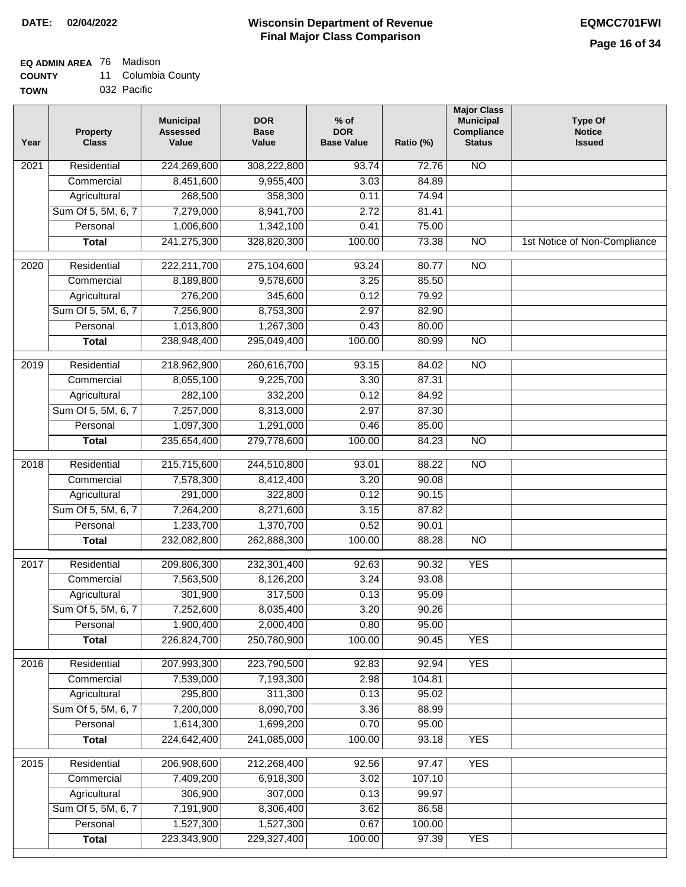# **EQ ADMIN AREA** 76 Madison

| <b>COUNTY</b> |  | 11 Columbia County |  |
|---------------|--|--------------------|--|
|---------------|--|--------------------|--|

**TOWN** 032 Pacific

| Year | <b>Property</b><br><b>Class</b> | <b>Municipal</b><br><b>Assessed</b><br>Value | <b>DOR</b><br><b>Base</b><br>Value | $%$ of<br><b>DOR</b><br><b>Base Value</b> | Ratio (%) | <b>Major Class</b><br><b>Municipal</b><br>Compliance<br><b>Status</b> | <b>Type Of</b><br><b>Notice</b><br><b>Issued</b> |
|------|---------------------------------|----------------------------------------------|------------------------------------|-------------------------------------------|-----------|-----------------------------------------------------------------------|--------------------------------------------------|
| 2021 | Residential                     | 224,269,600                                  | 308,222,800                        | 93.74                                     | 72.76     | <b>NO</b>                                                             |                                                  |
|      | Commercial                      | 8,451,600                                    | 9,955,400                          | 3.03                                      | 84.89     |                                                                       |                                                  |
|      | Agricultural                    | 268,500                                      | 358,300                            | 0.11                                      | 74.94     |                                                                       |                                                  |
|      | Sum Of 5, 5M, 6, 7              | 7,279,000                                    | 8,941,700                          | 2.72                                      | 81.41     |                                                                       |                                                  |
|      | Personal                        | 1,006,600                                    | 1,342,100                          | 0.41                                      | 75.00     |                                                                       |                                                  |
|      | <b>Total</b>                    | 241,275,300                                  | 328,820,300                        | 100.00                                    | 73.38     | $\overline{NO}$                                                       | 1st Notice of Non-Compliance                     |
| 2020 | Residential                     | 222,211,700                                  | 275,104,600                        | 93.24                                     | 80.77     | $\overline{NO}$                                                       |                                                  |
|      | Commercial                      | 8,189,800                                    | 9,578,600                          | 3.25                                      | 85.50     |                                                                       |                                                  |
|      | Agricultural                    | 276,200                                      | 345,600                            | 0.12                                      | 79.92     |                                                                       |                                                  |
|      | Sum Of 5, 5M, 6, 7              | 7,256,900                                    | 8,753,300                          | 2.97                                      | 82.90     |                                                                       |                                                  |
|      | Personal                        | 1,013,800                                    | 1,267,300                          | 0.43                                      | 80.00     |                                                                       |                                                  |
|      | <b>Total</b>                    | 238,948,400                                  | 295,049,400                        | 100.00                                    | 80.99     | <b>NO</b>                                                             |                                                  |
| 2019 | Residential                     | 218,962,900                                  | 260,616,700                        | 93.15                                     | 84.02     | $\overline{NO}$                                                       |                                                  |
|      | Commercial                      | 8,055,100                                    | 9,225,700                          | 3.30                                      | 87.31     |                                                                       |                                                  |
|      | Agricultural                    | 282,100                                      | 332,200                            | 0.12                                      | 84.92     |                                                                       |                                                  |
|      | Sum Of 5, 5M, 6, 7              | 7,257,000                                    | 8,313,000                          | 2.97                                      | 87.30     |                                                                       |                                                  |
|      | Personal                        | 1,097,300                                    | 1,291,000                          | 0.46                                      | 85.00     |                                                                       |                                                  |
|      | <b>Total</b>                    | 235,654,400                                  | 279,778,600                        | 100.00                                    | 84.23     | $\overline{NO}$                                                       |                                                  |
| 2018 | Residential                     | 215,715,600                                  | 244,510,800                        | 93.01                                     | 88.22     | $\overline{NO}$                                                       |                                                  |
|      | Commercial                      | 7,578,300                                    | 8,412,400                          | 3.20                                      | 90.08     |                                                                       |                                                  |
|      | Agricultural                    | 291,000                                      | 322,800                            | 0.12                                      | 90.15     |                                                                       |                                                  |
|      | Sum Of 5, 5M, 6, 7              | 7,264,200                                    | 8,271,600                          | 3.15                                      | 87.82     |                                                                       |                                                  |
|      | Personal                        | 1,233,700                                    | 1,370,700                          | 0.52                                      | 90.01     |                                                                       |                                                  |
|      | <b>Total</b>                    | 232,082,800                                  | 262,888,300                        | 100.00                                    | 88.28     | <b>NO</b>                                                             |                                                  |
| 2017 | Residential                     | 209,806,300                                  | 232,301,400                        | 92.63                                     | 90.32     | <b>YES</b>                                                            |                                                  |
|      | Commercial                      | 7,563,500                                    | 8,126,200                          | 3.24                                      | 93.08     |                                                                       |                                                  |
|      | Agricultural                    | 301,900                                      | 317,500                            | 0.13                                      | 95.09     |                                                                       |                                                  |
|      | Sum Of 5, 5M, 6, 7              | 7,252,600                                    | 8,035,400                          | 3.20                                      | 90.26     |                                                                       |                                                  |
|      | Personal                        | 1,900,400                                    | 2,000,400                          | 0.80                                      | 95.00     |                                                                       |                                                  |
|      | <b>Total</b>                    | 226,824,700                                  | 250,780,900                        | 100.00                                    | 90.45     | <b>YES</b>                                                            |                                                  |
| 2016 | Residential                     | 207,993,300                                  | 223,790,500                        | 92.83                                     | 92.94     | <b>YES</b>                                                            |                                                  |
|      | Commercial                      | 7,539,000                                    | 7,193,300                          | 2.98                                      | 104.81    |                                                                       |                                                  |
|      | Agricultural                    | 295,800                                      | 311,300                            | 0.13                                      | 95.02     |                                                                       |                                                  |
|      | Sum Of 5, 5M, 6, 7              | 7,200,000                                    | 8,090,700                          | 3.36                                      | 88.99     |                                                                       |                                                  |
|      | Personal                        | 1,614,300                                    | 1,699,200                          | 0.70                                      | 95.00     |                                                                       |                                                  |
|      | <b>Total</b>                    | 224,642,400                                  | 241,085,000                        | 100.00                                    | 93.18     | <b>YES</b>                                                            |                                                  |
| 2015 | Residential                     | 206,908,600                                  | 212,268,400                        | 92.56                                     | 97.47     | <b>YES</b>                                                            |                                                  |
|      | Commercial                      | 7,409,200                                    | 6,918,300                          | 3.02                                      | 107.10    |                                                                       |                                                  |
|      | Agricultural                    | 306,900                                      | 307,000                            | 0.13                                      | 99.97     |                                                                       |                                                  |
|      | Sum Of 5, 5M, 6, 7              | 7,191,900                                    | 8,306,400                          | 3.62                                      | 86.58     |                                                                       |                                                  |
|      | Personal                        | 1,527,300                                    | 1,527,300                          | 0.67                                      | 100.00    |                                                                       |                                                  |
|      | <b>Total</b>                    | 223,343,900                                  | 229,327,400                        | 100.00                                    | 97.39     | <b>YES</b>                                                            |                                                  |
|      |                                 |                                              |                                    |                                           |           |                                                                       |                                                  |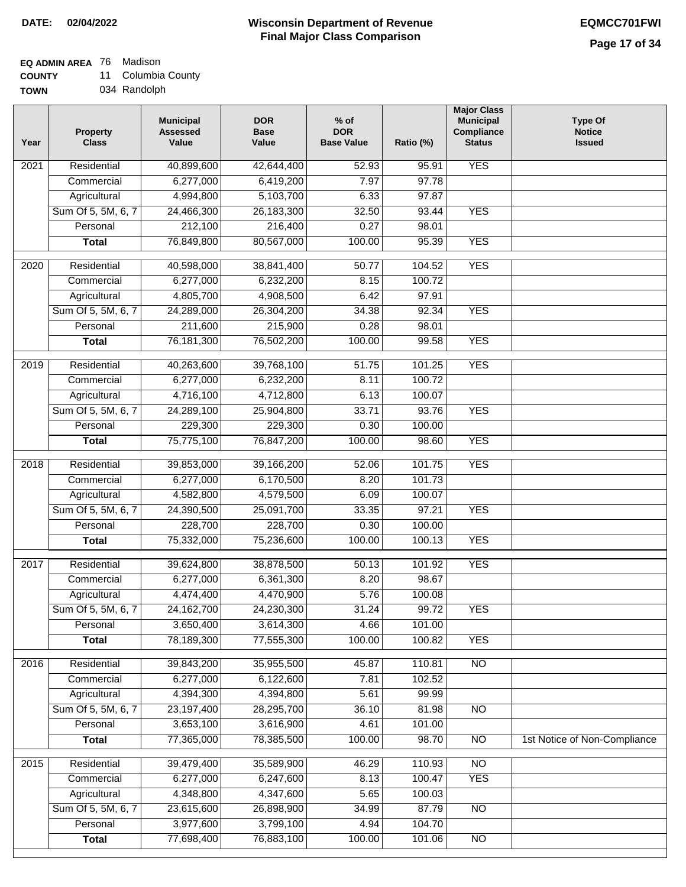## **EQ ADMIN AREA** 76 Madison

**COUNTY** 11 Columbia County

**TOWN** 034 Randolph

| Year              | <b>Property</b><br><b>Class</b> | <b>Municipal</b><br><b>Assessed</b><br>Value | <b>DOR</b><br><b>Base</b><br>Value | % of<br><b>DOR</b><br><b>Base Value</b> | Ratio (%) | <b>Major Class</b><br><b>Municipal</b><br>Compliance<br><b>Status</b> | <b>Type Of</b><br><b>Notice</b><br><b>Issued</b> |
|-------------------|---------------------------------|----------------------------------------------|------------------------------------|-----------------------------------------|-----------|-----------------------------------------------------------------------|--------------------------------------------------|
| $\overline{202}1$ | Residential                     | 40,899,600                                   | 42,644,400                         | 52.93                                   | 95.91     | <b>YES</b>                                                            |                                                  |
|                   | Commercial                      | 6,277,000                                    | 6,419,200                          | 7.97                                    | 97.78     |                                                                       |                                                  |
|                   | Agricultural                    | 4,994,800                                    | 5,103,700                          | 6.33                                    | 97.87     |                                                                       |                                                  |
|                   | Sum Of 5, 5M, 6, 7              | 24,466,300                                   | 26, 183, 300                       | 32.50                                   | 93.44     | <b>YES</b>                                                            |                                                  |
|                   | Personal                        | 212,100                                      | 216,400                            | 0.27                                    | 98.01     |                                                                       |                                                  |
|                   | <b>Total</b>                    | 76,849,800                                   | 80,567,000                         | 100.00                                  | 95.39     | <b>YES</b>                                                            |                                                  |
| $\overline{2020}$ | Residential                     | 40,598,000                                   | 38,841,400                         | 50.77                                   | 104.52    | <b>YES</b>                                                            |                                                  |
|                   | Commercial                      | 6,277,000                                    | 6,232,200                          | 8.15                                    | 100.72    |                                                                       |                                                  |
|                   | Agricultural                    | 4,805,700                                    | 4,908,500                          | 6.42                                    | 97.91     |                                                                       |                                                  |
|                   | Sum Of 5, 5M, 6, 7              | 24,289,000                                   | 26,304,200                         | 34.38                                   | 92.34     | <b>YES</b>                                                            |                                                  |
|                   | Personal                        | 211,600                                      | 215,900                            | 0.28                                    | 98.01     |                                                                       |                                                  |
|                   | <b>Total</b>                    | 76,181,300                                   | 76,502,200                         | 100.00                                  | 99.58     | <b>YES</b>                                                            |                                                  |
| $\frac{2019}{ }$  | Residential                     | 40,263,600                                   | 39,768,100                         | 51.75                                   | 101.25    | <b>YES</b>                                                            |                                                  |
|                   | Commercial                      | 6,277,000                                    | 6,232,200                          | 8.11                                    | 100.72    |                                                                       |                                                  |
|                   | Agricultural                    | 4,716,100                                    | 4,712,800                          | 6.13                                    | 100.07    |                                                                       |                                                  |
|                   | Sum Of 5, 5M, 6, 7              | 24,289,100                                   | 25,904,800                         | 33.71                                   | 93.76     | <b>YES</b>                                                            |                                                  |
|                   | Personal                        | 229,300                                      | 229,300                            | 0.30                                    | 100.00    |                                                                       |                                                  |
|                   | <b>Total</b>                    | 75,775,100                                   | 76,847,200                         | 100.00                                  | 98.60     | <b>YES</b>                                                            |                                                  |
| 2018              | Residential                     | 39,853,000                                   | 39,166,200                         | 52.06                                   | 101.75    | <b>YES</b>                                                            |                                                  |
|                   | Commercial                      | 6,277,000                                    | 6,170,500                          | 8.20                                    | 101.73    |                                                                       |                                                  |
|                   | Agricultural                    | 4,582,800                                    | 4,579,500                          | 6.09                                    | 100.07    |                                                                       |                                                  |
|                   | Sum Of 5, 5M, 6, 7              | 24,390,500                                   | 25,091,700                         | 33.35                                   | 97.21     | <b>YES</b>                                                            |                                                  |
|                   | Personal                        | 228,700                                      | 228,700                            | 0.30                                    | 100.00    |                                                                       |                                                  |
|                   | <b>Total</b>                    | 75,332,000                                   | 75,236,600                         | 100.00                                  | 100.13    | <b>YES</b>                                                            |                                                  |
| $\overline{2017}$ | Residential                     | 39,624,800                                   | 38,878,500                         | 50.13                                   | 101.92    | <b>YES</b>                                                            |                                                  |
|                   | Commercial                      | 6,277,000                                    | 6,361,300                          | 8.20                                    | 98.67     |                                                                       |                                                  |
|                   | Agricultural                    | 4,474,400                                    | 4,470,900                          | 5.76                                    | 100.08    |                                                                       |                                                  |
|                   | Sum Of 5, 5M, 6, 7              | 24,162,700                                   | 24,230,300                         | 31.24                                   | 99.72     | <b>YES</b>                                                            |                                                  |
|                   | Personal                        | 3,650,400                                    | 3,614,300                          | 4.66                                    | 101.00    |                                                                       |                                                  |
|                   | <b>Total</b>                    | 78,189,300                                   | 77,555,300                         | 100.00                                  | 100.82    | <b>YES</b>                                                            |                                                  |
| 2016              | Residential                     | 39,843,200                                   | 35,955,500                         | 45.87                                   | 110.81    | N <sub>O</sub>                                                        |                                                  |
|                   | Commercial                      | 6,277,000                                    | 6,122,600                          | 7.81                                    | 102.52    |                                                                       |                                                  |
|                   | Agricultural                    | 4,394,300                                    | 4,394,800                          | 5.61                                    | 99.99     |                                                                       |                                                  |
|                   | Sum Of 5, 5M, 6, 7              | 23,197,400                                   | 28,295,700                         | 36.10                                   | 81.98     | $\overline{NO}$                                                       |                                                  |
|                   | Personal                        | 3,653,100                                    | 3,616,900                          | 4.61                                    | 101.00    |                                                                       |                                                  |
|                   | <b>Total</b>                    | 77,365,000                                   | 78,385,500                         | 100.00                                  | 98.70     | $\overline{NO}$                                                       | 1st Notice of Non-Compliance                     |
| 2015              | Residential                     | 39,479,400                                   | 35,589,900                         | 46.29                                   | 110.93    | <b>NO</b>                                                             |                                                  |
|                   | Commercial                      | 6,277,000                                    | 6,247,600                          | 8.13                                    | 100.47    | <b>YES</b>                                                            |                                                  |
|                   | Agricultural                    | 4,348,800                                    | 4,347,600                          | 5.65                                    | 100.03    |                                                                       |                                                  |
|                   | Sum Of 5, 5M, 6, 7              | 23,615,600                                   | 26,898,900                         | 34.99                                   | 87.79     | <b>NO</b>                                                             |                                                  |
|                   | Personal                        | 3,977,600                                    | 3,799,100                          | 4.94                                    | 104.70    |                                                                       |                                                  |
|                   | <b>Total</b>                    | 77,698,400                                   | 76,883,100                         | 100.00                                  | 101.06    | N <sub>O</sub>                                                        |                                                  |
|                   |                                 |                                              |                                    |                                         |           |                                                                       |                                                  |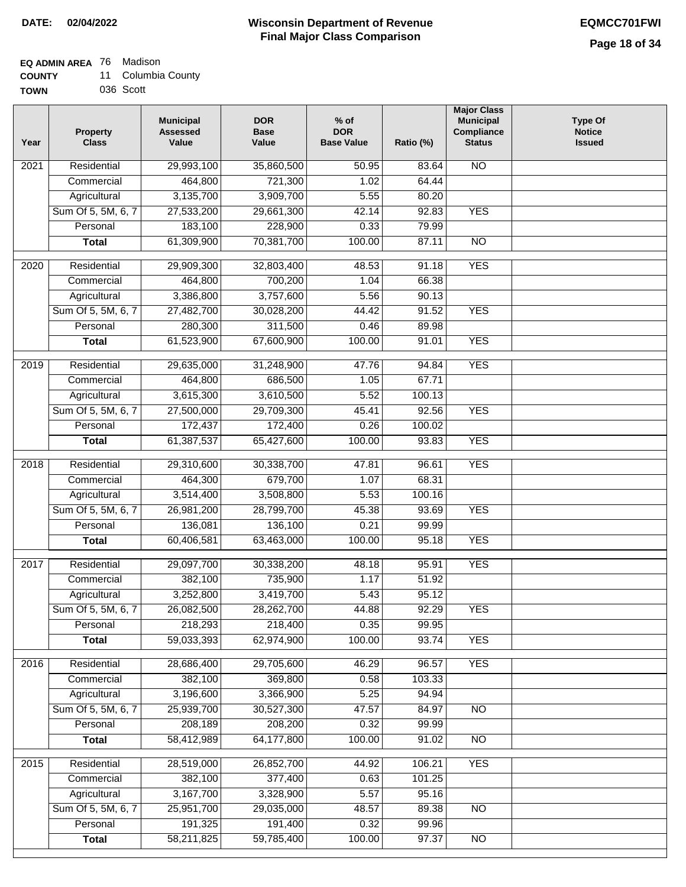### **EQ ADMIN AREA** 76 Madison

| <b>COUNTY</b> | 11 Columbia County |
|---------------|--------------------|
| <b>TOWN</b>   | 036 Scott          |

| <b>NO</b><br>Residential<br>29,993,100<br>35,860,500<br>50.95<br>83.64<br>2021<br>464,800<br>721,300<br>1.02<br>64.44<br>Commercial<br>Agricultural<br>3,135,700<br>3,909,700<br>5.55<br>80.20<br>Sum Of 5, 5M, 6, 7<br>27,533,200<br>29,661,300<br>42.14<br>92.83<br><b>YES</b><br>Personal<br>183,100<br>228,900<br>0.33<br>79.99<br>61,309,900<br>70,381,700<br>100.00<br>87.11<br>$\overline{NO}$<br><b>Total</b><br><b>YES</b><br>$\overline{2020}$<br>Residential<br>48.53<br>91.18<br>29,909,300<br>32,803,400<br>66.38<br>Commercial<br>464,800<br>700,200<br>1.04<br>3,386,800<br>3,757,600<br>5.56<br>Agricultural<br>90.13<br>Sum Of 5, 5M, 6, 7<br>27,482,700<br>44.42<br>91.52<br><b>YES</b><br>30,028,200<br>280,300<br>Personal<br>311,500<br>0.46<br>89.98<br><b>YES</b><br><b>Total</b><br>61,523,900<br>67,600,900<br>100.00<br>91.01<br><b>YES</b><br>2019<br>Residential<br>$\frac{1}{47.76}$<br>94.84<br>29,635,000<br>31,248,900<br>67.71<br>Commercial<br>464,800<br>686,500<br>1.05<br>3,615,300<br>3,610,500<br>5.52<br>Agricultural<br>100.13<br>Sum Of 5, 5M, 6, 7<br><b>YES</b><br>27,500,000<br>29,709,300<br>45.41<br>92.56<br>172,437<br>Personal<br>172,400<br>0.26<br>100.02<br><b>YES</b><br>61,387,537<br>65,427,600<br>100.00<br>93.83<br><b>Total</b><br>30,338,700<br><b>YES</b><br>2018<br>Residential<br>29,310,600<br>47.81<br>96.61<br>Commercial<br>464,300<br>679,700<br>1.07<br>68.31<br>3,514,400<br>3,508,800<br>5.53<br>100.16<br>Agricultural<br>Sum Of 5, 5M, 6, 7<br>45.38<br><b>YES</b><br>26,981,200<br>28,799,700<br>93.69<br>0.21<br>136,081<br>136,100<br>99.99<br>Personal<br><b>YES</b><br>60,406,581<br>63,463,000<br>100.00<br>95.18<br><b>Total</b><br>2017<br>Residential<br>48.18<br>95.91<br><b>YES</b><br>29,097,700<br>30,338,200<br>382,100<br>735,900<br>1.17<br>51.92<br>Commercial<br>3,252,800<br>3,419,700<br>5.43<br>95.12<br>Agricultural<br>Sum Of 5, 5M, 6, 7<br>26,082,500<br>28,262,700<br>44.88<br>92.29<br><b>YES</b><br>Personal<br>218,293<br>218,400<br>0.35<br>99.95<br>59,033,393<br>62,974,900<br>100.00<br>93.74<br><b>YES</b><br><b>Total</b><br><b>YES</b><br>2016<br>Residential<br>28,686,400<br>29,705,600<br>46.29<br>96.57<br>382,100<br>Commercial<br>369,800<br>0.58<br>103.33<br>3,196,600<br>3,366,900<br>5.25<br>94.94<br>Agricultural<br>Sum Of 5, 5M, 6, 7<br>25,939,700<br>30,527,300<br>47.57<br>84.97<br><b>NO</b><br>Personal<br>208,189<br>208,200<br>0.32<br>99.99<br>58,412,989<br>64,177,800<br>100.00<br><b>Total</b><br>91.02<br><b>NO</b><br>2015<br>28,519,000<br>26,852,700<br><b>YES</b><br>Residential<br>44.92<br>106.21<br>382,100<br>377,400<br>101.25<br>0.63<br>Commercial<br>3,167,700<br>Agricultural<br>3,328,900<br>5.57<br>95.16<br>Sum Of 5, 5M, 6, 7<br>25,951,700<br>29,035,000<br>48.57<br>89.38<br><b>NO</b><br>Personal<br>191,325<br>191,400<br>0.32<br>99.96 | Year | <b>Property</b><br><b>Class</b> | <b>Municipal</b><br><b>Assessed</b><br>Value | <b>DOR</b><br><b>Base</b><br>Value | $%$ of<br><b>DOR</b><br><b>Base Value</b> | Ratio (%) | <b>Major Class</b><br><b>Municipal</b><br><b>Compliance</b><br><b>Status</b> | <b>Type Of</b><br><b>Notice</b><br><b>Issued</b> |
|----------------------------------------------------------------------------------------------------------------------------------------------------------------------------------------------------------------------------------------------------------------------------------------------------------------------------------------------------------------------------------------------------------------------------------------------------------------------------------------------------------------------------------------------------------------------------------------------------------------------------------------------------------------------------------------------------------------------------------------------------------------------------------------------------------------------------------------------------------------------------------------------------------------------------------------------------------------------------------------------------------------------------------------------------------------------------------------------------------------------------------------------------------------------------------------------------------------------------------------------------------------------------------------------------------------------------------------------------------------------------------------------------------------------------------------------------------------------------------------------------------------------------------------------------------------------------------------------------------------------------------------------------------------------------------------------------------------------------------------------------------------------------------------------------------------------------------------------------------------------------------------------------------------------------------------------------------------------------------------------------------------------------------------------------------------------------------------------------------------------------------------------------------------------------------------------------------------------------------------------------------------------------------------------------------------------------------------------------------------------------------------------------------------------------------------------------------------------------------------------------------------------------------------------------------------------------------------------------------------------------------------------------------------------------------------------------------------------------------------------------------------------------------------------------------------------------------------------------------------------------------------------------|------|---------------------------------|----------------------------------------------|------------------------------------|-------------------------------------------|-----------|------------------------------------------------------------------------------|--------------------------------------------------|
|                                                                                                                                                                                                                                                                                                                                                                                                                                                                                                                                                                                                                                                                                                                                                                                                                                                                                                                                                                                                                                                                                                                                                                                                                                                                                                                                                                                                                                                                                                                                                                                                                                                                                                                                                                                                                                                                                                                                                                                                                                                                                                                                                                                                                                                                                                                                                                                                                                                                                                                                                                                                                                                                                                                                                                                                                                                                                                    |      |                                 |                                              |                                    |                                           |           |                                                                              |                                                  |
|                                                                                                                                                                                                                                                                                                                                                                                                                                                                                                                                                                                                                                                                                                                                                                                                                                                                                                                                                                                                                                                                                                                                                                                                                                                                                                                                                                                                                                                                                                                                                                                                                                                                                                                                                                                                                                                                                                                                                                                                                                                                                                                                                                                                                                                                                                                                                                                                                                                                                                                                                                                                                                                                                                                                                                                                                                                                                                    |      |                                 |                                              |                                    |                                           |           |                                                                              |                                                  |
|                                                                                                                                                                                                                                                                                                                                                                                                                                                                                                                                                                                                                                                                                                                                                                                                                                                                                                                                                                                                                                                                                                                                                                                                                                                                                                                                                                                                                                                                                                                                                                                                                                                                                                                                                                                                                                                                                                                                                                                                                                                                                                                                                                                                                                                                                                                                                                                                                                                                                                                                                                                                                                                                                                                                                                                                                                                                                                    |      |                                 |                                              |                                    |                                           |           |                                                                              |                                                  |
|                                                                                                                                                                                                                                                                                                                                                                                                                                                                                                                                                                                                                                                                                                                                                                                                                                                                                                                                                                                                                                                                                                                                                                                                                                                                                                                                                                                                                                                                                                                                                                                                                                                                                                                                                                                                                                                                                                                                                                                                                                                                                                                                                                                                                                                                                                                                                                                                                                                                                                                                                                                                                                                                                                                                                                                                                                                                                                    |      |                                 |                                              |                                    |                                           |           |                                                                              |                                                  |
|                                                                                                                                                                                                                                                                                                                                                                                                                                                                                                                                                                                                                                                                                                                                                                                                                                                                                                                                                                                                                                                                                                                                                                                                                                                                                                                                                                                                                                                                                                                                                                                                                                                                                                                                                                                                                                                                                                                                                                                                                                                                                                                                                                                                                                                                                                                                                                                                                                                                                                                                                                                                                                                                                                                                                                                                                                                                                                    |      |                                 |                                              |                                    |                                           |           |                                                                              |                                                  |
|                                                                                                                                                                                                                                                                                                                                                                                                                                                                                                                                                                                                                                                                                                                                                                                                                                                                                                                                                                                                                                                                                                                                                                                                                                                                                                                                                                                                                                                                                                                                                                                                                                                                                                                                                                                                                                                                                                                                                                                                                                                                                                                                                                                                                                                                                                                                                                                                                                                                                                                                                                                                                                                                                                                                                                                                                                                                                                    |      |                                 |                                              |                                    |                                           |           |                                                                              |                                                  |
|                                                                                                                                                                                                                                                                                                                                                                                                                                                                                                                                                                                                                                                                                                                                                                                                                                                                                                                                                                                                                                                                                                                                                                                                                                                                                                                                                                                                                                                                                                                                                                                                                                                                                                                                                                                                                                                                                                                                                                                                                                                                                                                                                                                                                                                                                                                                                                                                                                                                                                                                                                                                                                                                                                                                                                                                                                                                                                    |      |                                 |                                              |                                    |                                           |           |                                                                              |                                                  |
|                                                                                                                                                                                                                                                                                                                                                                                                                                                                                                                                                                                                                                                                                                                                                                                                                                                                                                                                                                                                                                                                                                                                                                                                                                                                                                                                                                                                                                                                                                                                                                                                                                                                                                                                                                                                                                                                                                                                                                                                                                                                                                                                                                                                                                                                                                                                                                                                                                                                                                                                                                                                                                                                                                                                                                                                                                                                                                    |      |                                 |                                              |                                    |                                           |           |                                                                              |                                                  |
|                                                                                                                                                                                                                                                                                                                                                                                                                                                                                                                                                                                                                                                                                                                                                                                                                                                                                                                                                                                                                                                                                                                                                                                                                                                                                                                                                                                                                                                                                                                                                                                                                                                                                                                                                                                                                                                                                                                                                                                                                                                                                                                                                                                                                                                                                                                                                                                                                                                                                                                                                                                                                                                                                                                                                                                                                                                                                                    |      |                                 |                                              |                                    |                                           |           |                                                                              |                                                  |
|                                                                                                                                                                                                                                                                                                                                                                                                                                                                                                                                                                                                                                                                                                                                                                                                                                                                                                                                                                                                                                                                                                                                                                                                                                                                                                                                                                                                                                                                                                                                                                                                                                                                                                                                                                                                                                                                                                                                                                                                                                                                                                                                                                                                                                                                                                                                                                                                                                                                                                                                                                                                                                                                                                                                                                                                                                                                                                    |      |                                 |                                              |                                    |                                           |           |                                                                              |                                                  |
|                                                                                                                                                                                                                                                                                                                                                                                                                                                                                                                                                                                                                                                                                                                                                                                                                                                                                                                                                                                                                                                                                                                                                                                                                                                                                                                                                                                                                                                                                                                                                                                                                                                                                                                                                                                                                                                                                                                                                                                                                                                                                                                                                                                                                                                                                                                                                                                                                                                                                                                                                                                                                                                                                                                                                                                                                                                                                                    |      |                                 |                                              |                                    |                                           |           |                                                                              |                                                  |
|                                                                                                                                                                                                                                                                                                                                                                                                                                                                                                                                                                                                                                                                                                                                                                                                                                                                                                                                                                                                                                                                                                                                                                                                                                                                                                                                                                                                                                                                                                                                                                                                                                                                                                                                                                                                                                                                                                                                                                                                                                                                                                                                                                                                                                                                                                                                                                                                                                                                                                                                                                                                                                                                                                                                                                                                                                                                                                    |      |                                 |                                              |                                    |                                           |           |                                                                              |                                                  |
|                                                                                                                                                                                                                                                                                                                                                                                                                                                                                                                                                                                                                                                                                                                                                                                                                                                                                                                                                                                                                                                                                                                                                                                                                                                                                                                                                                                                                                                                                                                                                                                                                                                                                                                                                                                                                                                                                                                                                                                                                                                                                                                                                                                                                                                                                                                                                                                                                                                                                                                                                                                                                                                                                                                                                                                                                                                                                                    |      |                                 |                                              |                                    |                                           |           |                                                                              |                                                  |
|                                                                                                                                                                                                                                                                                                                                                                                                                                                                                                                                                                                                                                                                                                                                                                                                                                                                                                                                                                                                                                                                                                                                                                                                                                                                                                                                                                                                                                                                                                                                                                                                                                                                                                                                                                                                                                                                                                                                                                                                                                                                                                                                                                                                                                                                                                                                                                                                                                                                                                                                                                                                                                                                                                                                                                                                                                                                                                    |      |                                 |                                              |                                    |                                           |           |                                                                              |                                                  |
|                                                                                                                                                                                                                                                                                                                                                                                                                                                                                                                                                                                                                                                                                                                                                                                                                                                                                                                                                                                                                                                                                                                                                                                                                                                                                                                                                                                                                                                                                                                                                                                                                                                                                                                                                                                                                                                                                                                                                                                                                                                                                                                                                                                                                                                                                                                                                                                                                                                                                                                                                                                                                                                                                                                                                                                                                                                                                                    |      |                                 |                                              |                                    |                                           |           |                                                                              |                                                  |
|                                                                                                                                                                                                                                                                                                                                                                                                                                                                                                                                                                                                                                                                                                                                                                                                                                                                                                                                                                                                                                                                                                                                                                                                                                                                                                                                                                                                                                                                                                                                                                                                                                                                                                                                                                                                                                                                                                                                                                                                                                                                                                                                                                                                                                                                                                                                                                                                                                                                                                                                                                                                                                                                                                                                                                                                                                                                                                    |      |                                 |                                              |                                    |                                           |           |                                                                              |                                                  |
|                                                                                                                                                                                                                                                                                                                                                                                                                                                                                                                                                                                                                                                                                                                                                                                                                                                                                                                                                                                                                                                                                                                                                                                                                                                                                                                                                                                                                                                                                                                                                                                                                                                                                                                                                                                                                                                                                                                                                                                                                                                                                                                                                                                                                                                                                                                                                                                                                                                                                                                                                                                                                                                                                                                                                                                                                                                                                                    |      |                                 |                                              |                                    |                                           |           |                                                                              |                                                  |
|                                                                                                                                                                                                                                                                                                                                                                                                                                                                                                                                                                                                                                                                                                                                                                                                                                                                                                                                                                                                                                                                                                                                                                                                                                                                                                                                                                                                                                                                                                                                                                                                                                                                                                                                                                                                                                                                                                                                                                                                                                                                                                                                                                                                                                                                                                                                                                                                                                                                                                                                                                                                                                                                                                                                                                                                                                                                                                    |      |                                 |                                              |                                    |                                           |           |                                                                              |                                                  |
|                                                                                                                                                                                                                                                                                                                                                                                                                                                                                                                                                                                                                                                                                                                                                                                                                                                                                                                                                                                                                                                                                                                                                                                                                                                                                                                                                                                                                                                                                                                                                                                                                                                                                                                                                                                                                                                                                                                                                                                                                                                                                                                                                                                                                                                                                                                                                                                                                                                                                                                                                                                                                                                                                                                                                                                                                                                                                                    |      |                                 |                                              |                                    |                                           |           |                                                                              |                                                  |
|                                                                                                                                                                                                                                                                                                                                                                                                                                                                                                                                                                                                                                                                                                                                                                                                                                                                                                                                                                                                                                                                                                                                                                                                                                                                                                                                                                                                                                                                                                                                                                                                                                                                                                                                                                                                                                                                                                                                                                                                                                                                                                                                                                                                                                                                                                                                                                                                                                                                                                                                                                                                                                                                                                                                                                                                                                                                                                    |      |                                 |                                              |                                    |                                           |           |                                                                              |                                                  |
|                                                                                                                                                                                                                                                                                                                                                                                                                                                                                                                                                                                                                                                                                                                                                                                                                                                                                                                                                                                                                                                                                                                                                                                                                                                                                                                                                                                                                                                                                                                                                                                                                                                                                                                                                                                                                                                                                                                                                                                                                                                                                                                                                                                                                                                                                                                                                                                                                                                                                                                                                                                                                                                                                                                                                                                                                                                                                                    |      |                                 |                                              |                                    |                                           |           |                                                                              |                                                  |
|                                                                                                                                                                                                                                                                                                                                                                                                                                                                                                                                                                                                                                                                                                                                                                                                                                                                                                                                                                                                                                                                                                                                                                                                                                                                                                                                                                                                                                                                                                                                                                                                                                                                                                                                                                                                                                                                                                                                                                                                                                                                                                                                                                                                                                                                                                                                                                                                                                                                                                                                                                                                                                                                                                                                                                                                                                                                                                    |      |                                 |                                              |                                    |                                           |           |                                                                              |                                                  |
|                                                                                                                                                                                                                                                                                                                                                                                                                                                                                                                                                                                                                                                                                                                                                                                                                                                                                                                                                                                                                                                                                                                                                                                                                                                                                                                                                                                                                                                                                                                                                                                                                                                                                                                                                                                                                                                                                                                                                                                                                                                                                                                                                                                                                                                                                                                                                                                                                                                                                                                                                                                                                                                                                                                                                                                                                                                                                                    |      |                                 |                                              |                                    |                                           |           |                                                                              |                                                  |
|                                                                                                                                                                                                                                                                                                                                                                                                                                                                                                                                                                                                                                                                                                                                                                                                                                                                                                                                                                                                                                                                                                                                                                                                                                                                                                                                                                                                                                                                                                                                                                                                                                                                                                                                                                                                                                                                                                                                                                                                                                                                                                                                                                                                                                                                                                                                                                                                                                                                                                                                                                                                                                                                                                                                                                                                                                                                                                    |      |                                 |                                              |                                    |                                           |           |                                                                              |                                                  |
|                                                                                                                                                                                                                                                                                                                                                                                                                                                                                                                                                                                                                                                                                                                                                                                                                                                                                                                                                                                                                                                                                                                                                                                                                                                                                                                                                                                                                                                                                                                                                                                                                                                                                                                                                                                                                                                                                                                                                                                                                                                                                                                                                                                                                                                                                                                                                                                                                                                                                                                                                                                                                                                                                                                                                                                                                                                                                                    |      |                                 |                                              |                                    |                                           |           |                                                                              |                                                  |
|                                                                                                                                                                                                                                                                                                                                                                                                                                                                                                                                                                                                                                                                                                                                                                                                                                                                                                                                                                                                                                                                                                                                                                                                                                                                                                                                                                                                                                                                                                                                                                                                                                                                                                                                                                                                                                                                                                                                                                                                                                                                                                                                                                                                                                                                                                                                                                                                                                                                                                                                                                                                                                                                                                                                                                                                                                                                                                    |      |                                 |                                              |                                    |                                           |           |                                                                              |                                                  |
|                                                                                                                                                                                                                                                                                                                                                                                                                                                                                                                                                                                                                                                                                                                                                                                                                                                                                                                                                                                                                                                                                                                                                                                                                                                                                                                                                                                                                                                                                                                                                                                                                                                                                                                                                                                                                                                                                                                                                                                                                                                                                                                                                                                                                                                                                                                                                                                                                                                                                                                                                                                                                                                                                                                                                                                                                                                                                                    |      |                                 |                                              |                                    |                                           |           |                                                                              |                                                  |
|                                                                                                                                                                                                                                                                                                                                                                                                                                                                                                                                                                                                                                                                                                                                                                                                                                                                                                                                                                                                                                                                                                                                                                                                                                                                                                                                                                                                                                                                                                                                                                                                                                                                                                                                                                                                                                                                                                                                                                                                                                                                                                                                                                                                                                                                                                                                                                                                                                                                                                                                                                                                                                                                                                                                                                                                                                                                                                    |      |                                 |                                              |                                    |                                           |           |                                                                              |                                                  |
|                                                                                                                                                                                                                                                                                                                                                                                                                                                                                                                                                                                                                                                                                                                                                                                                                                                                                                                                                                                                                                                                                                                                                                                                                                                                                                                                                                                                                                                                                                                                                                                                                                                                                                                                                                                                                                                                                                                                                                                                                                                                                                                                                                                                                                                                                                                                                                                                                                                                                                                                                                                                                                                                                                                                                                                                                                                                                                    |      |                                 |                                              |                                    |                                           |           |                                                                              |                                                  |
|                                                                                                                                                                                                                                                                                                                                                                                                                                                                                                                                                                                                                                                                                                                                                                                                                                                                                                                                                                                                                                                                                                                                                                                                                                                                                                                                                                                                                                                                                                                                                                                                                                                                                                                                                                                                                                                                                                                                                                                                                                                                                                                                                                                                                                                                                                                                                                                                                                                                                                                                                                                                                                                                                                                                                                                                                                                                                                    |      |                                 |                                              |                                    |                                           |           |                                                                              |                                                  |
|                                                                                                                                                                                                                                                                                                                                                                                                                                                                                                                                                                                                                                                                                                                                                                                                                                                                                                                                                                                                                                                                                                                                                                                                                                                                                                                                                                                                                                                                                                                                                                                                                                                                                                                                                                                                                                                                                                                                                                                                                                                                                                                                                                                                                                                                                                                                                                                                                                                                                                                                                                                                                                                                                                                                                                                                                                                                                                    |      |                                 |                                              |                                    |                                           |           |                                                                              |                                                  |
|                                                                                                                                                                                                                                                                                                                                                                                                                                                                                                                                                                                                                                                                                                                                                                                                                                                                                                                                                                                                                                                                                                                                                                                                                                                                                                                                                                                                                                                                                                                                                                                                                                                                                                                                                                                                                                                                                                                                                                                                                                                                                                                                                                                                                                                                                                                                                                                                                                                                                                                                                                                                                                                                                                                                                                                                                                                                                                    |      |                                 |                                              |                                    |                                           |           |                                                                              |                                                  |
|                                                                                                                                                                                                                                                                                                                                                                                                                                                                                                                                                                                                                                                                                                                                                                                                                                                                                                                                                                                                                                                                                                                                                                                                                                                                                                                                                                                                                                                                                                                                                                                                                                                                                                                                                                                                                                                                                                                                                                                                                                                                                                                                                                                                                                                                                                                                                                                                                                                                                                                                                                                                                                                                                                                                                                                                                                                                                                    |      |                                 |                                              |                                    |                                           |           |                                                                              |                                                  |
|                                                                                                                                                                                                                                                                                                                                                                                                                                                                                                                                                                                                                                                                                                                                                                                                                                                                                                                                                                                                                                                                                                                                                                                                                                                                                                                                                                                                                                                                                                                                                                                                                                                                                                                                                                                                                                                                                                                                                                                                                                                                                                                                                                                                                                                                                                                                                                                                                                                                                                                                                                                                                                                                                                                                                                                                                                                                                                    |      |                                 |                                              |                                    |                                           |           |                                                                              |                                                  |
|                                                                                                                                                                                                                                                                                                                                                                                                                                                                                                                                                                                                                                                                                                                                                                                                                                                                                                                                                                                                                                                                                                                                                                                                                                                                                                                                                                                                                                                                                                                                                                                                                                                                                                                                                                                                                                                                                                                                                                                                                                                                                                                                                                                                                                                                                                                                                                                                                                                                                                                                                                                                                                                                                                                                                                                                                                                                                                    |      |                                 |                                              |                                    |                                           |           |                                                                              |                                                  |
|                                                                                                                                                                                                                                                                                                                                                                                                                                                                                                                                                                                                                                                                                                                                                                                                                                                                                                                                                                                                                                                                                                                                                                                                                                                                                                                                                                                                                                                                                                                                                                                                                                                                                                                                                                                                                                                                                                                                                                                                                                                                                                                                                                                                                                                                                                                                                                                                                                                                                                                                                                                                                                                                                                                                                                                                                                                                                                    |      |                                 |                                              |                                    |                                           |           |                                                                              |                                                  |
|                                                                                                                                                                                                                                                                                                                                                                                                                                                                                                                                                                                                                                                                                                                                                                                                                                                                                                                                                                                                                                                                                                                                                                                                                                                                                                                                                                                                                                                                                                                                                                                                                                                                                                                                                                                                                                                                                                                                                                                                                                                                                                                                                                                                                                                                                                                                                                                                                                                                                                                                                                                                                                                                                                                                                                                                                                                                                                    |      |                                 |                                              |                                    |                                           |           |                                                                              |                                                  |
|                                                                                                                                                                                                                                                                                                                                                                                                                                                                                                                                                                                                                                                                                                                                                                                                                                                                                                                                                                                                                                                                                                                                                                                                                                                                                                                                                                                                                                                                                                                                                                                                                                                                                                                                                                                                                                                                                                                                                                                                                                                                                                                                                                                                                                                                                                                                                                                                                                                                                                                                                                                                                                                                                                                                                                                                                                                                                                    |      |                                 |                                              |                                    |                                           |           |                                                                              |                                                  |
|                                                                                                                                                                                                                                                                                                                                                                                                                                                                                                                                                                                                                                                                                                                                                                                                                                                                                                                                                                                                                                                                                                                                                                                                                                                                                                                                                                                                                                                                                                                                                                                                                                                                                                                                                                                                                                                                                                                                                                                                                                                                                                                                                                                                                                                                                                                                                                                                                                                                                                                                                                                                                                                                                                                                                                                                                                                                                                    |      |                                 |                                              |                                    |                                           |           |                                                                              |                                                  |
|                                                                                                                                                                                                                                                                                                                                                                                                                                                                                                                                                                                                                                                                                                                                                                                                                                                                                                                                                                                                                                                                                                                                                                                                                                                                                                                                                                                                                                                                                                                                                                                                                                                                                                                                                                                                                                                                                                                                                                                                                                                                                                                                                                                                                                                                                                                                                                                                                                                                                                                                                                                                                                                                                                                                                                                                                                                                                                    |      |                                 |                                              |                                    |                                           |           |                                                                              |                                                  |
|                                                                                                                                                                                                                                                                                                                                                                                                                                                                                                                                                                                                                                                                                                                                                                                                                                                                                                                                                                                                                                                                                                                                                                                                                                                                                                                                                                                                                                                                                                                                                                                                                                                                                                                                                                                                                                                                                                                                                                                                                                                                                                                                                                                                                                                                                                                                                                                                                                                                                                                                                                                                                                                                                                                                                                                                                                                                                                    |      |                                 |                                              |                                    |                                           |           |                                                                              |                                                  |
|                                                                                                                                                                                                                                                                                                                                                                                                                                                                                                                                                                                                                                                                                                                                                                                                                                                                                                                                                                                                                                                                                                                                                                                                                                                                                                                                                                                                                                                                                                                                                                                                                                                                                                                                                                                                                                                                                                                                                                                                                                                                                                                                                                                                                                                                                                                                                                                                                                                                                                                                                                                                                                                                                                                                                                                                                                                                                                    |      |                                 |                                              |                                    |                                           |           |                                                                              |                                                  |
| 59,785,400<br>58,211,825<br>100.00<br>97.37<br>$\overline{NO}$<br><b>Total</b>                                                                                                                                                                                                                                                                                                                                                                                                                                                                                                                                                                                                                                                                                                                                                                                                                                                                                                                                                                                                                                                                                                                                                                                                                                                                                                                                                                                                                                                                                                                                                                                                                                                                                                                                                                                                                                                                                                                                                                                                                                                                                                                                                                                                                                                                                                                                                                                                                                                                                                                                                                                                                                                                                                                                                                                                                     |      |                                 |                                              |                                    |                                           |           |                                                                              |                                                  |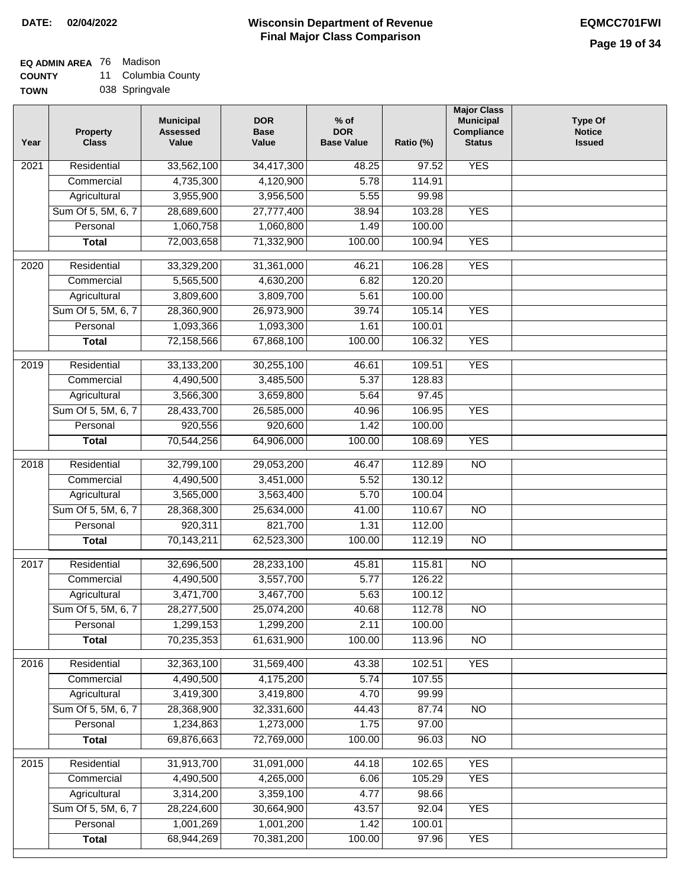## **EQ ADMIN AREA** 76 Madison

**COUNTY** 11 Columbia County

| <b>TOWN</b> | 038 Springvale |
|-------------|----------------|
|             |                |

| Year             | <b>Property</b><br><b>Class</b> | <b>Municipal</b><br><b>Assessed</b><br>Value | <b>DOR</b><br><b>Base</b><br>Value | $%$ of<br><b>DOR</b><br><b>Base Value</b> | Ratio (%) | <b>Major Class</b><br><b>Municipal</b><br>Compliance<br><b>Status</b> | <b>Type Of</b><br><b>Notice</b><br><b>Issued</b> |
|------------------|---------------------------------|----------------------------------------------|------------------------------------|-------------------------------------------|-----------|-----------------------------------------------------------------------|--------------------------------------------------|
| 2021             | Residential                     | 33,562,100                                   | 34,417,300                         | 48.25                                     | 97.52     | <b>YES</b>                                                            |                                                  |
|                  | Commercial                      | 4,735,300                                    | 4,120,900                          | 5.78                                      | 114.91    |                                                                       |                                                  |
|                  | Agricultural                    | 3,955,900                                    | 3,956,500                          | 5.55                                      | 99.98     |                                                                       |                                                  |
|                  | Sum Of 5, 5M, 6, 7              | 28,689,600                                   | 27,777,400                         | 38.94                                     | 103.28    | <b>YES</b>                                                            |                                                  |
|                  | Personal                        | 1,060,758                                    | 1,060,800                          | 1.49                                      | 100.00    |                                                                       |                                                  |
|                  | <b>Total</b>                    | 72,003,658                                   | 71,332,900                         | 100.00                                    | 100.94    | <b>YES</b>                                                            |                                                  |
| 2020             | Residential                     | 33,329,200                                   | 31,361,000                         | 46.21                                     | 106.28    | <b>YES</b>                                                            |                                                  |
|                  | Commercial                      | 5,565,500                                    | 4,630,200                          | 6.82                                      | 120.20    |                                                                       |                                                  |
|                  | Agricultural                    | 3,809,600                                    | 3,809,700                          | 5.61                                      | 100.00    |                                                                       |                                                  |
|                  | Sum Of 5, 5M, 6, 7              | 28,360,900                                   | 26,973,900                         | 39.74                                     | 105.14    | <b>YES</b>                                                            |                                                  |
|                  | Personal                        | 1,093,366                                    | 1,093,300                          | 1.61                                      | 100.01    |                                                                       |                                                  |
|                  | <b>Total</b>                    | 72,158,566                                   | 67,868,100                         | 100.00                                    | 106.32    | <b>YES</b>                                                            |                                                  |
|                  |                                 |                                              |                                    |                                           |           |                                                                       |                                                  |
| $\frac{1}{2019}$ | Residential                     | 33,133,200                                   | 30,255,100                         | 46.61                                     | 109.51    | <b>YES</b>                                                            |                                                  |
|                  | Commercial                      | 4,490,500                                    | 3,485,500                          | 5.37                                      | 128.83    |                                                                       |                                                  |
|                  | Agricultural                    | 3,566,300                                    | 3,659,800                          | 5.64                                      | 97.45     |                                                                       |                                                  |
|                  | Sum Of 5, 5M, 6, 7              | 28,433,700                                   | 26,585,000                         | 40.96                                     | 106.95    | <b>YES</b>                                                            |                                                  |
|                  | Personal                        | 920,556                                      | 920,600                            | 1.42                                      | 100.00    |                                                                       |                                                  |
|                  | <b>Total</b>                    | 70,544,256                                   | 64,906,000                         | 100.00                                    | 108.69    | <b>YES</b>                                                            |                                                  |
| 2018             | Residential                     | 32,799,100                                   | 29,053,200                         | 46.47                                     | 112.89    | $\overline{NO}$                                                       |                                                  |
|                  | Commercial                      | 4,490,500                                    | 3,451,000                          | 5.52                                      | 130.12    |                                                                       |                                                  |
|                  | Agricultural                    | 3,565,000                                    | 3,563,400                          | 5.70                                      | 100.04    |                                                                       |                                                  |
|                  | Sum Of 5, 5M, 6, 7              | 28,368,300                                   | 25,634,000                         | 41.00                                     | 110.67    | $\overline{NO}$                                                       |                                                  |
|                  | Personal                        | 920,311                                      | 821,700                            | 1.31                                      | 112.00    |                                                                       |                                                  |
|                  | <b>Total</b>                    | 70,143,211                                   | 62,523,300                         | 100.00                                    | 112.19    | $\overline{NO}$                                                       |                                                  |
| 2017             | Residential                     | 32,696,500                                   | 28,233,100                         | 45.81                                     | 115.81    | <b>NO</b>                                                             |                                                  |
|                  | Commercial                      | 4,490,500                                    | 3,557,700                          | 5.77                                      | 126.22    |                                                                       |                                                  |
|                  | Agricultural                    | 3,471,700                                    | 3,467,700                          | 5.63                                      | 100.12    |                                                                       |                                                  |
|                  | Sum Of 5, 5M, 6, 7              | 28,277,500                                   | 25,074,200                         | 40.68                                     | 112.78    | $\overline{NO}$                                                       |                                                  |
|                  | Personal                        | 1,299,153                                    | 1,299,200                          | 2.11                                      | 100.00    |                                                                       |                                                  |
|                  | <b>Total</b>                    | 70,235,353                                   | 61,631,900                         | 100.00                                    | 113.96    | $\overline{NO}$                                                       |                                                  |
| 2016             | Residential                     | 32,363,100                                   | 31,569,400                         | 43.38                                     | 102.51    | <b>YES</b>                                                            |                                                  |
|                  | Commercial                      | 4,490,500                                    | 4,175,200                          | 5.74                                      | 107.55    |                                                                       |                                                  |
|                  | Agricultural                    | 3,419,300                                    | 3,419,800                          | 4.70                                      | 99.99     |                                                                       |                                                  |
|                  | Sum Of 5, 5M, 6, 7              | 28,368,900                                   | 32,331,600                         | 44.43                                     | 87.74     | N <sub>O</sub>                                                        |                                                  |
|                  | Personal                        | 1,234,863                                    | 1,273,000                          | 1.75                                      | 97.00     |                                                                       |                                                  |
|                  | <b>Total</b>                    | 69,876,663                                   | 72,769,000                         | 100.00                                    | 96.03     | $\overline{NO}$                                                       |                                                  |
|                  |                                 |                                              |                                    |                                           |           |                                                                       |                                                  |
| 2015             | Residential                     | 31,913,700                                   | 31,091,000                         | 44.18                                     | 102.65    | <b>YES</b>                                                            |                                                  |
|                  | Commercial                      | 4,490,500                                    | 4,265,000                          | 6.06                                      | 105.29    | <b>YES</b>                                                            |                                                  |
|                  | Agricultural                    | 3,314,200                                    | 3,359,100                          | 4.77                                      | 98.66     |                                                                       |                                                  |
|                  | Sum Of 5, 5M, 6, 7              | 28,224,600                                   | 30,664,900                         | 43.57                                     | 92.04     | <b>YES</b>                                                            |                                                  |
|                  | Personal                        | 1,001,269                                    | 1,001,200                          | 1.42                                      | 100.01    |                                                                       |                                                  |
|                  | <b>Total</b>                    | 68,944,269                                   | 70,381,200                         | 100.00                                    | 97.96     | <b>YES</b>                                                            |                                                  |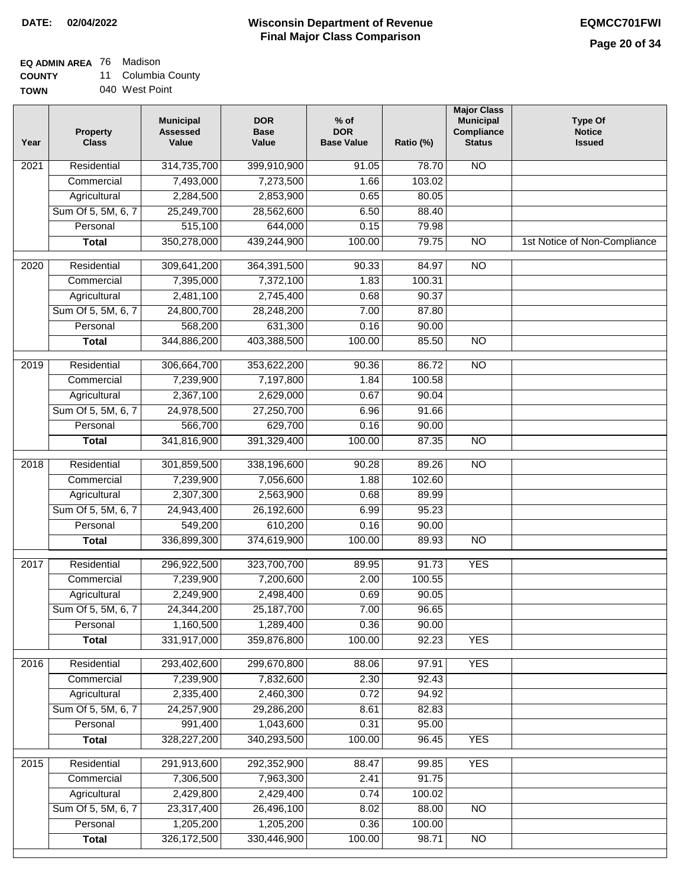**EQ ADMIN AREA** 76 Madison

**COUNTY TOWN** 11 Columbia County

|  | 040 West Point |
|--|----------------|

| Year              | <b>Property</b><br><b>Class</b> | <b>Municipal</b><br><b>Assessed</b><br>Value | <b>DOR</b><br><b>Base</b><br>Value | % of<br><b>DOR</b><br><b>Base Value</b> | Ratio (%) | <b>Major Class</b><br><b>Municipal</b><br>Compliance<br><b>Status</b> | <b>Type Of</b><br><b>Notice</b><br><b>Issued</b> |
|-------------------|---------------------------------|----------------------------------------------|------------------------------------|-----------------------------------------|-----------|-----------------------------------------------------------------------|--------------------------------------------------|
| $\overline{202}1$ | Residential                     | 314,735,700                                  | 399,910,900                        | 91.05                                   | 78.70     | <b>NO</b>                                                             |                                                  |
|                   | Commercial                      | 7,493,000                                    | 7,273,500                          | 1.66                                    | 103.02    |                                                                       |                                                  |
|                   | Agricultural                    | 2,284,500                                    | 2,853,900                          | 0.65                                    | 80.05     |                                                                       |                                                  |
|                   | Sum Of 5, 5M, 6, 7              | 25,249,700                                   | 28,562,600                         | 6.50                                    | 88.40     |                                                                       |                                                  |
|                   | Personal                        | 515,100                                      | 644,000                            | 0.15                                    | 79.98     |                                                                       |                                                  |
|                   | <b>Total</b>                    | 350,278,000                                  | 439,244,900                        | 100.00                                  | 79.75     | $\overline{NO}$                                                       | 1st Notice of Non-Compliance                     |
| $\overline{2020}$ | Residential                     | 309,641,200                                  | 364,391,500                        | 90.33                                   | 84.97     | $\overline{N}$                                                        |                                                  |
|                   | Commercial                      | 7,395,000                                    | 7,372,100                          | 1.83                                    | 100.31    |                                                                       |                                                  |
|                   | Agricultural                    | 2,481,100                                    | 2,745,400                          | 0.68                                    | 90.37     |                                                                       |                                                  |
|                   | Sum Of 5, 5M, 6, 7              | 24,800,700                                   | 28,248,200                         | 7.00                                    | 87.80     |                                                                       |                                                  |
|                   | Personal                        | 568,200                                      | 631,300                            | 0.16                                    | 90.00     |                                                                       |                                                  |
|                   | <b>Total</b>                    | 344,886,200                                  | 403,388,500                        | 100.00                                  | 85.50     | $\overline{NO}$                                                       |                                                  |
| 2019              | Residential                     | 306,664,700                                  | 353,622,200                        | 90.36                                   | 86.72     | $\overline{3}$                                                        |                                                  |
|                   | Commercial                      | 7,239,900                                    | 7,197,800                          | 1.84                                    | 100.58    |                                                                       |                                                  |
|                   | Agricultural                    | 2,367,100                                    | 2,629,000                          | 0.67                                    | 90.04     |                                                                       |                                                  |
|                   | Sum Of 5, 5M, 6, 7              | 24,978,500                                   | 27,250,700                         | 6.96                                    | 91.66     |                                                                       |                                                  |
|                   | Personal                        | 566,700                                      | 629,700                            | 0.16                                    | 90.00     |                                                                       |                                                  |
|                   | <b>Total</b>                    | 341,816,900                                  | 391,329,400                        | 100.00                                  | 87.35     | $\overline{NO}$                                                       |                                                  |
| 2018              | Residential                     | 301,859,500                                  | 338,196,600                        | 90.28                                   | 89.26     | $\overline{10}$                                                       |                                                  |
|                   | Commercial                      | 7,239,900                                    | 7,056,600                          | 1.88                                    | 102.60    |                                                                       |                                                  |
|                   | Agricultural                    | 2,307,300                                    | 2,563,900                          | 0.68                                    | 89.99     |                                                                       |                                                  |
|                   | Sum Of 5, 5M, 6, 7              | 24,943,400                                   | 26,192,600                         | 6.99                                    | 95.23     |                                                                       |                                                  |
|                   | Personal                        | 549,200                                      | 610,200                            | 0.16                                    | 90.00     |                                                                       |                                                  |
|                   | <b>Total</b>                    | 336,899,300                                  | 374,619,900                        | 100.00                                  | 89.93     | <b>NO</b>                                                             |                                                  |
| $\overline{2017}$ | Residential                     | 296,922,500                                  | 323,700,700                        | 89.95                                   | 91.73     | <b>YES</b>                                                            |                                                  |
|                   | Commercial                      | 7,239,900                                    | 7,200,600                          | 2.00                                    | 100.55    |                                                                       |                                                  |
|                   | Agricultural                    | 2,249,900                                    | 2,498,400                          | 0.69                                    | 90.05     |                                                                       |                                                  |
|                   | Sum Of 5, 5M, 6, 7              | 24,344,200                                   | 25,187,700                         | 7.00                                    | 96.65     |                                                                       |                                                  |
|                   | Personal                        | 1,160,500                                    | 1,289,400                          | 0.36                                    | 90.00     |                                                                       |                                                  |
|                   | <b>Total</b>                    | 331,917,000                                  | 359,876,800                        | 100.00                                  | 92.23     | <b>YES</b>                                                            |                                                  |
| 2016              | Residential                     | 293,402,600                                  | 299,670,800                        | 88.06                                   | 97.91     | <b>YES</b>                                                            |                                                  |
|                   | Commercial                      | 7,239,900                                    | 7,832,600                          | 2.30                                    | 92.43     |                                                                       |                                                  |
|                   | Agricultural                    | 2,335,400                                    | 2,460,300                          | 0.72                                    | 94.92     |                                                                       |                                                  |
|                   | Sum Of 5, 5M, 6, 7              | 24,257,900                                   | 29,286,200                         | 8.61                                    | 82.83     |                                                                       |                                                  |
|                   | Personal                        | 991,400                                      | 1,043,600                          | 0.31                                    | 95.00     |                                                                       |                                                  |
|                   | <b>Total</b>                    | 328, 227, 200                                | 340,293,500                        | 100.00                                  | 96.45     | <b>YES</b>                                                            |                                                  |
| 2015              | Residential                     | 291,913,600                                  | 292,352,900                        | 88.47                                   | 99.85     | <b>YES</b>                                                            |                                                  |
|                   | Commercial                      | 7,306,500                                    | 7,963,300                          | 2.41                                    | 91.75     |                                                                       |                                                  |
|                   | Agricultural                    | 2,429,800                                    | 2,429,400                          | 0.74                                    | 100.02    |                                                                       |                                                  |
|                   | Sum Of 5, 5M, 6, 7              | 23,317,400                                   | 26,496,100                         | 8.02                                    | 88.00     | <b>NO</b>                                                             |                                                  |
|                   | Personal                        | 1,205,200                                    | 1,205,200                          | 0.36                                    | 100.00    |                                                                       |                                                  |
|                   | <b>Total</b>                    | 326,172,500                                  | 330,446,900                        | 100.00                                  | 98.71     | <b>NO</b>                                                             |                                                  |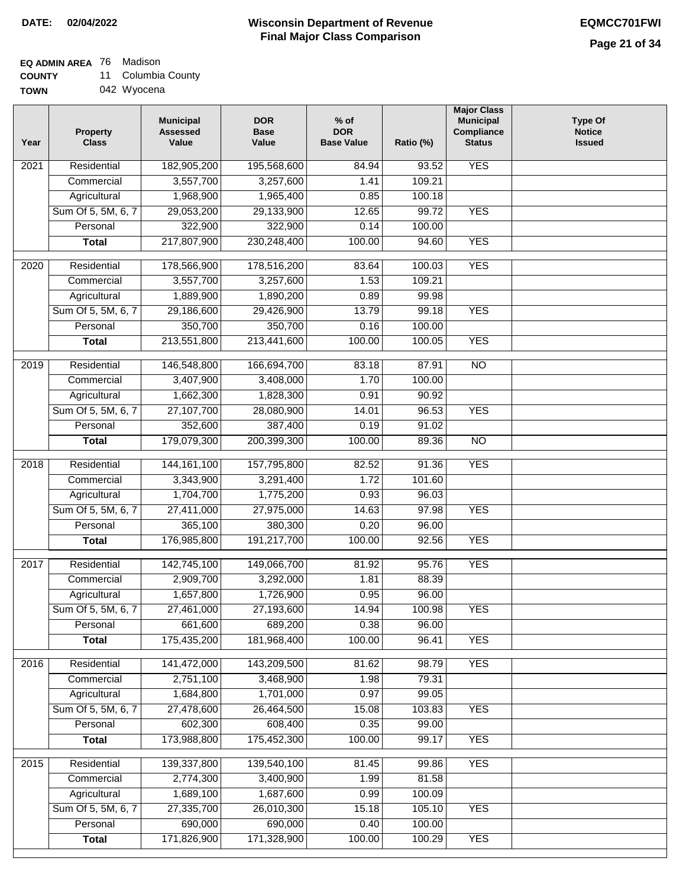## **EQ ADMIN AREA** 76 Madison

**COUNTY** 11 Columbia County

| <b>TOWN</b> | 042 Wyocena |
|-------------|-------------|
|-------------|-------------|

| 182,905,200<br><b>YES</b><br>Residential<br>195,568,600<br>2021<br>84.94<br>93.52<br>3,557,700<br>109.21<br>Commercial<br>3,257,600<br>1.41<br>1,968,900<br>Agricultural<br>1,965,400<br>0.85<br>100.18<br>29,053,200<br>99.72<br>Sum Of 5, 5M, 6, 7<br>29,133,900<br>12.65<br><b>YES</b><br>322,900<br>322,900<br>0.14<br>Personal<br>100.00<br>217,807,900<br>230,248,400<br><b>YES</b><br>100.00<br>94.60<br><b>Total</b><br>Residential<br><b>YES</b><br>178,566,900<br>178,516,200<br>83.64<br>100.03<br>2020<br>3,557,700<br>1.53<br>Commercial<br>3,257,600<br>109.21<br>1,889,900<br>0.89<br>Agricultural<br>1,890,200<br>99.98<br>Sum Of 5, 5M, 6, 7<br><b>YES</b><br>29,186,600<br>29,426,900<br>13.79<br>99.18<br>350,700<br>350,700<br>Personal<br>0.16<br>100.00<br>213,551,800<br><b>YES</b><br><b>Total</b><br>213,441,600<br>100.00<br>100.05<br>$\overline{NO}$<br>Residential<br>146,548,800<br>166,694,700<br>87.91<br>2019<br>83.18<br>Commercial<br>3,407,900<br>1.70<br>100.00<br>3,408,000<br>1,662,300<br>Agricultural<br>1,828,300<br>0.91<br>90.92<br>Sum Of 5, 5M, 6, 7<br>27,107,700<br>28,080,900<br>96.53<br><b>YES</b><br>14.01<br>352,600<br>Personal<br>387,400<br>0.19<br>91.02<br>179,079,300<br>200,399,300<br>100.00<br>89.36<br>$\overline{NO}$<br><b>Total</b><br>144, 161, 100<br><b>YES</b><br>$\overline{2018}$<br>Residential<br>157,795,800<br>82.52<br>91.36<br>3,343,900<br>1.72<br>101.60<br>Commercial<br>3,291,400<br>1,704,700<br>Agricultural<br>1,775,200<br>0.93<br>96.03<br>Sum Of 5, 5M, 6, 7<br>14.63<br><b>YES</b><br>27,411,000<br>27,975,000<br>97.98<br>365,100<br>380,300<br>96.00<br>Personal<br>0.20<br>176,985,800<br>191,217,700<br>100.00<br>92.56<br><b>YES</b><br><b>Total</b> | Year | <b>Property</b><br><b>Class</b> | <b>Municipal</b><br><b>Assessed</b><br>Value | <b>DOR</b><br><b>Base</b><br>Value | $%$ of<br><b>DOR</b><br><b>Base Value</b> | Ratio (%) | <b>Major Class</b><br><b>Municipal</b><br>Compliance<br><b>Status</b> | <b>Type Of</b><br><b>Notice</b><br><b>Issued</b> |
|----------------------------------------------------------------------------------------------------------------------------------------------------------------------------------------------------------------------------------------------------------------------------------------------------------------------------------------------------------------------------------------------------------------------------------------------------------------------------------------------------------------------------------------------------------------------------------------------------------------------------------------------------------------------------------------------------------------------------------------------------------------------------------------------------------------------------------------------------------------------------------------------------------------------------------------------------------------------------------------------------------------------------------------------------------------------------------------------------------------------------------------------------------------------------------------------------------------------------------------------------------------------------------------------------------------------------------------------------------------------------------------------------------------------------------------------------------------------------------------------------------------------------------------------------------------------------------------------------------------------------------------------------------------------------------------------------------------------------------------------------|------|---------------------------------|----------------------------------------------|------------------------------------|-------------------------------------------|-----------|-----------------------------------------------------------------------|--------------------------------------------------|
|                                                                                                                                                                                                                                                                                                                                                                                                                                                                                                                                                                                                                                                                                                                                                                                                                                                                                                                                                                                                                                                                                                                                                                                                                                                                                                                                                                                                                                                                                                                                                                                                                                                                                                                                                    |      |                                 |                                              |                                    |                                           |           |                                                                       |                                                  |
|                                                                                                                                                                                                                                                                                                                                                                                                                                                                                                                                                                                                                                                                                                                                                                                                                                                                                                                                                                                                                                                                                                                                                                                                                                                                                                                                                                                                                                                                                                                                                                                                                                                                                                                                                    |      |                                 |                                              |                                    |                                           |           |                                                                       |                                                  |
|                                                                                                                                                                                                                                                                                                                                                                                                                                                                                                                                                                                                                                                                                                                                                                                                                                                                                                                                                                                                                                                                                                                                                                                                                                                                                                                                                                                                                                                                                                                                                                                                                                                                                                                                                    |      |                                 |                                              |                                    |                                           |           |                                                                       |                                                  |
|                                                                                                                                                                                                                                                                                                                                                                                                                                                                                                                                                                                                                                                                                                                                                                                                                                                                                                                                                                                                                                                                                                                                                                                                                                                                                                                                                                                                                                                                                                                                                                                                                                                                                                                                                    |      |                                 |                                              |                                    |                                           |           |                                                                       |                                                  |
|                                                                                                                                                                                                                                                                                                                                                                                                                                                                                                                                                                                                                                                                                                                                                                                                                                                                                                                                                                                                                                                                                                                                                                                                                                                                                                                                                                                                                                                                                                                                                                                                                                                                                                                                                    |      |                                 |                                              |                                    |                                           |           |                                                                       |                                                  |
|                                                                                                                                                                                                                                                                                                                                                                                                                                                                                                                                                                                                                                                                                                                                                                                                                                                                                                                                                                                                                                                                                                                                                                                                                                                                                                                                                                                                                                                                                                                                                                                                                                                                                                                                                    |      |                                 |                                              |                                    |                                           |           |                                                                       |                                                  |
|                                                                                                                                                                                                                                                                                                                                                                                                                                                                                                                                                                                                                                                                                                                                                                                                                                                                                                                                                                                                                                                                                                                                                                                                                                                                                                                                                                                                                                                                                                                                                                                                                                                                                                                                                    |      |                                 |                                              |                                    |                                           |           |                                                                       |                                                  |
|                                                                                                                                                                                                                                                                                                                                                                                                                                                                                                                                                                                                                                                                                                                                                                                                                                                                                                                                                                                                                                                                                                                                                                                                                                                                                                                                                                                                                                                                                                                                                                                                                                                                                                                                                    |      |                                 |                                              |                                    |                                           |           |                                                                       |                                                  |
|                                                                                                                                                                                                                                                                                                                                                                                                                                                                                                                                                                                                                                                                                                                                                                                                                                                                                                                                                                                                                                                                                                                                                                                                                                                                                                                                                                                                                                                                                                                                                                                                                                                                                                                                                    |      |                                 |                                              |                                    |                                           |           |                                                                       |                                                  |
|                                                                                                                                                                                                                                                                                                                                                                                                                                                                                                                                                                                                                                                                                                                                                                                                                                                                                                                                                                                                                                                                                                                                                                                                                                                                                                                                                                                                                                                                                                                                                                                                                                                                                                                                                    |      |                                 |                                              |                                    |                                           |           |                                                                       |                                                  |
|                                                                                                                                                                                                                                                                                                                                                                                                                                                                                                                                                                                                                                                                                                                                                                                                                                                                                                                                                                                                                                                                                                                                                                                                                                                                                                                                                                                                                                                                                                                                                                                                                                                                                                                                                    |      |                                 |                                              |                                    |                                           |           |                                                                       |                                                  |
|                                                                                                                                                                                                                                                                                                                                                                                                                                                                                                                                                                                                                                                                                                                                                                                                                                                                                                                                                                                                                                                                                                                                                                                                                                                                                                                                                                                                                                                                                                                                                                                                                                                                                                                                                    |      |                                 |                                              |                                    |                                           |           |                                                                       |                                                  |
|                                                                                                                                                                                                                                                                                                                                                                                                                                                                                                                                                                                                                                                                                                                                                                                                                                                                                                                                                                                                                                                                                                                                                                                                                                                                                                                                                                                                                                                                                                                                                                                                                                                                                                                                                    |      |                                 |                                              |                                    |                                           |           |                                                                       |                                                  |
|                                                                                                                                                                                                                                                                                                                                                                                                                                                                                                                                                                                                                                                                                                                                                                                                                                                                                                                                                                                                                                                                                                                                                                                                                                                                                                                                                                                                                                                                                                                                                                                                                                                                                                                                                    |      |                                 |                                              |                                    |                                           |           |                                                                       |                                                  |
|                                                                                                                                                                                                                                                                                                                                                                                                                                                                                                                                                                                                                                                                                                                                                                                                                                                                                                                                                                                                                                                                                                                                                                                                                                                                                                                                                                                                                                                                                                                                                                                                                                                                                                                                                    |      |                                 |                                              |                                    |                                           |           |                                                                       |                                                  |
|                                                                                                                                                                                                                                                                                                                                                                                                                                                                                                                                                                                                                                                                                                                                                                                                                                                                                                                                                                                                                                                                                                                                                                                                                                                                                                                                                                                                                                                                                                                                                                                                                                                                                                                                                    |      |                                 |                                              |                                    |                                           |           |                                                                       |                                                  |
|                                                                                                                                                                                                                                                                                                                                                                                                                                                                                                                                                                                                                                                                                                                                                                                                                                                                                                                                                                                                                                                                                                                                                                                                                                                                                                                                                                                                                                                                                                                                                                                                                                                                                                                                                    |      |                                 |                                              |                                    |                                           |           |                                                                       |                                                  |
|                                                                                                                                                                                                                                                                                                                                                                                                                                                                                                                                                                                                                                                                                                                                                                                                                                                                                                                                                                                                                                                                                                                                                                                                                                                                                                                                                                                                                                                                                                                                                                                                                                                                                                                                                    |      |                                 |                                              |                                    |                                           |           |                                                                       |                                                  |
|                                                                                                                                                                                                                                                                                                                                                                                                                                                                                                                                                                                                                                                                                                                                                                                                                                                                                                                                                                                                                                                                                                                                                                                                                                                                                                                                                                                                                                                                                                                                                                                                                                                                                                                                                    |      |                                 |                                              |                                    |                                           |           |                                                                       |                                                  |
|                                                                                                                                                                                                                                                                                                                                                                                                                                                                                                                                                                                                                                                                                                                                                                                                                                                                                                                                                                                                                                                                                                                                                                                                                                                                                                                                                                                                                                                                                                                                                                                                                                                                                                                                                    |      |                                 |                                              |                                    |                                           |           |                                                                       |                                                  |
|                                                                                                                                                                                                                                                                                                                                                                                                                                                                                                                                                                                                                                                                                                                                                                                                                                                                                                                                                                                                                                                                                                                                                                                                                                                                                                                                                                                                                                                                                                                                                                                                                                                                                                                                                    |      |                                 |                                              |                                    |                                           |           |                                                                       |                                                  |
|                                                                                                                                                                                                                                                                                                                                                                                                                                                                                                                                                                                                                                                                                                                                                                                                                                                                                                                                                                                                                                                                                                                                                                                                                                                                                                                                                                                                                                                                                                                                                                                                                                                                                                                                                    |      |                                 |                                              |                                    |                                           |           |                                                                       |                                                  |
|                                                                                                                                                                                                                                                                                                                                                                                                                                                                                                                                                                                                                                                                                                                                                                                                                                                                                                                                                                                                                                                                                                                                                                                                                                                                                                                                                                                                                                                                                                                                                                                                                                                                                                                                                    |      |                                 |                                              |                                    |                                           |           |                                                                       |                                                  |
|                                                                                                                                                                                                                                                                                                                                                                                                                                                                                                                                                                                                                                                                                                                                                                                                                                                                                                                                                                                                                                                                                                                                                                                                                                                                                                                                                                                                                                                                                                                                                                                                                                                                                                                                                    |      |                                 |                                              |                                    |                                           |           |                                                                       |                                                  |
| <b>YES</b><br>2017<br>Residential<br>142,745,100<br>149,066,700<br>81.92<br>95.76                                                                                                                                                                                                                                                                                                                                                                                                                                                                                                                                                                                                                                                                                                                                                                                                                                                                                                                                                                                                                                                                                                                                                                                                                                                                                                                                                                                                                                                                                                                                                                                                                                                                  |      |                                 |                                              |                                    |                                           |           |                                                                       |                                                  |
| 2,909,700<br>3,292,000<br>1.81<br>88.39<br>Commercial                                                                                                                                                                                                                                                                                                                                                                                                                                                                                                                                                                                                                                                                                                                                                                                                                                                                                                                                                                                                                                                                                                                                                                                                                                                                                                                                                                                                                                                                                                                                                                                                                                                                                              |      |                                 |                                              |                                    |                                           |           |                                                                       |                                                  |
| 1,657,800<br>96.00<br>1,726,900<br>0.95<br>Agricultural                                                                                                                                                                                                                                                                                                                                                                                                                                                                                                                                                                                                                                                                                                                                                                                                                                                                                                                                                                                                                                                                                                                                                                                                                                                                                                                                                                                                                                                                                                                                                                                                                                                                                            |      |                                 |                                              |                                    |                                           |           |                                                                       |                                                  |
| Sum Of 5, 5M, 6, 7<br>27,461,000<br>27,193,600<br>14.94<br>100.98<br><b>YES</b>                                                                                                                                                                                                                                                                                                                                                                                                                                                                                                                                                                                                                                                                                                                                                                                                                                                                                                                                                                                                                                                                                                                                                                                                                                                                                                                                                                                                                                                                                                                                                                                                                                                                    |      |                                 |                                              |                                    |                                           |           |                                                                       |                                                  |
| 661,600<br>689,200<br>96.00<br>Personal<br>0.38                                                                                                                                                                                                                                                                                                                                                                                                                                                                                                                                                                                                                                                                                                                                                                                                                                                                                                                                                                                                                                                                                                                                                                                                                                                                                                                                                                                                                                                                                                                                                                                                                                                                                                    |      |                                 |                                              |                                    |                                           |           |                                                                       |                                                  |
| 175,435,200<br><b>YES</b><br>181,968,400<br>100.00<br><b>Total</b><br>96.41                                                                                                                                                                                                                                                                                                                                                                                                                                                                                                                                                                                                                                                                                                                                                                                                                                                                                                                                                                                                                                                                                                                                                                                                                                                                                                                                                                                                                                                                                                                                                                                                                                                                        |      |                                 |                                              |                                    |                                           |           |                                                                       |                                                  |
| Residential<br>141,472,000<br>143,209,500<br>81.62<br>98.79<br><b>YES</b><br>2016                                                                                                                                                                                                                                                                                                                                                                                                                                                                                                                                                                                                                                                                                                                                                                                                                                                                                                                                                                                                                                                                                                                                                                                                                                                                                                                                                                                                                                                                                                                                                                                                                                                                  |      |                                 |                                              |                                    |                                           |           |                                                                       |                                                  |
| 2,751,100<br>79.31<br>Commercial<br>3,468,900<br>1.98                                                                                                                                                                                                                                                                                                                                                                                                                                                                                                                                                                                                                                                                                                                                                                                                                                                                                                                                                                                                                                                                                                                                                                                                                                                                                                                                                                                                                                                                                                                                                                                                                                                                                              |      |                                 |                                              |                                    |                                           |           |                                                                       |                                                  |
| 1,684,800<br>1,701,000<br>0.97<br>99.05<br>Agricultural                                                                                                                                                                                                                                                                                                                                                                                                                                                                                                                                                                                                                                                                                                                                                                                                                                                                                                                                                                                                                                                                                                                                                                                                                                                                                                                                                                                                                                                                                                                                                                                                                                                                                            |      |                                 |                                              |                                    |                                           |           |                                                                       |                                                  |
| Sum Of 5, 5M, 6, 7<br>27,478,600<br>26,464,500<br>15.08<br>103.83<br><b>YES</b>                                                                                                                                                                                                                                                                                                                                                                                                                                                                                                                                                                                                                                                                                                                                                                                                                                                                                                                                                                                                                                                                                                                                                                                                                                                                                                                                                                                                                                                                                                                                                                                                                                                                    |      |                                 |                                              |                                    |                                           |           |                                                                       |                                                  |
| 602,300<br>608,400<br>Personal<br>0.35<br>99.00                                                                                                                                                                                                                                                                                                                                                                                                                                                                                                                                                                                                                                                                                                                                                                                                                                                                                                                                                                                                                                                                                                                                                                                                                                                                                                                                                                                                                                                                                                                                                                                                                                                                                                    |      |                                 |                                              |                                    |                                           |           |                                                                       |                                                  |
| 173,988,800<br>100.00<br><b>YES</b><br>175,452,300<br>99.17<br><b>Total</b>                                                                                                                                                                                                                                                                                                                                                                                                                                                                                                                                                                                                                                                                                                                                                                                                                                                                                                                                                                                                                                                                                                                                                                                                                                                                                                                                                                                                                                                                                                                                                                                                                                                                        |      |                                 |                                              |                                    |                                           |           |                                                                       |                                                  |
| 139,337,800<br><b>YES</b><br>2015<br>Residential<br>139,540,100<br>81.45<br>99.86                                                                                                                                                                                                                                                                                                                                                                                                                                                                                                                                                                                                                                                                                                                                                                                                                                                                                                                                                                                                                                                                                                                                                                                                                                                                                                                                                                                                                                                                                                                                                                                                                                                                  |      |                                 |                                              |                                    |                                           |           |                                                                       |                                                  |
| Commercial<br>2,774,300<br>3,400,900<br>1.99<br>81.58                                                                                                                                                                                                                                                                                                                                                                                                                                                                                                                                                                                                                                                                                                                                                                                                                                                                                                                                                                                                                                                                                                                                                                                                                                                                                                                                                                                                                                                                                                                                                                                                                                                                                              |      |                                 |                                              |                                    |                                           |           |                                                                       |                                                  |
| 1,689,100<br>Agricultural<br>1,687,600<br>0.99<br>100.09                                                                                                                                                                                                                                                                                                                                                                                                                                                                                                                                                                                                                                                                                                                                                                                                                                                                                                                                                                                                                                                                                                                                                                                                                                                                                                                                                                                                                                                                                                                                                                                                                                                                                           |      |                                 |                                              |                                    |                                           |           |                                                                       |                                                  |
| Sum Of 5, 5M, 6, 7<br>27,335,700<br>26,010,300<br>15.18<br>105.10<br><b>YES</b>                                                                                                                                                                                                                                                                                                                                                                                                                                                                                                                                                                                                                                                                                                                                                                                                                                                                                                                                                                                                                                                                                                                                                                                                                                                                                                                                                                                                                                                                                                                                                                                                                                                                    |      |                                 |                                              |                                    |                                           |           |                                                                       |                                                  |
| Personal<br>690,000<br>690,000<br>0.40<br>100.00                                                                                                                                                                                                                                                                                                                                                                                                                                                                                                                                                                                                                                                                                                                                                                                                                                                                                                                                                                                                                                                                                                                                                                                                                                                                                                                                                                                                                                                                                                                                                                                                                                                                                                   |      |                                 |                                              |                                    |                                           |           |                                                                       |                                                  |
| 171,826,900<br>171,328,900<br>100.00<br><b>YES</b><br><b>Total</b><br>100.29                                                                                                                                                                                                                                                                                                                                                                                                                                                                                                                                                                                                                                                                                                                                                                                                                                                                                                                                                                                                                                                                                                                                                                                                                                                                                                                                                                                                                                                                                                                                                                                                                                                                       |      |                                 |                                              |                                    |                                           |           |                                                                       |                                                  |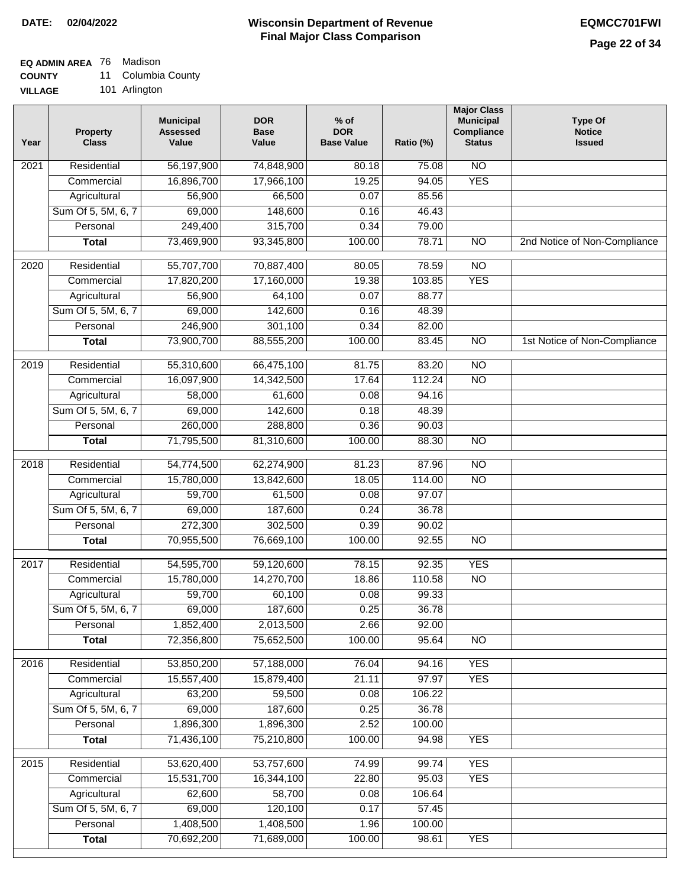# **EQ ADMIN AREA** 76 Madison

**COUNTY** 11 Columbia County

**VILLAGE** 101 Arlington

| Year | <b>Property</b><br><b>Class</b> | <b>Municipal</b><br><b>Assessed</b><br>Value | <b>DOR</b><br><b>Base</b><br>Value | $%$ of<br><b>DOR</b><br><b>Base Value</b> | Ratio (%) | <b>Major Class</b><br><b>Municipal</b><br>Compliance<br><b>Status</b> | <b>Type Of</b><br><b>Notice</b><br><b>Issued</b> |
|------|---------------------------------|----------------------------------------------|------------------------------------|-------------------------------------------|-----------|-----------------------------------------------------------------------|--------------------------------------------------|
| 2021 | Residential                     | 56,197,900                                   | 74,848,900                         | 80.18                                     | 75.08     | $\overline{NO}$                                                       |                                                  |
|      | Commercial                      | 16,896,700                                   | 17,966,100                         | 19.25                                     | 94.05     | <b>YES</b>                                                            |                                                  |
|      | Agricultural                    | 56,900                                       | 66,500                             | 0.07                                      | 85.56     |                                                                       |                                                  |
|      | Sum Of 5, 5M, 6, 7              | 69,000                                       | 148,600                            | 0.16                                      | 46.43     |                                                                       |                                                  |
|      | Personal                        | 249,400                                      | 315,700                            | 0.34                                      | 79.00     |                                                                       |                                                  |
|      | <b>Total</b>                    | 73,469,900                                   | 93,345,800                         | 100.00                                    | 78.71     | $\overline{NO}$                                                       | 2nd Notice of Non-Compliance                     |
| 2020 | Residential                     | 55,707,700                                   | 70,887,400                         | 80.05                                     | 78.59     | $\overline{NO}$                                                       |                                                  |
|      | Commercial                      | 17,820,200                                   | 17,160,000                         | 19.38                                     | 103.85    | <b>YES</b>                                                            |                                                  |
|      | Agricultural                    | 56,900                                       | 64,100                             | 0.07                                      | 88.77     |                                                                       |                                                  |
|      | Sum Of 5, 5M, 6, 7              | 69,000                                       | 142,600                            | 0.16                                      | 48.39     |                                                                       |                                                  |
|      | Personal                        | 246,900                                      | 301,100                            | 0.34                                      | 82.00     |                                                                       |                                                  |
|      | <b>Total</b>                    | 73,900,700                                   | 88,555,200                         | 100.00                                    | 83.45     | $\overline{NO}$                                                       | 1st Notice of Non-Compliance                     |
| 2019 | Residential                     | 55,310,600                                   | 66,475,100                         | 81.75                                     | 83.20     | $\overline{NO}$                                                       |                                                  |
|      | Commercial                      | 16,097,900                                   | 14,342,500                         | 17.64                                     | 112.24    | $\overline{NO}$                                                       |                                                  |
|      | Agricultural                    | 58,000                                       | 61,600                             | 0.08                                      | 94.16     |                                                                       |                                                  |
|      | Sum Of 5, 5M, 6, 7              | 69,000                                       | 142,600                            | 0.18                                      | 48.39     |                                                                       |                                                  |
|      | Personal                        | 260,000                                      | 288,800                            | 0.36                                      | 90.03     |                                                                       |                                                  |
|      | <b>Total</b>                    | 71,795,500                                   | 81,310,600                         | 100.00                                    | 88.30     | $\overline{NO}$                                                       |                                                  |
| 2018 | Residential                     | 54,774,500                                   | 62,274,900                         | 81.23                                     | 87.96     | $\overline{NO}$                                                       |                                                  |
|      | Commercial                      | 15,780,000                                   | 13,842,600                         | 18.05                                     | 114.00    | $\overline{NO}$                                                       |                                                  |
|      | Agricultural                    | 59,700                                       | 61,500                             | 0.08                                      | 97.07     |                                                                       |                                                  |
|      | Sum Of 5, 5M, 6, 7              | 69,000                                       | 187,600                            | 0.24                                      | 36.78     |                                                                       |                                                  |
|      | Personal                        | 272,300                                      | 302,500                            | 0.39                                      | 90.02     |                                                                       |                                                  |
|      | <b>Total</b>                    | 70,955,500                                   | 76,669,100                         | 100.00                                    | 92.55     | $\overline{NO}$                                                       |                                                  |
| 2017 | Residential                     | 54,595,700                                   | 59,120,600                         | 78.15                                     | 92.35     | <b>YES</b>                                                            |                                                  |
|      | Commercial                      | 15,780,000                                   | 14,270,700                         | 18.86                                     | 110.58    | $\overline{NO}$                                                       |                                                  |
|      | Agricultural                    | 59,700                                       | 60,100                             | 0.08                                      | 99.33     |                                                                       |                                                  |
|      | Sum Of 5, 5M, 6, 7              | 69,000                                       | 187,600                            | 0.25                                      | 36.78     |                                                                       |                                                  |
|      | Personal                        | 1,852,400                                    | 2,013,500                          | 2.66                                      | 92.00     |                                                                       |                                                  |
|      | <b>Total</b>                    | 72,356,800                                   | 75,652,500                         | 100.00                                    | 95.64     | <b>NO</b>                                                             |                                                  |
| 2016 | Residential                     | 53,850,200                                   | 57,188,000                         | 76.04                                     | 94.16     | <b>YES</b>                                                            |                                                  |
|      | Commercial                      | 15,557,400                                   | 15,879,400                         | 21.11                                     | 97.97     | <b>YES</b>                                                            |                                                  |
|      | Agricultural                    | 63,200                                       | 59,500                             | 0.08                                      | 106.22    |                                                                       |                                                  |
|      | Sum Of 5, 5M, 6, 7              | 69,000                                       | 187,600                            | 0.25                                      | 36.78     |                                                                       |                                                  |
|      | Personal                        | 1,896,300                                    | 1,896,300                          | 2.52                                      | 100.00    |                                                                       |                                                  |
|      | <b>Total</b>                    | 71,436,100                                   | 75,210,800                         | 100.00                                    | 94.98     | <b>YES</b>                                                            |                                                  |
| 2015 | Residential                     | 53,620,400                                   | 53,757,600                         | 74.99                                     | 99.74     | <b>YES</b>                                                            |                                                  |
|      | Commercial                      | 15,531,700                                   | 16,344,100                         | 22.80                                     | 95.03     | <b>YES</b>                                                            |                                                  |
|      | Agricultural                    | 62,600                                       | 58,700                             | 0.08                                      | 106.64    |                                                                       |                                                  |
|      | Sum Of 5, 5M, 6, 7              | 69,000                                       | 120,100                            | 0.17                                      | 57.45     |                                                                       |                                                  |
|      | Personal                        | 1,408,500                                    | 1,408,500                          | 1.96                                      | 100.00    |                                                                       |                                                  |
|      | <b>Total</b>                    | 70,692,200                                   | 71,689,000                         | 100.00                                    | 98.61     | <b>YES</b>                                                            |                                                  |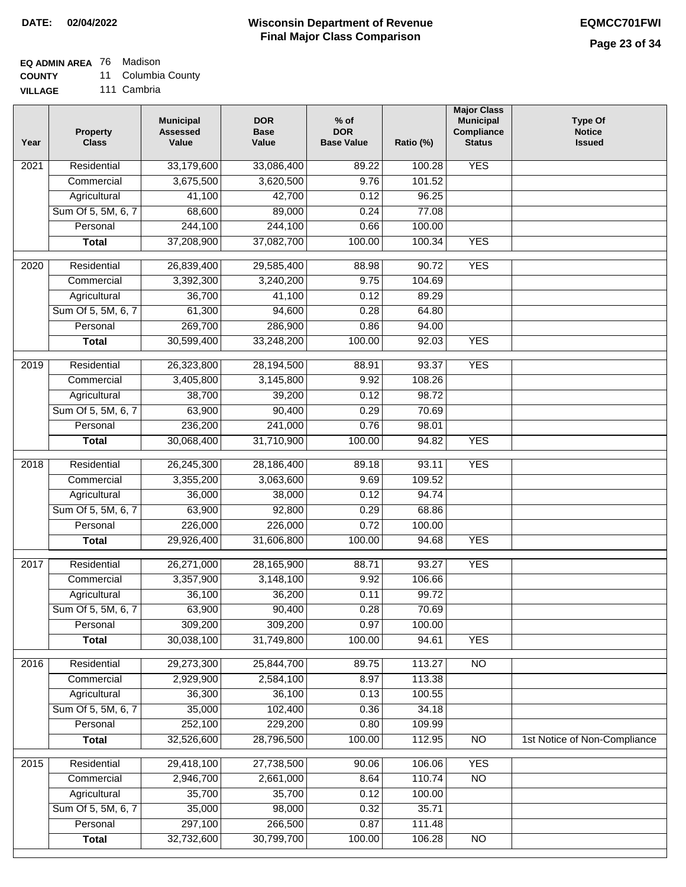## **EQ ADMIN AREA** 76 Madison

**COUNTY** 11 Columbia County

**VILLAGE** 111 Cambria

| Year | <b>Property</b><br><b>Class</b> | <b>Municipal</b><br><b>Assessed</b><br>Value | <b>DOR</b><br><b>Base</b><br>Value | $%$ of<br><b>DOR</b><br><b>Base Value</b> | Ratio (%) | <b>Major Class</b><br><b>Municipal</b><br>Compliance<br><b>Status</b> | <b>Type Of</b><br><b>Notice</b><br><b>Issued</b> |
|------|---------------------------------|----------------------------------------------|------------------------------------|-------------------------------------------|-----------|-----------------------------------------------------------------------|--------------------------------------------------|
| 2021 | Residential                     | 33,179,600                                   | 33,086,400                         | 89.22                                     | 100.28    | <b>YES</b>                                                            |                                                  |
|      | Commercial                      | 3,675,500                                    | 3,620,500                          | 9.76                                      | 101.52    |                                                                       |                                                  |
|      | Agricultural                    | 41,100                                       | 42,700                             | 0.12                                      | 96.25     |                                                                       |                                                  |
|      | Sum Of 5, 5M, 6, 7              | 68,600                                       | 89,000                             | 0.24                                      | 77.08     |                                                                       |                                                  |
|      | Personal                        | 244,100                                      | 244,100                            | 0.66                                      | 100.00    |                                                                       |                                                  |
|      | <b>Total</b>                    | 37,208,900                                   | 37,082,700                         | 100.00                                    | 100.34    | <b>YES</b>                                                            |                                                  |
| 2020 | Residential                     | 26,839,400                                   | 29,585,400                         | 88.98                                     | 90.72     | <b>YES</b>                                                            |                                                  |
|      | Commercial                      | 3,392,300                                    | 3,240,200                          | 9.75                                      | 104.69    |                                                                       |                                                  |
|      | Agricultural                    | 36,700                                       | 41,100                             | 0.12                                      | 89.29     |                                                                       |                                                  |
|      | Sum Of 5, 5M, 6, 7              | 61,300                                       | 94,600                             | 0.28                                      | 64.80     |                                                                       |                                                  |
|      | Personal                        | 269,700                                      | 286,900                            | 0.86                                      | 94.00     |                                                                       |                                                  |
|      | <b>Total</b>                    | 30,599,400                                   | 33,248,200                         | 100.00                                    | 92.03     | <b>YES</b>                                                            |                                                  |
|      |                                 |                                              |                                    |                                           |           |                                                                       |                                                  |
| 2019 | Residential                     | 26,323,800                                   | 28,194,500                         | 88.91                                     | 93.37     | <b>YES</b>                                                            |                                                  |
|      | Commercial                      | 3,405,800                                    | 3,145,800                          | 9.92                                      | 108.26    |                                                                       |                                                  |
|      | Agricultural                    | 38,700                                       | 39,200                             | 0.12                                      | 98.72     |                                                                       |                                                  |
|      | Sum Of 5, 5M, 6, 7              | 63,900                                       | 90,400                             | 0.29                                      | 70.69     |                                                                       |                                                  |
|      | Personal                        | 236,200                                      | 241,000                            | 0.76                                      | 98.01     |                                                                       |                                                  |
|      | <b>Total</b>                    | 30,068,400                                   | 31,710,900                         | 100.00                                    | 94.82     | <b>YES</b>                                                            |                                                  |
| 2018 | Residential                     | 26,245,300                                   | 28,186,400                         | 89.18                                     | 93.11     | <b>YES</b>                                                            |                                                  |
|      | Commercial                      | 3,355,200                                    | 3,063,600                          | 9.69                                      | 109.52    |                                                                       |                                                  |
|      | Agricultural                    | 36,000                                       | 38,000                             | 0.12                                      | 94.74     |                                                                       |                                                  |
|      | Sum Of 5, 5M, 6, 7              | 63,900                                       | 92,800                             | 0.29                                      | 68.86     |                                                                       |                                                  |
|      | Personal                        | 226,000                                      | 226,000                            | 0.72                                      | 100.00    |                                                                       |                                                  |
|      | <b>Total</b>                    | 29,926,400                                   | 31,606,800                         | 100.00                                    | 94.68     | <b>YES</b>                                                            |                                                  |
| 2017 | Residential                     | 26,271,000                                   | 28,165,900                         | 88.71                                     | 93.27     | <b>YES</b>                                                            |                                                  |
|      | Commercial                      | 3,357,900                                    | 3,148,100                          | 9.92                                      | 106.66    |                                                                       |                                                  |
|      | Agricultural                    | 36,100                                       | 36,200                             | 0.11                                      | 99.72     |                                                                       |                                                  |
|      | Sum Of 5, 5M, 6, 7              | 63,900                                       | 90,400                             | 0.28                                      | 70.69     |                                                                       |                                                  |
|      | Personal                        | 309,200                                      | 309,200                            | 0.97                                      | 100.00    |                                                                       |                                                  |
|      | <b>Total</b>                    | 30,038,100                                   | 31,749,800                         | 100.00                                    | 94.61     | <b>YES</b>                                                            |                                                  |
| 2016 | Residential                     | 29,273,300                                   | 25,844,700                         | 89.75                                     | 113.27    | N <sub>O</sub>                                                        |                                                  |
|      | Commercial                      | 2,929,900                                    | 2,584,100                          | 8.97                                      | 113.38    |                                                                       |                                                  |
|      | Agricultural                    | 36,300                                       | 36,100                             | 0.13                                      | 100.55    |                                                                       |                                                  |
|      | Sum Of 5, 5M, 6, 7              | 35,000                                       | 102,400                            | 0.36                                      | 34.18     |                                                                       |                                                  |
|      | Personal                        | 252,100                                      | 229,200                            | 0.80                                      | 109.99    |                                                                       |                                                  |
|      | <b>Total</b>                    | 32,526,600                                   | 28,796,500                         | 100.00                                    | 112.95    | $\overline{NO}$                                                       | 1st Notice of Non-Compliance                     |
| 2015 | Residential                     | 29,418,100                                   | 27,738,500                         | 90.06                                     | 106.06    | <b>YES</b>                                                            |                                                  |
|      | Commercial                      | 2,946,700                                    | 2,661,000                          | 8.64                                      | 110.74    | $\overline{NO}$                                                       |                                                  |
|      | Agricultural                    | 35,700                                       | 35,700                             | 0.12                                      | 100.00    |                                                                       |                                                  |
|      | Sum Of 5, 5M, 6, 7              | 35,000                                       | 98,000                             | 0.32                                      | 35.71     |                                                                       |                                                  |
|      | Personal                        | 297,100                                      | 266,500                            | 0.87                                      | 111.48    |                                                                       |                                                  |
|      | <b>Total</b>                    | 32,732,600                                   | 30,799,700                         | 100.00                                    | 106.28    | NO                                                                    |                                                  |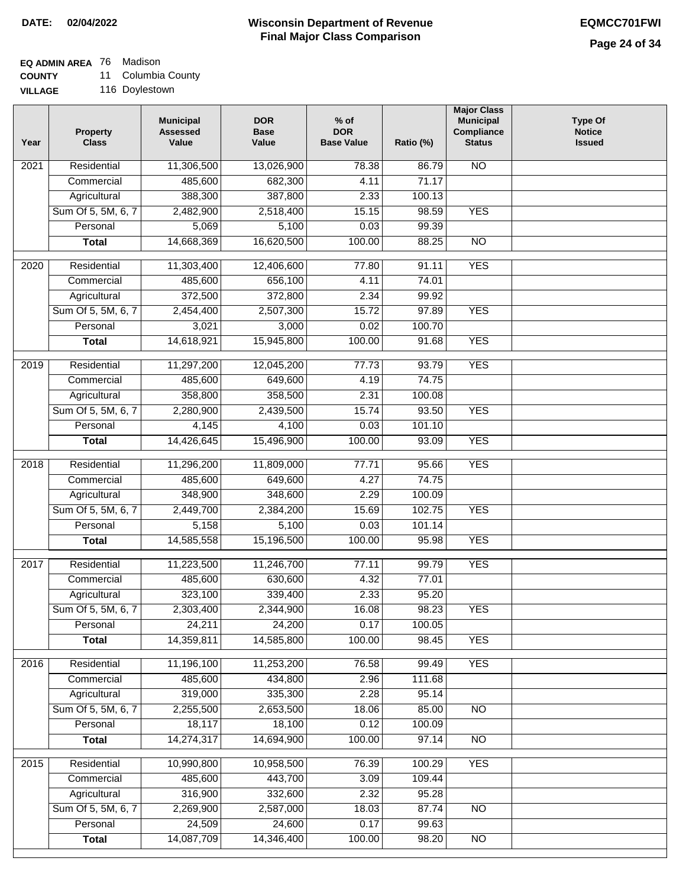## **EQ ADMIN AREA** 76 Madison

**COUNTY** 11 Columbia County

**VILLAGE** 116 Doylestown

| Year | <b>Property</b><br><b>Class</b> | <b>Municipal</b><br><b>Assessed</b><br>Value | <b>DOR</b><br><b>Base</b><br>Value | $%$ of<br><b>DOR</b><br><b>Base Value</b> | Ratio (%) | <b>Major Class</b><br><b>Municipal</b><br>Compliance<br><b>Status</b> | <b>Type Of</b><br><b>Notice</b><br><b>Issued</b> |
|------|---------------------------------|----------------------------------------------|------------------------------------|-------------------------------------------|-----------|-----------------------------------------------------------------------|--------------------------------------------------|
| 2021 | Residential                     | 11,306,500                                   | 13,026,900                         | 78.38                                     | 86.79     | $\overline{NO}$                                                       |                                                  |
|      | Commercial                      | 485,600                                      | 682,300                            | 4.11                                      | 71.17     |                                                                       |                                                  |
|      | Agricultural                    | 388,300                                      | 387,800                            | 2.33                                      | 100.13    |                                                                       |                                                  |
|      | Sum Of 5, 5M, 6, 7              | 2,482,900                                    | 2,518,400                          | 15.15                                     | 98.59     | <b>YES</b>                                                            |                                                  |
|      | Personal                        | 5,069                                        | 5,100                              | 0.03                                      | 99.39     |                                                                       |                                                  |
|      | <b>Total</b>                    | 14,668,369                                   | 16,620,500                         | 100.00                                    | 88.25     | $\overline{NO}$                                                       |                                                  |
| 2020 | Residential                     | 11,303,400                                   | 12,406,600                         | 77.80                                     | 91.11     | <b>YES</b>                                                            |                                                  |
|      | Commercial                      | 485,600                                      | 656,100                            | 4.11                                      | 74.01     |                                                                       |                                                  |
|      | Agricultural                    | 372,500                                      | 372,800                            | 2.34                                      | 99.92     |                                                                       |                                                  |
|      | Sum Of 5, 5M, 6, 7              | 2,454,400                                    | 2,507,300                          | 15.72                                     | 97.89     | <b>YES</b>                                                            |                                                  |
|      | Personal                        | 3,021                                        | 3,000                              | 0.02                                      | 100.70    |                                                                       |                                                  |
|      | <b>Total</b>                    | 14,618,921                                   | 15,945,800                         | 100.00                                    | 91.68     | <b>YES</b>                                                            |                                                  |
| 2019 | Residential                     | 11,297,200                                   | 12,045,200                         | 77.73                                     | 93.79     | <b>YES</b>                                                            |                                                  |
|      | Commercial                      | 485,600                                      | 649,600                            | 4.19                                      | 74.75     |                                                                       |                                                  |
|      | Agricultural                    | 358,800                                      | 358,500                            | 2.31                                      | 100.08    |                                                                       |                                                  |
|      | Sum Of 5, 5M, 6, 7              | 2,280,900                                    | 2,439,500                          | 15.74                                     | 93.50     | <b>YES</b>                                                            |                                                  |
|      | Personal                        | 4,145                                        | 4,100                              | 0.03                                      | 101.10    |                                                                       |                                                  |
|      | <b>Total</b>                    | 14,426,645                                   | 15,496,900                         | 100.00                                    | 93.09     | <b>YES</b>                                                            |                                                  |
| 2018 | Residential                     | 11,296,200                                   | 11,809,000                         | 77.71                                     | 95.66     | <b>YES</b>                                                            |                                                  |
|      | Commercial                      | 485,600                                      | 649,600                            | 4.27                                      | 74.75     |                                                                       |                                                  |
|      | Agricultural                    | 348,900                                      | 348,600                            | 2.29                                      | 100.09    |                                                                       |                                                  |
|      | Sum Of 5, 5M, 6, 7              | 2,449,700                                    | 2,384,200                          | 15.69                                     | 102.75    | <b>YES</b>                                                            |                                                  |
|      | Personal                        | 5,158                                        | 5,100                              | 0.03                                      | 101.14    |                                                                       |                                                  |
|      | <b>Total</b>                    | 14,585,558                                   | 15,196,500                         | 100.00                                    | 95.98     | <b>YES</b>                                                            |                                                  |
| 2017 | Residential                     | 11,223,500                                   | 11,246,700                         | 77.11                                     | 99.79     | <b>YES</b>                                                            |                                                  |
|      | Commercial                      | 485,600                                      | 630,600                            | 4.32                                      | 77.01     |                                                                       |                                                  |
|      | Agricultural                    | 323,100                                      | 339,400                            | 2.33                                      | 95.20     |                                                                       |                                                  |
|      | Sum Of 5, 5M, 6, 7              | 2,303,400                                    | 2,344,900                          | 16.08                                     | 98.23     | <b>YES</b>                                                            |                                                  |
|      | Personal                        | 24,211                                       | 24,200                             | 0.17                                      | 100.05    |                                                                       |                                                  |
|      | <b>Total</b>                    | 14,359,811                                   | 14,585,800                         | 100.00                                    | 98.45     | <b>YES</b>                                                            |                                                  |
| 2016 | Residential                     | 11,196,100                                   | 11,253,200                         | 76.58                                     | 99.49     | <b>YES</b>                                                            |                                                  |
|      | Commercial                      | 485,600                                      | 434,800                            | 2.96                                      | 111.68    |                                                                       |                                                  |
|      | Agricultural                    | 319,000                                      | 335,300                            | 2.28                                      | 95.14     |                                                                       |                                                  |
|      | Sum Of 5, 5M, 6, 7              | 2,255,500                                    | 2,653,500                          | 18.06                                     | 85.00     | $\overline{NO}$                                                       |                                                  |
|      | Personal                        | 18,117                                       | 18,100                             | 0.12                                      | 100.09    |                                                                       |                                                  |
|      | <b>Total</b>                    | 14,274,317                                   | 14,694,900                         | 100.00                                    | 97.14     | $\overline{NO}$                                                       |                                                  |
| 2015 | Residential                     | 10,990,800                                   | 10,958,500                         | 76.39                                     | 100.29    | <b>YES</b>                                                            |                                                  |
|      | Commercial                      | 485,600                                      | 443,700                            | 3.09                                      | 109.44    |                                                                       |                                                  |
|      | Agricultural                    | 316,900                                      | 332,600                            | 2.32                                      | 95.28     |                                                                       |                                                  |
|      | Sum Of 5, 5M, 6, 7              | 2,269,900                                    | 2,587,000                          | 18.03                                     | 87.74     | $\overline{NO}$                                                       |                                                  |
|      | Personal                        | 24,509                                       | 24,600                             | 0.17                                      | 99.63     |                                                                       |                                                  |
|      | <b>Total</b>                    | 14,087,709                                   | 14,346,400                         | 100.00                                    | 98.20     | N <sub>O</sub>                                                        |                                                  |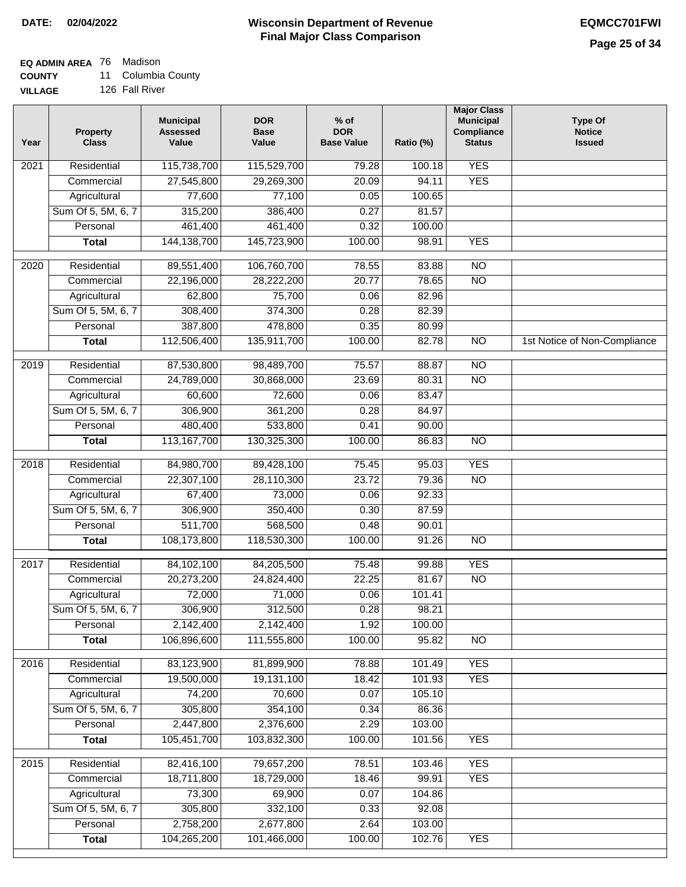# **EQ ADMIN AREA** 76 Madison

**COUNTY** 11 Columbia County

**VILLAGE** 126 Fall River

| Year              | <b>Property</b><br><b>Class</b> | <b>Municipal</b><br><b>Assessed</b><br>Value | <b>DOR</b><br><b>Base</b><br>Value | $%$ of<br><b>DOR</b><br><b>Base Value</b> | Ratio (%) | <b>Major Class</b><br><b>Municipal</b><br>Compliance<br><b>Status</b> | <b>Type Of</b><br><b>Notice</b><br><b>Issued</b> |
|-------------------|---------------------------------|----------------------------------------------|------------------------------------|-------------------------------------------|-----------|-----------------------------------------------------------------------|--------------------------------------------------|
| $\overline{202}1$ | Residential                     | 115,738,700                                  | 115,529,700                        | 79.28                                     | 100.18    | <b>YES</b>                                                            |                                                  |
|                   | Commercial                      | 27,545,800                                   | 29,269,300                         | 20.09                                     | 94.11     | <b>YES</b>                                                            |                                                  |
|                   | Agricultural                    | 77,600                                       | 77,100                             | 0.05                                      | 100.65    |                                                                       |                                                  |
|                   | Sum Of 5, 5M, 6, 7              | 315,200                                      | 386,400                            | 0.27                                      | 81.57     |                                                                       |                                                  |
|                   | Personal                        | 461,400                                      | 461,400                            | 0.32                                      | 100.00    |                                                                       |                                                  |
|                   | <b>Total</b>                    | 144, 138, 700                                | 145,723,900                        | 100.00                                    | 98.91     | <b>YES</b>                                                            |                                                  |
| 2020              | Residential                     | 89,551,400                                   | 106,760,700                        | 78.55                                     | 83.88     | $\overline{NO}$                                                       |                                                  |
|                   | Commercial                      | 22,196,000                                   | 28,222,200                         | 20.77                                     | 78.65     | $\overline{NO}$                                                       |                                                  |
|                   | Agricultural                    | 62,800                                       | 75,700                             | 0.06                                      | 82.96     |                                                                       |                                                  |
|                   | Sum Of 5, 5M, 6, 7              | 308,400                                      | 374,300                            | 0.28                                      | 82.39     |                                                                       |                                                  |
|                   | Personal                        | 387,800                                      | 478,800                            | 0.35                                      | 80.99     |                                                                       |                                                  |
|                   | <b>Total</b>                    | 112,506,400                                  | 135,911,700                        | 100.00                                    | 82.78     | $\overline{NO}$                                                       | 1st Notice of Non-Compliance                     |
| 2019              | Residential                     | 87,530,800                                   | 98,489,700                         | 75.57                                     | 88.87     | $\overline{10}$                                                       |                                                  |
|                   | Commercial                      | 24,789,000                                   | 30,868,000                         | 23.69                                     | 80.31     | $\overline{NO}$                                                       |                                                  |
|                   | Agricultural                    | 60,600                                       | 72,600                             | 0.06                                      | 83.47     |                                                                       |                                                  |
|                   | Sum Of 5, 5M, 6, 7              | 306,900                                      | 361,200                            | 0.28                                      | 84.97     |                                                                       |                                                  |
|                   | Personal                        | 480,400                                      | 533,800                            | 0.41                                      | 90.00     |                                                                       |                                                  |
|                   | <b>Total</b>                    | 113, 167, 700                                | 130,325,300                        | 100.00                                    | 86.83     | $\overline{NO}$                                                       |                                                  |
|                   |                                 |                                              |                                    |                                           |           |                                                                       |                                                  |
| 2018              | Residential                     | 84,980,700                                   | 89,428,100                         | 75.45                                     | 95.03     | <b>YES</b>                                                            |                                                  |
|                   | Commercial                      | 22,307,100                                   | 28,110,300                         | 23.72                                     | 79.36     | <b>NO</b>                                                             |                                                  |
|                   | Agricultural                    | 67,400                                       | 73,000                             | 0.06                                      | 92.33     |                                                                       |                                                  |
|                   | Sum Of 5, 5M, 6, 7              | 306,900                                      | 350,400                            | 0.30                                      | 87.59     |                                                                       |                                                  |
|                   | Personal                        | 511,700                                      | 568,500                            | 0.48                                      | 90.01     |                                                                       |                                                  |
|                   | <b>Total</b>                    | 108,173,800                                  | 118,530,300                        | 100.00                                    | 91.26     | <b>NO</b>                                                             |                                                  |
| 2017              | Residential                     | 84,102,100                                   | 84,205,500                         | 75.48                                     | 99.88     | <b>YES</b>                                                            |                                                  |
|                   | Commercial                      | 20,273,200                                   | 24,824,400                         | 22.25                                     | 81.67     | $\overline{N}$                                                        |                                                  |
|                   | Agricultural                    | 72,000                                       | 71,000                             | 0.06                                      | 101.41    |                                                                       |                                                  |
|                   | Sum Of 5, 5M, 6, 7              | 306,900                                      | 312,500                            | 0.28                                      | 98.21     |                                                                       |                                                  |
|                   | Personal                        | 2,142,400                                    | 2,142,400                          | 1.92                                      | 100.00    |                                                                       |                                                  |
|                   | <b>Total</b>                    | 106,896,600                                  | 111,555,800                        | 100.00                                    | 95.82     | <b>NO</b>                                                             |                                                  |
| 2016              | Residential                     | 83,123,900                                   | 81,899,900                         | 78.88                                     | 101.49    | <b>YES</b>                                                            |                                                  |
|                   | Commercial                      | 19,500,000                                   | 19,131,100                         | 18.42                                     | 101.93    | <b>YES</b>                                                            |                                                  |
|                   | Agricultural                    | 74,200                                       | 70,600                             | 0.07                                      | 105.10    |                                                                       |                                                  |
|                   | Sum Of 5, 5M, 6, 7              | 305,800                                      | 354,100                            | 0.34                                      | 86.36     |                                                                       |                                                  |
|                   | Personal                        | 2,447,800                                    | 2,376,600                          | 2.29                                      | 103.00    |                                                                       |                                                  |
|                   | <b>Total</b>                    | 105,451,700                                  | 103,832,300                        | 100.00                                    | 101.56    | <b>YES</b>                                                            |                                                  |
| 2015              | Residential                     | 82,416,100                                   | 79,657,200                         | 78.51                                     | 103.46    | <b>YES</b>                                                            |                                                  |
|                   | Commercial                      | 18,711,800                                   | 18,729,000                         | 18.46                                     | 99.91     | <b>YES</b>                                                            |                                                  |
|                   | Agricultural                    | 73,300                                       | 69,900                             | 0.07                                      | 104.86    |                                                                       |                                                  |
|                   | Sum Of 5, 5M, 6, 7              | 305,800                                      | 332,100                            | 0.33                                      | 92.08     |                                                                       |                                                  |
|                   | Personal                        | 2,758,200                                    | 2,677,800                          | 2.64                                      | 103.00    |                                                                       |                                                  |
|                   | <b>Total</b>                    | 104,265,200                                  | 101,466,000                        | 100.00                                    | 102.76    | <b>YES</b>                                                            |                                                  |
|                   |                                 |                                              |                                    |                                           |           |                                                                       |                                                  |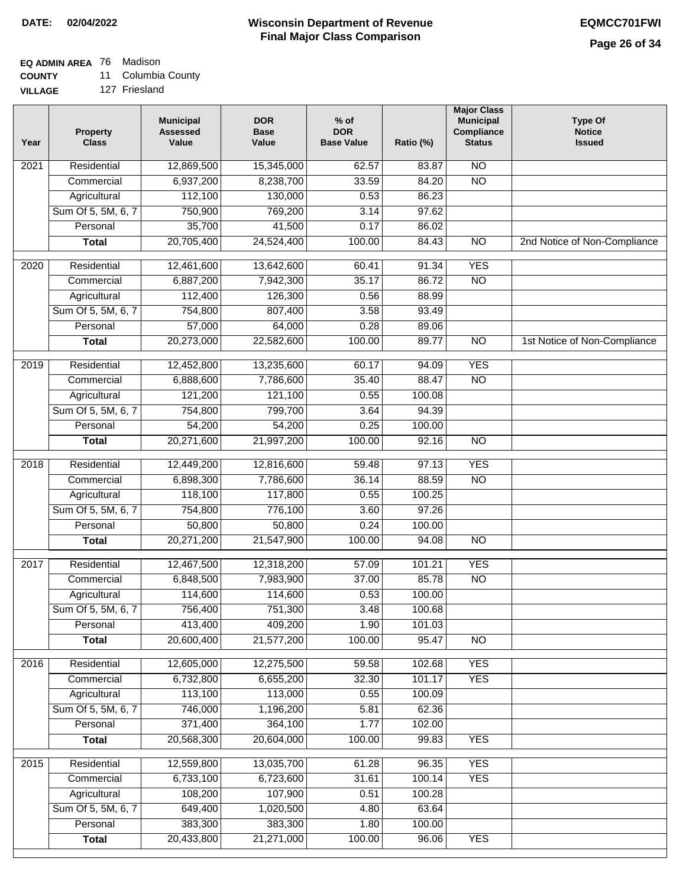### **EQ ADMIN AREA** 76 Madison

**COUNTY** 11 Columbia County

**VILLAGE** 127 Friesland

| Year              | <b>Property</b><br><b>Class</b> | <b>Municipal</b><br><b>Assessed</b><br>Value | <b>DOR</b><br><b>Base</b><br>Value | $%$ of<br><b>DOR</b><br><b>Base Value</b> | Ratio (%) | <b>Major Class</b><br><b>Municipal</b><br>Compliance<br><b>Status</b> | <b>Type Of</b><br><b>Notice</b><br><b>Issued</b> |
|-------------------|---------------------------------|----------------------------------------------|------------------------------------|-------------------------------------------|-----------|-----------------------------------------------------------------------|--------------------------------------------------|
| $\overline{202}1$ | Residential                     | 12,869,500                                   | 15,345,000                         | 62.57                                     | 83.87     | N <sub>O</sub>                                                        |                                                  |
|                   | Commercial                      | 6,937,200                                    | 8,238,700                          | 33.59                                     | 84.20     | $\overline{NO}$                                                       |                                                  |
|                   | Agricultural                    | 112,100                                      | 130,000                            | 0.53                                      | 86.23     |                                                                       |                                                  |
|                   | Sum Of 5, 5M, 6, 7              | 750,900                                      | 769,200                            | 3.14                                      | 97.62     |                                                                       |                                                  |
|                   | Personal                        | 35,700                                       | 41,500                             | 0.17                                      | 86.02     |                                                                       |                                                  |
|                   | <b>Total</b>                    | 20,705,400                                   | 24,524,400                         | 100.00                                    | 84.43     | $\overline{NO}$                                                       | 2nd Notice of Non-Compliance                     |
| $\overline{2020}$ | Residential                     | 12,461,600                                   | 13,642,600                         | 60.41                                     | 91.34     | <b>YES</b>                                                            |                                                  |
|                   | Commercial                      | 6,887,200                                    | 7,942,300                          | 35.17                                     | 86.72     | $\overline{NO}$                                                       |                                                  |
|                   | Agricultural                    | 112,400                                      | 126,300                            | 0.56                                      | 88.99     |                                                                       |                                                  |
|                   | Sum Of 5, 5M, 6, 7              | 754,800                                      | 807,400                            | 3.58                                      | 93.49     |                                                                       |                                                  |
|                   | Personal                        | 57,000                                       | 64,000                             | 0.28                                      | 89.06     |                                                                       |                                                  |
|                   | <b>Total</b>                    | 20,273,000                                   | 22,582,600                         | 100.00                                    | 89.77     | $\overline{NO}$                                                       | 1st Notice of Non-Compliance                     |
| 2019              | Residential                     | 12,452,800                                   | 13,235,600                         | 60.17                                     | 94.09     | <b>YES</b>                                                            |                                                  |
|                   | Commercial                      | 6,888,600                                    | 7,786,600                          | 35.40                                     | 88.47     | $\overline{NO}$                                                       |                                                  |
|                   | Agricultural                    | 121,200                                      | 121,100                            | 0.55                                      | 100.08    |                                                                       |                                                  |
|                   | Sum Of 5, 5M, 6, 7              | 754,800                                      | 799,700                            | 3.64                                      | 94.39     |                                                                       |                                                  |
|                   | Personal                        | 54,200                                       | 54,200                             | 0.25                                      | 100.00    |                                                                       |                                                  |
|                   | <b>Total</b>                    | 20,271,600                                   | 21,997,200                         | 100.00                                    | 92.16     | $\overline{NO}$                                                       |                                                  |
| 2018              | Residential                     | 12,449,200                                   | 12,816,600                         | 59.48                                     | 97.13     | <b>YES</b>                                                            |                                                  |
|                   | Commercial                      | 6,898,300                                    | 7,786,600                          | 36.14                                     | 88.59     | <b>NO</b>                                                             |                                                  |
|                   | Agricultural                    | 118,100                                      | 117,800                            | 0.55                                      | 100.25    |                                                                       |                                                  |
|                   | Sum Of 5, 5M, 6, 7              | 754,800                                      | 776,100                            | 3.60                                      | 97.26     |                                                                       |                                                  |
|                   | Personal                        | 50,800                                       | 50,800                             | 0.24                                      | 100.00    |                                                                       |                                                  |
|                   | <b>Total</b>                    | 20,271,200                                   | 21,547,900                         | 100.00                                    | 94.08     | $\overline{10}$                                                       |                                                  |
| 2017              | Residential                     | 12,467,500                                   | 12,318,200                         | 57.09                                     | 101.21    | <b>YES</b>                                                            |                                                  |
|                   | Commercial                      | 6,848,500                                    | 7,983,900                          | 37.00                                     | 85.78     | $\overline{N}$                                                        |                                                  |
|                   | Agricultural                    | 114,600                                      | 114,600                            | 0.53                                      | 100.00    |                                                                       |                                                  |
|                   | Sum Of 5, 5M, 6, 7              | 756,400                                      | 751,300                            | 3.48                                      | 100.68    |                                                                       |                                                  |
|                   | Personal                        | 413,400                                      | 409,200                            | 1.90                                      | 101.03    |                                                                       |                                                  |
|                   | <b>Total</b>                    | 20,600,400                                   | 21,577,200                         | 100.00                                    | 95.47     | <b>NO</b>                                                             |                                                  |
| 2016              | Residential                     | 12,605,000                                   | 12,275,500                         | 59.58                                     | 102.68    | <b>YES</b>                                                            |                                                  |
|                   | Commercial                      | 6,732,800                                    | 6,655,200                          | 32.30                                     | 101.17    | <b>YES</b>                                                            |                                                  |
|                   | Agricultural                    | 113,100                                      | 113,000                            | 0.55                                      | 100.09    |                                                                       |                                                  |
|                   | Sum Of 5, 5M, 6, 7              | 746,000                                      | 1,196,200                          | 5.81                                      | 62.36     |                                                                       |                                                  |
|                   | Personal                        | 371,400                                      | 364,100                            | 1.77                                      | 102.00    |                                                                       |                                                  |
|                   | <b>Total</b>                    | 20,568,300                                   | 20,604,000                         | 100.00                                    | 99.83     | <b>YES</b>                                                            |                                                  |
| 2015              | Residential                     | 12,559,800                                   | 13,035,700                         | 61.28                                     | 96.35     | <b>YES</b>                                                            |                                                  |
|                   | Commercial                      | 6,733,100                                    | 6,723,600                          | 31.61                                     | 100.14    | <b>YES</b>                                                            |                                                  |
|                   | Agricultural                    | 108,200                                      | 107,900                            | 0.51                                      | 100.28    |                                                                       |                                                  |
|                   | Sum Of 5, 5M, 6, 7              | 649,400                                      | 1,020,500                          | 4.80                                      | 63.64     |                                                                       |                                                  |
|                   | Personal                        | 383,300                                      | 383,300                            | 1.80                                      | 100.00    |                                                                       |                                                  |
|                   | <b>Total</b>                    | 20,433,800                                   | 21,271,000                         | 100.00                                    | 96.06     | <b>YES</b>                                                            |                                                  |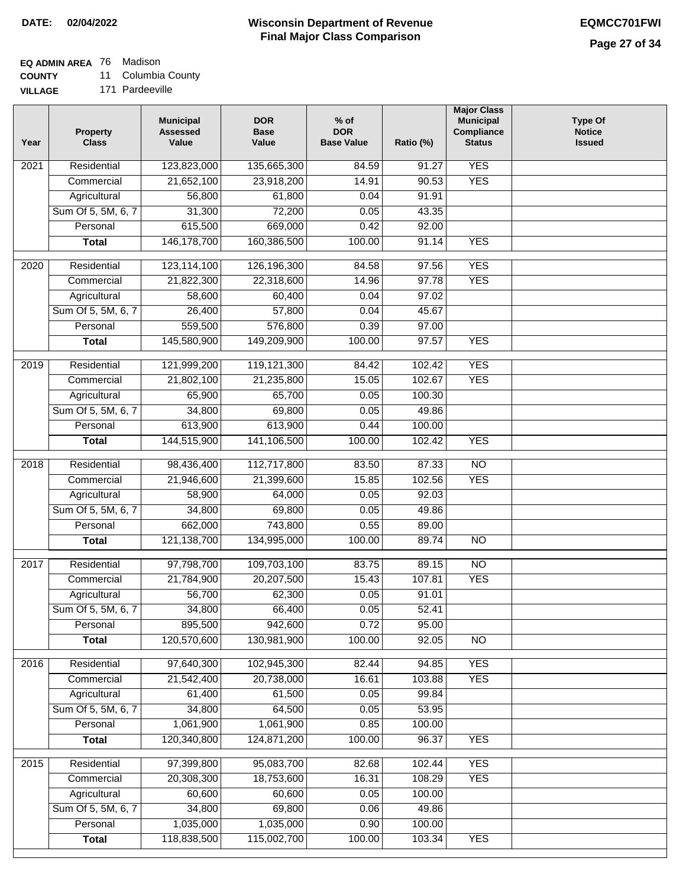## **EQ ADMIN AREA** 76 Madison

**COUNTY** 11 Columbia County

**VILLAGE** 171 Pardeeville

| Year | <b>Property</b><br><b>Class</b> | <b>Municipal</b><br><b>Assessed</b><br>Value | <b>DOR</b><br><b>Base</b><br>Value | $%$ of<br><b>DOR</b><br><b>Base Value</b> | Ratio (%) | <b>Major Class</b><br><b>Municipal</b><br>Compliance<br><b>Status</b> | <b>Type Of</b><br><b>Notice</b><br><b>Issued</b> |
|------|---------------------------------|----------------------------------------------|------------------------------------|-------------------------------------------|-----------|-----------------------------------------------------------------------|--------------------------------------------------|
| 2021 | Residential                     | 123,823,000                                  | 135,665,300                        | 84.59                                     | 91.27     | <b>YES</b>                                                            |                                                  |
|      | Commercial                      | 21,652,100                                   | 23,918,200                         | 14.91                                     | 90.53     | <b>YES</b>                                                            |                                                  |
|      | Agricultural                    | 56,800                                       | 61,800                             | 0.04                                      | 91.91     |                                                                       |                                                  |
|      | Sum Of 5, 5M, 6, 7              | 31,300                                       | 72,200                             | 0.05                                      | 43.35     |                                                                       |                                                  |
|      | Personal                        | 615,500                                      | 669,000                            | 0.42                                      | 92.00     |                                                                       |                                                  |
|      | <b>Total</b>                    | 146, 178, 700                                | 160,386,500                        | 100.00                                    | 91.14     | <b>YES</b>                                                            |                                                  |
| 2020 | Residential                     | 123,114,100                                  | 126,196,300                        | 84.58                                     | 97.56     | <b>YES</b>                                                            |                                                  |
|      | Commercial                      | 21,822,300                                   | 22,318,600                         | 14.96                                     | 97.78     | <b>YES</b>                                                            |                                                  |
|      | Agricultural                    | 58,600                                       | 60,400                             | 0.04                                      | 97.02     |                                                                       |                                                  |
|      | Sum Of 5, 5M, 6, 7              | 26,400                                       | 57,800                             | 0.04                                      | 45.67     |                                                                       |                                                  |
|      | Personal                        | 559,500                                      | 576,800                            | 0.39                                      | 97.00     |                                                                       |                                                  |
|      | <b>Total</b>                    | 145,580,900                                  | 149,209,900                        | 100.00                                    | 97.57     | <b>YES</b>                                                            |                                                  |
| 2019 | Residential                     | 121,999,200                                  | 119,121,300                        | 84.42                                     | 102.42    | <b>YES</b>                                                            |                                                  |
|      | Commercial                      | 21,802,100                                   | 21,235,800                         | 15.05                                     | 102.67    | <b>YES</b>                                                            |                                                  |
|      | Agricultural                    | 65,900                                       | 65,700                             | 0.05                                      | 100.30    |                                                                       |                                                  |
|      | Sum Of 5, 5M, 6, 7              | 34,800                                       | 69,800                             | 0.05                                      | 49.86     |                                                                       |                                                  |
|      | Personal                        | 613,900                                      | 613,900                            | 0.44                                      | 100.00    |                                                                       |                                                  |
|      | <b>Total</b>                    | 144,515,900                                  | 141,106,500                        | 100.00                                    | 102.42    | <b>YES</b>                                                            |                                                  |
| 2018 | Residential                     | 98,436,400                                   | 112,717,800                        | 83.50                                     | 87.33     | $\overline{NO}$                                                       |                                                  |
|      | Commercial                      | 21,946,600                                   | 21,399,600                         | 15.85                                     | 102.56    | <b>YES</b>                                                            |                                                  |
|      | Agricultural                    | 58,900                                       | 64,000                             | 0.05                                      | 92.03     |                                                                       |                                                  |
|      | Sum Of 5, 5M, 6, 7              | 34,800                                       | 69,800                             | 0.05                                      | 49.86     |                                                                       |                                                  |
|      | Personal                        | 662,000                                      | 743,800                            | 0.55                                      | 89.00     |                                                                       |                                                  |
|      | <b>Total</b>                    | 121,138,700                                  | 134,995,000                        | 100.00                                    | 89.74     | <b>NO</b>                                                             |                                                  |
|      |                                 |                                              |                                    |                                           |           |                                                                       |                                                  |
| 2017 | Residential                     | 97,798,700                                   | 109,703,100                        | 83.75                                     | 89.15     | $\overline{NO}$                                                       |                                                  |
|      | Commercial                      | 21,784,900                                   | 20,207,500                         | 15.43                                     | 107.81    | <b>YES</b>                                                            |                                                  |
|      | Agricultural                    | 56,700                                       | 62,300                             | 0.05                                      | 91.01     |                                                                       |                                                  |
|      | Sum Of 5, 5M, 6, 7              | 34,800                                       | 66,400                             | 0.05                                      | 52.41     |                                                                       |                                                  |
|      | Personal                        | 895,500                                      | 942,600                            | 0.72                                      | 95.00     |                                                                       |                                                  |
|      | <b>Total</b>                    | 120,570,600                                  | 130,981,900                        | 100.00                                    | 92.05     | <b>NO</b>                                                             |                                                  |
| 2016 | Residential                     | 97,640,300                                   | 102,945,300                        | 82.44                                     | 94.85     | <b>YES</b>                                                            |                                                  |
|      | Commercial                      | 21,542,400                                   | 20,738,000                         | 16.61                                     | 103.88    | <b>YES</b>                                                            |                                                  |
|      | Agricultural                    | 61,400                                       | 61,500                             | 0.05                                      | 99.84     |                                                                       |                                                  |
|      | Sum Of 5, 5M, 6, 7              | 34,800                                       | 64,500                             | 0.05                                      | 53.95     |                                                                       |                                                  |
|      | Personal                        | 1,061,900                                    | 1,061,900                          | 0.85                                      | 100.00    |                                                                       |                                                  |
|      | <b>Total</b>                    | 120,340,800                                  | 124,871,200                        | 100.00                                    | 96.37     | <b>YES</b>                                                            |                                                  |
| 2015 | Residential                     | 97,399,800                                   | 95,083,700                         | 82.68                                     | 102.44    | <b>YES</b>                                                            |                                                  |
|      | Commercial                      | 20,308,300                                   | 18,753,600                         | 16.31                                     | 108.29    | <b>YES</b>                                                            |                                                  |
|      | Agricultural                    | 60,600                                       | 60,600                             | 0.05                                      | 100.00    |                                                                       |                                                  |
|      | Sum Of 5, 5M, 6, 7              | 34,800                                       | 69,800                             | 0.06                                      | 49.86     |                                                                       |                                                  |
|      | Personal                        | 1,035,000                                    | 1,035,000                          | 0.90                                      | 100.00    |                                                                       |                                                  |
|      | <b>Total</b>                    | 118,838,500                                  | 115,002,700                        | 100.00                                    | 103.34    | <b>YES</b>                                                            |                                                  |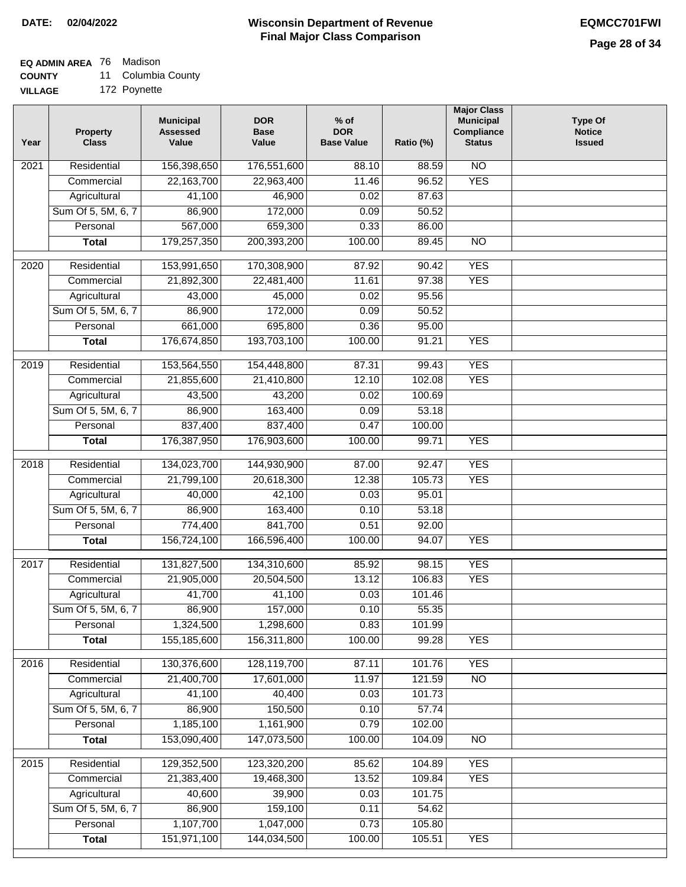## **EQ ADMIN AREA** 76 Madison

**COUNTY** 11 Columbia County

**VILLAGE** 172 Poynette

| Year              | <b>Property</b><br><b>Class</b> | <b>Municipal</b><br><b>Assessed</b><br>Value | <b>DOR</b><br><b>Base</b><br>Value | $%$ of<br><b>DOR</b><br><b>Base Value</b> | Ratio (%) | <b>Major Class</b><br><b>Municipal</b><br>Compliance<br><b>Status</b> | <b>Type Of</b><br><b>Notice</b><br><b>Issued</b> |
|-------------------|---------------------------------|----------------------------------------------|------------------------------------|-------------------------------------------|-----------|-----------------------------------------------------------------------|--------------------------------------------------|
| $\overline{202}1$ | Residential                     | 156,398,650                                  | 176,551,600                        | 88.10                                     | 88.59     | $\overline{NO}$                                                       |                                                  |
|                   | Commercial                      | 22,163,700                                   | 22,963,400                         | 11.46                                     | 96.52     | <b>YES</b>                                                            |                                                  |
|                   | Agricultural                    | 41,100                                       | 46,900                             | 0.02                                      | 87.63     |                                                                       |                                                  |
|                   | Sum Of 5, 5M, 6, 7              | 86,900                                       | 172,000                            | 0.09                                      | 50.52     |                                                                       |                                                  |
|                   | Personal                        | 567,000                                      | 659,300                            | 0.33                                      | 86.00     |                                                                       |                                                  |
|                   | <b>Total</b>                    | 179,257,350                                  | 200,393,200                        | 100.00                                    | 89.45     | <b>NO</b>                                                             |                                                  |
| 2020              | Residential                     | 153,991,650                                  | 170,308,900                        | 87.92                                     | 90.42     | <b>YES</b>                                                            |                                                  |
|                   | Commercial                      | 21,892,300                                   | 22,481,400                         | 11.61                                     | 97.38     | <b>YES</b>                                                            |                                                  |
|                   | Agricultural                    | 43,000                                       | 45,000                             | 0.02                                      | 95.56     |                                                                       |                                                  |
|                   | Sum Of 5, 5M, 6, 7              | 86,900                                       | 172,000                            | 0.09                                      | 50.52     |                                                                       |                                                  |
|                   | Personal                        | 661,000                                      | 695,800                            | 0.36                                      | 95.00     |                                                                       |                                                  |
|                   | <b>Total</b>                    | 176,674,850                                  | 193,703,100                        | 100.00                                    | 91.21     | <b>YES</b>                                                            |                                                  |
| 2019              | Residential                     | 153,564,550                                  | 154,448,800                        | 87.31                                     | 99.43     | <b>YES</b>                                                            |                                                  |
|                   | Commercial                      | 21,855,600                                   | 21,410,800                         | 12.10                                     | 102.08    | <b>YES</b>                                                            |                                                  |
|                   | Agricultural                    | 43,500                                       | 43,200                             | 0.02                                      | 100.69    |                                                                       |                                                  |
|                   | Sum Of 5, 5M, 6, 7              | 86,900                                       | 163,400                            | 0.09                                      | 53.18     |                                                                       |                                                  |
|                   | Personal                        | 837,400                                      | 837,400                            | 0.47                                      | 100.00    |                                                                       |                                                  |
|                   | <b>Total</b>                    | 176,387,950                                  | 176,903,600                        | 100.00                                    | 99.71     | <b>YES</b>                                                            |                                                  |
|                   |                                 |                                              |                                    |                                           |           |                                                                       |                                                  |
| 2018              | Residential                     | 134,023,700                                  | 144,930,900                        | 87.00                                     | 92.47     | <b>YES</b>                                                            |                                                  |
|                   | Commercial                      | 21,799,100                                   | 20,618,300                         | 12.38                                     | 105.73    | <b>YES</b>                                                            |                                                  |
|                   | Agricultural                    | 40,000                                       | 42,100                             | 0.03                                      | 95.01     |                                                                       |                                                  |
|                   | Sum Of 5, 5M, 6, 7              | 86,900                                       | 163,400                            | 0.10                                      | 53.18     |                                                                       |                                                  |
|                   | Personal                        | 774,400                                      | 841,700                            | 0.51                                      | 92.00     |                                                                       |                                                  |
|                   | <b>Total</b>                    | 156,724,100                                  | 166,596,400                        | 100.00                                    | 94.07     | <b>YES</b>                                                            |                                                  |
| 2017              | Residential                     | 131,827,500                                  | 134,310,600                        | 85.92                                     | 98.15     | <b>YES</b>                                                            |                                                  |
|                   | Commercial                      | 21,905,000                                   | 20,504,500                         | 13.12                                     | 106.83    | <b>YES</b>                                                            |                                                  |
|                   | Agricultural                    | 41,700                                       | 41,100                             | 0.03                                      | 101.46    |                                                                       |                                                  |
|                   | Sum Of 5, 5M, 6, 7              | 86,900                                       | 157,000                            | 0.10                                      | 55.35     |                                                                       |                                                  |
|                   | Personal                        | 1,324,500                                    | 1,298,600                          | 0.83                                      | 101.99    |                                                                       |                                                  |
|                   | <b>Total</b>                    | 155,185,600                                  | 156,311,800                        | 100.00                                    | 99.28     | <b>YES</b>                                                            |                                                  |
| 2016              | Residential                     | 130,376,600                                  | 128,119,700                        | 87.11                                     | 101.76    | <b>YES</b>                                                            |                                                  |
|                   | Commercial                      | 21,400,700                                   | 17,601,000                         | 11.97                                     | 121.59    | $\overline{NO}$                                                       |                                                  |
|                   | Agricultural                    | 41,100                                       | 40,400                             | 0.03                                      | 101.73    |                                                                       |                                                  |
|                   | Sum Of 5, 5M, 6, 7              | 86,900                                       | 150,500                            | 0.10                                      | 57.74     |                                                                       |                                                  |
|                   | Personal                        | 1,185,100                                    | 1,161,900                          | 0.79                                      | 102.00    |                                                                       |                                                  |
|                   | <b>Total</b>                    | 153,090,400                                  | 147,073,500                        | 100.00                                    | 104.09    | $\overline{NO}$                                                       |                                                  |
| 2015              | Residential                     | 129,352,500                                  | 123,320,200                        | 85.62                                     | 104.89    | <b>YES</b>                                                            |                                                  |
|                   | Commercial                      | 21,383,400                                   | 19,468,300                         | 13.52                                     | 109.84    | <b>YES</b>                                                            |                                                  |
|                   | Agricultural                    | 40,600                                       | 39,900                             | 0.03                                      | 101.75    |                                                                       |                                                  |
|                   | Sum Of 5, 5M, 6, 7              | 86,900                                       | 159,100                            | 0.11                                      | 54.62     |                                                                       |                                                  |
|                   | Personal                        | 1,107,700                                    | 1,047,000                          | 0.73                                      | 105.80    |                                                                       |                                                  |
|                   | <b>Total</b>                    | 151,971,100                                  | 144,034,500                        | 100.00                                    | 105.51    | <b>YES</b>                                                            |                                                  |
|                   |                                 |                                              |                                    |                                           |           |                                                                       |                                                  |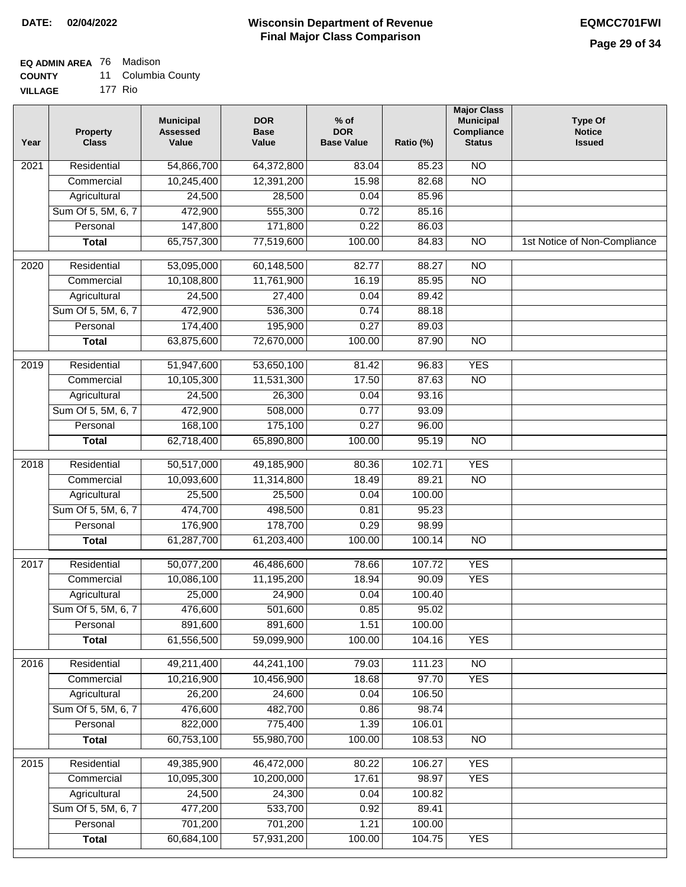### **EQ ADMIN AREA** 76 Madison

**COUNTY** 11 Columbia County

**VILLAGE** 177 Rio

| Year             | <b>Property</b><br><b>Class</b> | <b>Municipal</b><br><b>Assessed</b><br>Value | <b>DOR</b><br><b>Base</b><br>Value | $%$ of<br><b>DOR</b><br><b>Base Value</b> | Ratio (%) | <b>Major Class</b><br><b>Municipal</b><br>Compliance<br><b>Status</b> | <b>Type Of</b><br><b>Notice</b><br><b>Issued</b> |
|------------------|---------------------------------|----------------------------------------------|------------------------------------|-------------------------------------------|-----------|-----------------------------------------------------------------------|--------------------------------------------------|
| 2021             | Residential                     | 54,866,700                                   | 64,372,800                         | 83.04                                     | 85.23     | <b>NO</b>                                                             |                                                  |
|                  | Commercial                      | 10,245,400                                   | 12,391,200                         | 15.98                                     | 82.68     | $\overline{NO}$                                                       |                                                  |
|                  | Agricultural                    | 24,500                                       | 28,500                             | 0.04                                      | 85.96     |                                                                       |                                                  |
|                  | Sum Of 5, 5M, 6, 7              | 472,900                                      | 555,300                            | 0.72                                      | 85.16     |                                                                       |                                                  |
|                  | Personal                        | 147,800                                      | 171,800                            | 0.22                                      | 86.03     |                                                                       |                                                  |
|                  | <b>Total</b>                    | 65,757,300                                   | 77,519,600                         | 100.00                                    | 84.83     | $\overline{NO}$                                                       | 1st Notice of Non-Compliance                     |
| $\frac{1}{2020}$ | Residential                     | 53,095,000                                   | 60,148,500                         | 82.77                                     | 88.27     | NO                                                                    |                                                  |
|                  | Commercial                      | 10,108,800                                   | 11,761,900                         | 16.19                                     | 85.95     | $\overline{NO}$                                                       |                                                  |
|                  | Agricultural                    | 24,500                                       | 27,400                             | 0.04                                      | 89.42     |                                                                       |                                                  |
|                  | Sum Of 5, 5M, 6, 7              | 472,900                                      | 536,300                            | 0.74                                      | 88.18     |                                                                       |                                                  |
|                  | Personal                        | 174,400                                      | 195,900                            | 0.27                                      | 89.03     |                                                                       |                                                  |
|                  | <b>Total</b>                    | 63,875,600                                   | 72,670,000                         | 100.00                                    | 87.90     | <b>NO</b>                                                             |                                                  |
| 2019             | Residential                     | 51,947,600                                   | 53,650,100                         | 81.42                                     | 96.83     | <b>YES</b>                                                            |                                                  |
|                  | Commercial                      | 10,105,300                                   | 11,531,300                         | 17.50                                     | 87.63     | $\overline{NO}$                                                       |                                                  |
|                  | Agricultural                    | 24,500                                       | 26,300                             | 0.04                                      | 93.16     |                                                                       |                                                  |
|                  | Sum Of 5, 5M, 6, 7              | 472,900                                      | 508,000                            | 0.77                                      | 93.09     |                                                                       |                                                  |
|                  | Personal                        | 168,100                                      | 175,100                            | 0.27                                      | 96.00     |                                                                       |                                                  |
|                  | Total                           | 62,718,400                                   | 65,890,800                         | 100.00                                    | 95.19     | $\overline{NO}$                                                       |                                                  |
| 2018             | Residential                     | 50,517,000                                   | 49,185,900                         | 80.36                                     | 102.71    | <b>YES</b>                                                            |                                                  |
|                  | Commercial                      | 10,093,600                                   | 11,314,800                         | 18.49                                     | 89.21     | <b>NO</b>                                                             |                                                  |
|                  | Agricultural                    | 25,500                                       | 25,500                             | 0.04                                      | 100.00    |                                                                       |                                                  |
|                  | Sum Of 5, 5M, 6, 7              | 474,700                                      | 498,500                            | 0.81                                      | 95.23     |                                                                       |                                                  |
|                  | Personal                        | 176,900                                      | 178,700                            | 0.29                                      | 98.99     |                                                                       |                                                  |
|                  | <b>Total</b>                    | 61,287,700                                   | 61,203,400                         | 100.00                                    | 100.14    | $\overline{NO}$                                                       |                                                  |
| 2017             | Residential                     | 50,077,200                                   | 46,486,600                         | 78.66                                     | 107.72    | <b>YES</b>                                                            |                                                  |
|                  | Commercial                      | 10,086,100                                   | 11,195,200                         | 18.94                                     | 90.09     | <b>YES</b>                                                            |                                                  |
|                  | Agricultural                    | 25,000                                       | 24,900                             | 0.04                                      | 100.40    |                                                                       |                                                  |
|                  | Sum Of 5, 5M, 6, 7              | 476,600                                      | 501,600                            | 0.85                                      | 95.02     |                                                                       |                                                  |
|                  | Personal                        | 891,600                                      | 891,600                            | 1.51                                      | 100.00    |                                                                       |                                                  |
|                  | <b>Total</b>                    | 61,556,500                                   | 59,099,900                         | 100.00                                    | 104.16    | <b>YES</b>                                                            |                                                  |
| 2016             | Residential                     | 49,211,400                                   | 44,241,100                         | 79.03                                     | 111.23    | N <sub>O</sub>                                                        |                                                  |
|                  | Commercial                      | 10,216,900                                   | 10,456,900                         | 18.68                                     | 97.70     | <b>YES</b>                                                            |                                                  |
|                  | Agricultural                    | 26,200                                       | 24,600                             | 0.04                                      | 106.50    |                                                                       |                                                  |
|                  | Sum Of 5, 5M, 6, 7              | 476,600                                      | 482,700                            | 0.86                                      | 98.74     |                                                                       |                                                  |
|                  | Personal                        | 822,000                                      | 775,400                            | 1.39                                      | 106.01    |                                                                       |                                                  |
|                  | <b>Total</b>                    | 60,753,100                                   | 55,980,700                         | 100.00                                    | 108.53    | $\overline{NO}$                                                       |                                                  |
| 2015             | Residential                     | 49,385,900                                   | 46,472,000                         | 80.22                                     | 106.27    | <b>YES</b>                                                            |                                                  |
|                  | Commercial                      | 10,095,300                                   | 10,200,000                         | 17.61                                     | 98.97     | <b>YES</b>                                                            |                                                  |
|                  | Agricultural                    | 24,500                                       | 24,300                             | 0.04                                      | 100.82    |                                                                       |                                                  |
|                  | Sum Of 5, 5M, 6, 7              | 477,200                                      | 533,700                            | 0.92                                      | 89.41     |                                                                       |                                                  |
|                  | Personal                        | 701,200                                      | 701,200                            | 1.21                                      | 100.00    |                                                                       |                                                  |
|                  | <b>Total</b>                    | 60,684,100                                   | 57,931,200                         | 100.00                                    | 104.75    | <b>YES</b>                                                            |                                                  |
|                  |                                 |                                              |                                    |                                           |           |                                                                       |                                                  |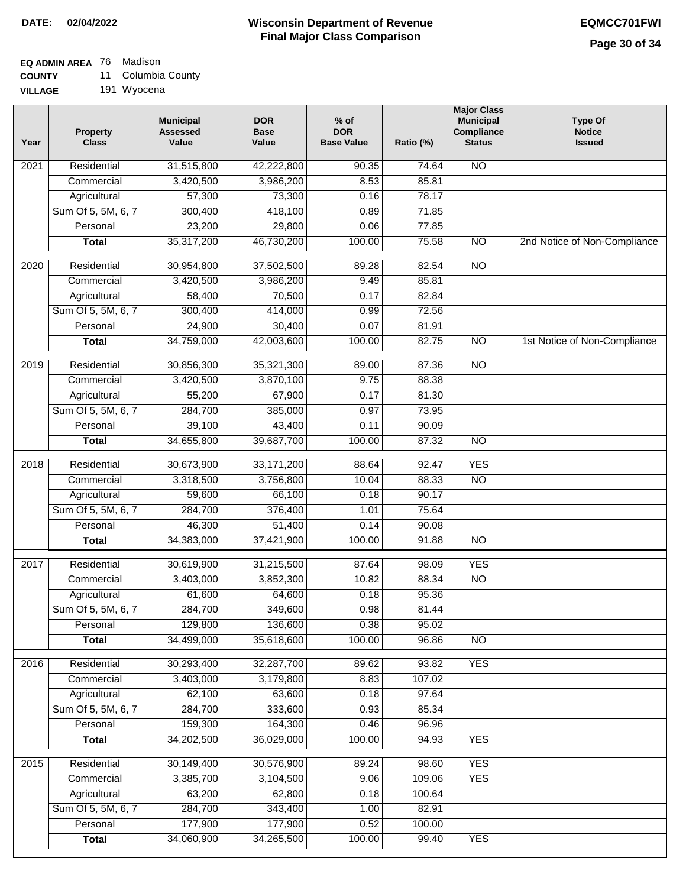### **EQ ADMIN AREA** 76 Madison

**COUNTY** 11 Columbia County

| 191 Wyocena |
|-------------|
|             |

| Year | <b>Property</b><br><b>Class</b> | <b>Municipal</b><br><b>Assessed</b><br>Value | <b>DOR</b><br><b>Base</b><br>Value | $%$ of<br><b>DOR</b><br><b>Base Value</b> | Ratio (%) | <b>Major Class</b><br><b>Municipal</b><br>Compliance<br><b>Status</b> | <b>Type Of</b><br><b>Notice</b><br><b>Issued</b> |
|------|---------------------------------|----------------------------------------------|------------------------------------|-------------------------------------------|-----------|-----------------------------------------------------------------------|--------------------------------------------------|
| 2021 | Residential                     | 31,515,800                                   | 42,222,800                         | 90.35                                     | 74.64     | <b>NO</b>                                                             |                                                  |
|      | Commercial                      | 3,420,500                                    | 3,986,200                          | 8.53                                      | 85.81     |                                                                       |                                                  |
|      | Agricultural                    | 57,300                                       | 73,300                             | 0.16                                      | 78.17     |                                                                       |                                                  |
|      | Sum Of 5, 5M, 6, 7              | 300,400                                      | 418,100                            | 0.89                                      | 71.85     |                                                                       |                                                  |
|      | Personal                        | 23,200                                       | 29,800                             | 0.06                                      | 77.85     |                                                                       |                                                  |
|      | <b>Total</b>                    | 35,317,200                                   | 46,730,200                         | 100.00                                    | 75.58     | $\overline{NO}$                                                       | 2nd Notice of Non-Compliance                     |
| 2020 | Residential                     | 30,954,800                                   | 37,502,500                         | 89.28                                     | 82.54     | $\overline{NO}$                                                       |                                                  |
|      | Commercial                      | 3,420,500                                    | 3,986,200                          | 9.49                                      | 85.81     |                                                                       |                                                  |
|      | Agricultural                    | 58,400                                       | 70,500                             | 0.17                                      | 82.84     |                                                                       |                                                  |
|      | Sum Of 5, 5M, 6, 7              | 300,400                                      | 414,000                            | 0.99                                      | 72.56     |                                                                       |                                                  |
|      | Personal                        | 24,900                                       | 30,400                             | 0.07                                      | 81.91     |                                                                       |                                                  |
|      | <b>Total</b>                    | 34,759,000                                   | 42,003,600                         | 100.00                                    | 82.75     | $\overline{NO}$                                                       | 1st Notice of Non-Compliance                     |
| 2019 | Residential                     | 30,856,300                                   | 35,321,300                         | 89.00                                     | 87.36     | $\overline{NO}$                                                       |                                                  |
|      | Commercial                      | 3,420,500                                    | 3,870,100                          | 9.75                                      | 88.38     |                                                                       |                                                  |
|      | Agricultural                    | 55,200                                       | 67,900                             | 0.17                                      | 81.30     |                                                                       |                                                  |
|      | Sum Of 5, 5M, 6, 7              | 284,700                                      | 385,000                            | 0.97                                      | 73.95     |                                                                       |                                                  |
|      | Personal                        | 39,100                                       | 43,400                             | 0.11                                      | 90.09     |                                                                       |                                                  |
|      | <b>Total</b>                    | 34,655,800                                   | 39,687,700                         | 100.00                                    | 87.32     | $\overline{NO}$                                                       |                                                  |
| 2018 | Residential                     | 30,673,900                                   | 33, 171, 200                       | 88.64                                     | 92.47     | <b>YES</b>                                                            |                                                  |
|      | Commercial                      | 3,318,500                                    | 3,756,800                          | 10.04                                     | 88.33     | <b>NO</b>                                                             |                                                  |
|      | Agricultural                    | 59,600                                       | 66,100                             | 0.18                                      | 90.17     |                                                                       |                                                  |
|      | Sum Of 5, 5M, 6, 7              | 284,700                                      | 376,400                            | 1.01                                      | 75.64     |                                                                       |                                                  |
|      | Personal                        | 46,300                                       | 51,400                             | 0.14                                      | 90.08     |                                                                       |                                                  |
|      | <b>Total</b>                    | 34,383,000                                   | 37,421,900                         | 100.00                                    | 91.88     | $\overline{NO}$                                                       |                                                  |
| 2017 | Residential                     | 30,619,900                                   | 31,215,500                         | 87.64                                     | 98.09     | <b>YES</b>                                                            |                                                  |
|      | Commercial                      | 3,403,000                                    | 3,852,300                          | 10.82                                     | 88.34     | $\overline{NO}$                                                       |                                                  |
|      | Agricultural                    | 61,600                                       | 64,600                             | 0.18                                      | 95.36     |                                                                       |                                                  |
|      | Sum Of 5, 5M, 6, 7              | 284,700                                      | 349,600                            | 0.98                                      | 81.44     |                                                                       |                                                  |
|      | Personal                        | 129,800                                      | 136,600                            | 0.38                                      | 95.02     |                                                                       |                                                  |
|      | <b>Total</b>                    | 34,499,000                                   | 35,618,600                         | 100.00                                    | 96.86     | <b>NO</b>                                                             |                                                  |
| 2016 | Residential                     | 30,293,400                                   | 32,287,700                         | 89.62                                     | 93.82     | <b>YES</b>                                                            |                                                  |
|      | Commercial                      | 3,403,000                                    | 3,179,800                          | 8.83                                      | 107.02    |                                                                       |                                                  |
|      | Agricultural                    | 62,100                                       | 63,600                             | 0.18                                      | 97.64     |                                                                       |                                                  |
|      | Sum Of 5, 5M, 6, 7              | 284,700                                      | 333,600                            | 0.93                                      | 85.34     |                                                                       |                                                  |
|      | Personal                        | 159,300                                      | 164,300                            | 0.46                                      | 96.96     |                                                                       |                                                  |
|      | <b>Total</b>                    | 34,202,500                                   | 36,029,000                         | 100.00                                    | 94.93     | <b>YES</b>                                                            |                                                  |
| 2015 | Residential                     | 30,149,400                                   | 30,576,900                         | 89.24                                     | 98.60     | <b>YES</b>                                                            |                                                  |
|      | Commercial                      | 3,385,700                                    | 3,104,500                          | 9.06                                      | 109.06    | <b>YES</b>                                                            |                                                  |
|      | Agricultural                    | 63,200                                       | 62,800                             | 0.18                                      | 100.64    |                                                                       |                                                  |
|      | Sum Of 5, 5M, 6, 7              | 284,700                                      | 343,400                            | 1.00                                      | 82.91     |                                                                       |                                                  |
|      | Personal                        | 177,900                                      | 177,900                            | 0.52                                      | 100.00    |                                                                       |                                                  |
|      | <b>Total</b>                    | 34,060,900                                   | 34,265,500                         | 100.00                                    | 99.40     | <b>YES</b>                                                            |                                                  |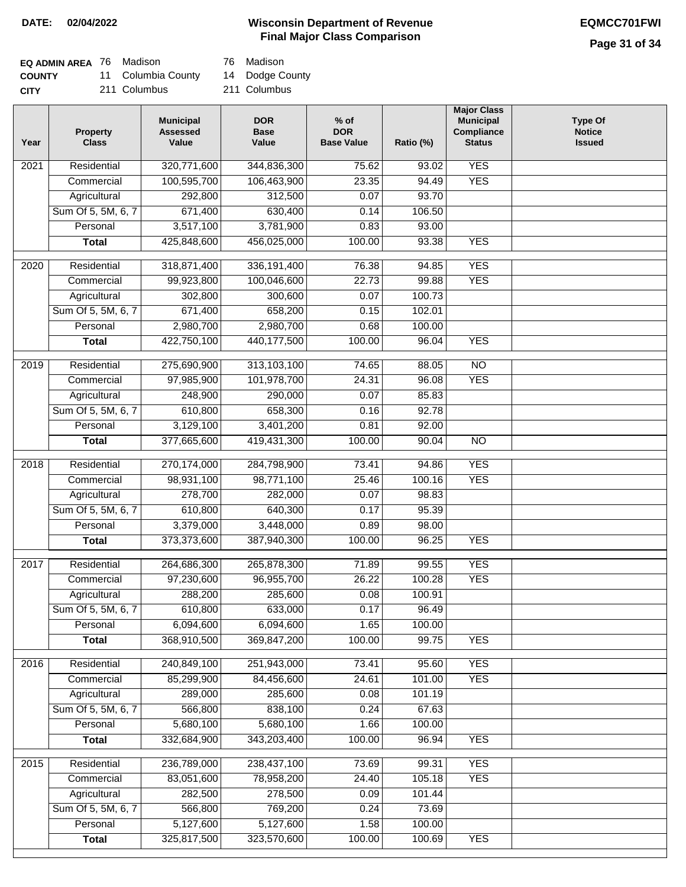### **Wisconsin Department of Revenue DATE: 02/04/2022 EQMCC701FWI Final Major Class Comparison**

**Major Class Municipal**

**Type Of** 

| <b>EQ ADMIN AREA</b> 76 Madison |                    | 76 Madison  |
|---------------------------------|--------------------|-------------|
| <b>COUNTY</b>                   | 11 Columbia County | 14 Dodge C  |
| <b>CITY</b>                     | 211 Columbus       | 211 Columbu |

| 1      | Columbia County<br>11 Columbus               | 14 | Dodge County<br>211 Columbus       |                                          |
|--------|----------------------------------------------|----|------------------------------------|------------------------------------------|
| ty     | <b>Municipal</b><br><b>Assessed</b><br>Value |    | <b>DOR</b><br><b>Base</b><br>Value | $%$ of<br><b>DOR</b><br><b>Base Valu</b> |
| ıtial  | 320,771,600                                  |    | 344,836,300                        | 7!                                       |
| المنحد | 100 FAP 700                                  |    | 100, 100, 000                      | C.                                       |

| Year              | Property<br><b>Class</b>           | <b>Assessed</b><br>Value | <b>Base</b><br>Value      | <b>DOR</b><br><b>Base Value</b> | Ratio (%)        | Compliance<br><b>Status</b> | <b>Notice</b><br><b>Issued</b> |
|-------------------|------------------------------------|--------------------------|---------------------------|---------------------------------|------------------|-----------------------------|--------------------------------|
| 2021              | Residential                        | 320,771,600              | 344,836,300               | 75.62                           | 93.02            | <b>YES</b>                  |                                |
|                   | Commercial                         | 100,595,700              | 106,463,900               | 23.35                           | 94.49            | <b>YES</b>                  |                                |
|                   | Agricultural                       | 292,800                  | 312,500                   | 0.07                            | 93.70            |                             |                                |
|                   | Sum Of 5, 5M, 6, 7                 | 671,400                  | 630,400                   | 0.14                            | 106.50           |                             |                                |
|                   | Personal                           | 3,517,100                | 3,781,900                 | 0.83                            | 93.00            |                             |                                |
|                   | <b>Total</b>                       | 425,848,600              | 456,025,000               | 100.00                          | 93.38            | <b>YES</b>                  |                                |
| $\overline{2020}$ | Residential                        | 318,871,400              | 336, 191, 400             | 76.38                           | 94.85            | <b>YES</b>                  |                                |
|                   | Commercial                         | 99,923,800               | 100,046,600               | 22.73                           | 99.88            | <b>YES</b>                  |                                |
|                   | Agricultural                       | 302,800                  | 300,600                   | 0.07                            | 100.73           |                             |                                |
|                   | Sum Of 5, 5M, 6, 7                 | 671,400                  | 658,200                   | 0.15                            | 102.01           |                             |                                |
|                   | Personal                           | 2,980,700                | 2,980,700                 | 0.68                            | 100.00           |                             |                                |
|                   | <b>Total</b>                       | 422,750,100              | 440,177,500               | 100.00                          | 96.04            | <b>YES</b>                  |                                |
| 2019              | Residential                        | 275,690,900              | 313,103,100               | 74.65                           | 88.05            | $\overline{NO}$             |                                |
|                   | Commercial                         | 97,985,900               | 101,978,700               | 24.31                           | 96.08            | <b>YES</b>                  |                                |
|                   | Agricultural                       | 248,900                  | 290,000                   | 0.07                            | 85.83            |                             |                                |
|                   | Sum Of 5, 5M, 6, 7                 | 610,800                  | 658,300                   | 0.16                            | 92.78            |                             |                                |
|                   | Personal                           | 3,129,100                | 3,401,200                 | 0.81                            | 92.00            |                             |                                |
|                   | <b>Total</b>                       | 377,665,600              | 419,431,300               | 100.00                          | 90.04            | $\overline{NO}$             |                                |
| 2018              | Residential                        | 270,174,000              | 284,798,900               | 73.41                           | 94.86            | <b>YES</b>                  |                                |
|                   | Commercial                         | 98,931,100               | 98,771,100                | 25.46                           | 100.16           | <b>YES</b>                  |                                |
|                   | Agricultural                       | 278,700                  | 282,000                   | 0.07                            | 98.83            |                             |                                |
|                   | Sum Of 5, 5M, 6, 7                 | 610,800                  | 640,300                   | 0.17                            | 95.39            |                             |                                |
|                   | Personal                           | 3,379,000                | 3,448,000                 | 0.89                            | 98.00            |                             |                                |
|                   | <b>Total</b>                       | 373,373,600              | 387,940,300               | 100.00                          | 96.25            | <b>YES</b>                  |                                |
|                   |                                    |                          |                           |                                 |                  |                             |                                |
| 2017              | Residential<br>Commercial          | 264,686,300              | 265,878,300<br>96,955,700 | 71.89                           | 99.55            | <b>YES</b>                  |                                |
|                   |                                    | 97,230,600<br>288,200    | 285,600                   | 26.22<br>0.08                   | 100.28<br>100.91 | <b>YES</b>                  |                                |
|                   | Agricultural<br>Sum Of 5, 5M, 6, 7 | 610,800                  | 633,000                   | 0.17                            | 96.49            |                             |                                |
|                   | Personal                           | 6,094,600                | 6,094,600                 | 1.65                            | 100.00           |                             |                                |
|                   | <b>Total</b>                       | 368,910,500              | 369,847,200               | 100.00                          | 99.75            | <b>YES</b>                  |                                |
|                   |                                    |                          |                           |                                 |                  |                             |                                |
| 2016              | Residential                        | 240,849,100              | 251,943,000               | 73.41                           | 95.60            | <b>YES</b>                  |                                |
|                   | Commercial                         | 85,299,900               | 84,456,600                | 24.61                           | 101.00           | <b>YES</b>                  |                                |
|                   | Agricultural                       | 289,000                  | 285,600                   | 0.08                            | 101.19           |                             |                                |
|                   | Sum Of 5, 5M, 6, 7                 | 566,800                  | 838,100                   | 0.24                            | 67.63            |                             |                                |
|                   | Personal                           | 5,680,100                | 5,680,100                 | 1.66                            | 100.00           |                             |                                |
|                   | <b>Total</b>                       | 332,684,900              | 343,203,400               | 100.00                          | 96.94            | <b>YES</b>                  |                                |
| 2015              | Residential                        | 236,789,000              | 238,437,100               | 73.69                           | 99.31            | <b>YES</b>                  |                                |
|                   | Commercial                         | 83,051,600               | 78,958,200                | 24.40                           | 105.18           | <b>YES</b>                  |                                |
|                   | Agricultural                       | 282,500                  | 278,500                   | 0.09                            | 101.44           |                             |                                |
|                   | Sum Of 5, 5M, 6, 7                 | 566,800                  | 769,200                   | 0.24                            | 73.69            |                             |                                |
|                   | Personal                           | 5,127,600                | 5,127,600                 | 1.58                            | 100.00           |                             |                                |
|                   | <b>Total</b>                       | 325,817,500              | 323,570,600               | 100.00                          | 100.69           | <b>YES</b>                  |                                |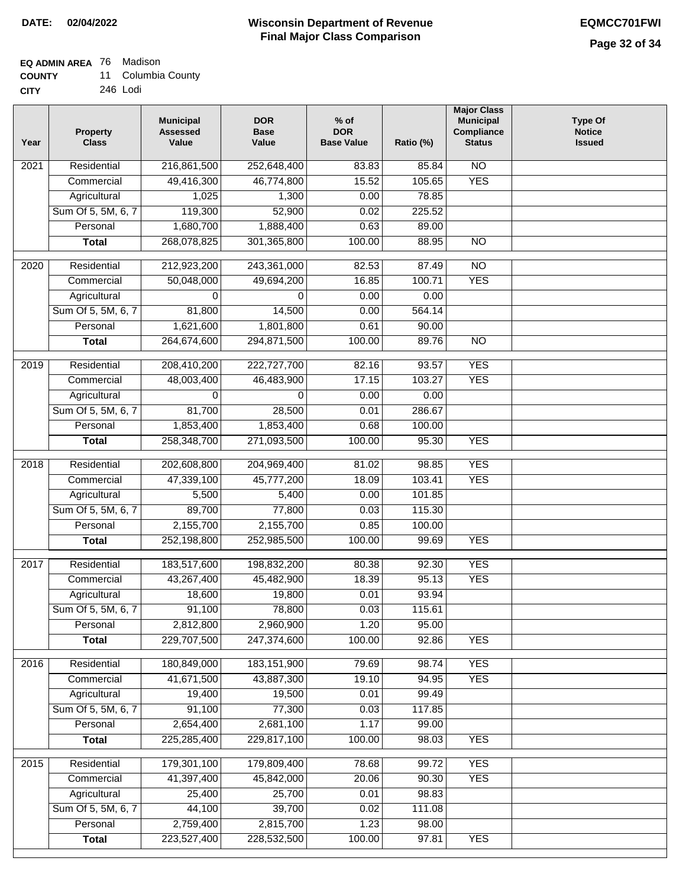### **EQ ADMIN AREA** 76 Madison

| <b>COUNTY</b> | 11 Columbia County |
|---------------|--------------------|
|---------------|--------------------|

**CITY** 246 Lodi

| Year | <b>Property</b><br><b>Class</b> | <b>Municipal</b><br><b>Assessed</b><br>Value | <b>DOR</b><br><b>Base</b><br>Value | $%$ of<br><b>DOR</b><br><b>Base Value</b> | Ratio (%) | <b>Major Class</b><br><b>Municipal</b><br>Compliance<br><b>Status</b> | <b>Type Of</b><br><b>Notice</b><br><b>Issued</b> |
|------|---------------------------------|----------------------------------------------|------------------------------------|-------------------------------------------|-----------|-----------------------------------------------------------------------|--------------------------------------------------|
| 2021 | Residential                     | 216,861,500                                  | 252,648,400                        | 83.83                                     | 85.84     | N <sub>O</sub>                                                        |                                                  |
|      | Commercial                      | 49,416,300                                   | 46,774,800                         | 15.52                                     | 105.65    | <b>YES</b>                                                            |                                                  |
|      | Agricultural                    | 1,025                                        | 1,300                              | 0.00                                      | 78.85     |                                                                       |                                                  |
|      | Sum Of 5, 5M, 6, 7              | 119,300                                      | 52,900                             | 0.02                                      | 225.52    |                                                                       |                                                  |
|      | Personal                        | 1,680,700                                    | 1,888,400                          | 0.63                                      | 89.00     |                                                                       |                                                  |
|      | <b>Total</b>                    | 268,078,825                                  | 301,365,800                        | 100.00                                    | 88.95     | $\overline{NO}$                                                       |                                                  |
| 2020 | Residential                     | 212,923,200                                  | 243,361,000                        | 82.53                                     | 87.49     | $\overline{NO}$                                                       |                                                  |
|      | Commercial                      | 50,048,000                                   | 49,694,200                         | 16.85                                     | 100.71    | <b>YES</b>                                                            |                                                  |
|      | Agricultural                    | 0                                            | $\mathbf 0$                        | 0.00                                      | 0.00      |                                                                       |                                                  |
|      | Sum Of 5, 5M, 6, 7              | 81,800                                       | 14,500                             | 0.00                                      | 564.14    |                                                                       |                                                  |
|      | Personal                        | 1,621,600                                    | 1,801,800                          | 0.61                                      | 90.00     |                                                                       |                                                  |
|      | <b>Total</b>                    | 264,674,600                                  | 294,871,500                        | 100.00                                    | 89.76     | $\overline{NO}$                                                       |                                                  |
| 2019 | Residential                     | 208,410,200                                  | 222,727,700                        | 82.16                                     | 93.57     | <b>YES</b>                                                            |                                                  |
|      | Commercial                      | 48,003,400                                   | 46,483,900                         | 17.15                                     | 103.27    | <b>YES</b>                                                            |                                                  |
|      | Agricultural                    | $\Omega$                                     | $\Omega$                           | 0.00                                      | 0.00      |                                                                       |                                                  |
|      | Sum Of 5, 5M, 6, 7              | 81,700                                       | 28,500                             | 0.01                                      | 286.67    |                                                                       |                                                  |
|      | Personal                        | 1,853,400                                    | 1,853,400                          | 0.68                                      | 100.00    |                                                                       |                                                  |
|      | <b>Total</b>                    | 258,348,700                                  | 271,093,500                        | 100.00                                    | 95.30     | <b>YES</b>                                                            |                                                  |
|      |                                 |                                              |                                    |                                           |           |                                                                       |                                                  |
| 2018 | Residential                     | 202,608,800                                  | 204,969,400                        | 81.02                                     | 98.85     | <b>YES</b>                                                            |                                                  |
|      | Commercial                      | 47,339,100                                   | 45,777,200                         | 18.09                                     | 103.41    | <b>YES</b>                                                            |                                                  |
|      | Agricultural                    | 5,500                                        | 5,400                              | 0.00                                      | 101.85    |                                                                       |                                                  |
|      | Sum Of 5, 5M, 6, 7              | 89,700                                       | 77,800                             | 0.03                                      | 115.30    |                                                                       |                                                  |
|      | Personal                        | 2,155,700                                    | 2,155,700                          | 0.85                                      | 100.00    |                                                                       |                                                  |
|      | <b>Total</b>                    | 252,198,800                                  | 252,985,500                        | 100.00                                    | 99.69     | <b>YES</b>                                                            |                                                  |
| 2017 | Residential                     | 183,517,600                                  | 198,832,200                        | 80.38                                     | 92.30     | <b>YES</b>                                                            |                                                  |
|      | Commercial                      | 43,267,400                                   | 45,482,900                         | 18.39                                     | 95.13     | <b>YES</b>                                                            |                                                  |
|      | Agricultural                    | 18,600                                       | 19,800                             | 0.01                                      | 93.94     |                                                                       |                                                  |
|      | Sum Of 5, 5M, 6, 7              | 91,100                                       | 78,800                             | 0.03                                      | 115.61    |                                                                       |                                                  |
|      | Personal                        | 2,812,800                                    | 2,960,900                          | 1.20                                      | 95.00     |                                                                       |                                                  |
|      | <b>Total</b>                    | 229,707,500                                  | 247,374,600                        | 100.00                                    | 92.86     | <b>YES</b>                                                            |                                                  |
| 2016 | Residential                     | 180,849,000                                  | 183, 151, 900                      | 79.69                                     | 98.74     | <b>YES</b>                                                            |                                                  |
|      | Commercial                      | 41,671,500                                   | 43,887,300                         | 19.10                                     | 94.95     | <b>YES</b>                                                            |                                                  |
|      | Agricultural                    | 19,400                                       | 19,500                             | 0.01                                      | 99.49     |                                                                       |                                                  |
|      | Sum Of 5, 5M, 6, 7              | 91,100                                       | 77,300                             | 0.03                                      | 117.85    |                                                                       |                                                  |
|      | Personal                        | 2,654,400                                    | 2,681,100                          | 1.17                                      | 99.00     |                                                                       |                                                  |
|      | <b>Total</b>                    | 225,285,400                                  | 229,817,100                        | 100.00                                    | 98.03     | <b>YES</b>                                                            |                                                  |
| 2015 | Residential                     | 179,301,100                                  | 179,809,400                        | 78.68                                     | 99.72     | <b>YES</b>                                                            |                                                  |
|      | Commercial                      | 41,397,400                                   | 45,842,000                         | 20.06                                     | 90.30     | <b>YES</b>                                                            |                                                  |
|      | Agricultural                    | 25,400                                       | 25,700                             | 0.01                                      | 98.83     |                                                                       |                                                  |
|      | Sum Of 5, 5M, 6, 7              | 44,100                                       | 39,700                             | 0.02                                      | 111.08    |                                                                       |                                                  |
|      | Personal                        | 2,759,400                                    | 2,815,700                          | 1.23                                      | 98.00     |                                                                       |                                                  |
|      | <b>Total</b>                    | 223,527,400                                  | 228,532,500                        | 100.00                                    | 97.81     | <b>YES</b>                                                            |                                                  |
|      |                                 |                                              |                                    |                                           |           |                                                                       |                                                  |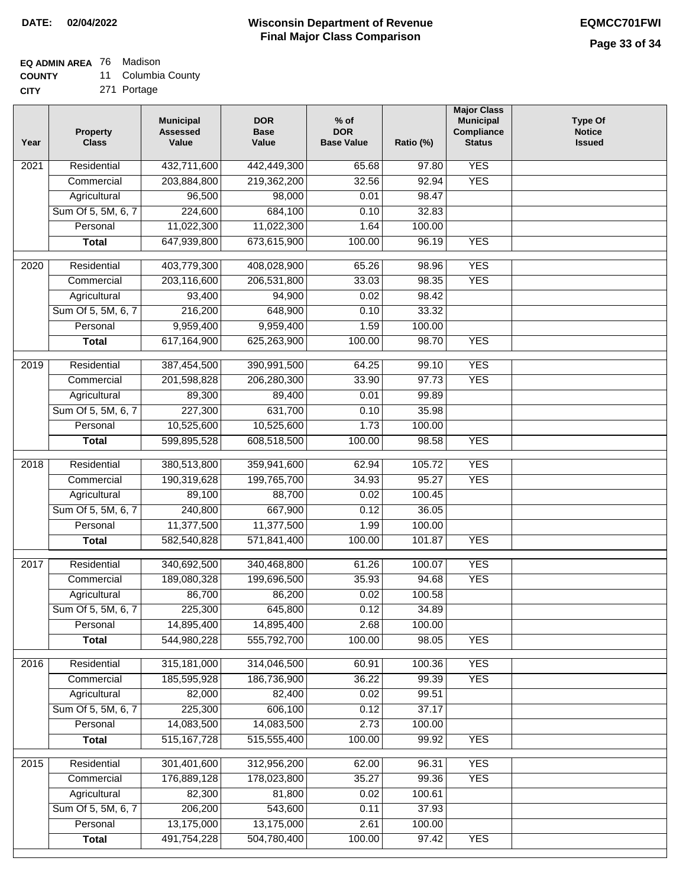**CITY**

#### **Wisconsin Department of Revenue Final Major Class Comparison DATE: 02/04/2022 EQMCC701FWI**

## **EQ ADMIN AREA** 76 Madison

**COUNTY** 11 Columbia County

271 Portage

| Year              | <b>Property</b><br><b>Class</b> | <b>Municipal</b><br><b>Assessed</b><br>Value | <b>DOR</b><br><b>Base</b><br>Value | $%$ of<br><b>DOR</b><br><b>Base Value</b> | Ratio (%)       | <b>Major Class</b><br><b>Municipal</b><br>Compliance<br><b>Status</b> | <b>Type Of</b><br><b>Notice</b><br><b>Issued</b> |
|-------------------|---------------------------------|----------------------------------------------|------------------------------------|-------------------------------------------|-----------------|-----------------------------------------------------------------------|--------------------------------------------------|
| $\overline{202}1$ | Residential                     | 432,711,600                                  | 442,449,300                        | 65.68                                     | 97.80           | <b>YES</b>                                                            |                                                  |
|                   | Commercial                      | 203,884,800                                  | 219,362,200                        | 32.56                                     | 92.94           | <b>YES</b>                                                            |                                                  |
|                   | Agricultural                    | 96,500                                       | 98,000                             | 0.01                                      | 98.47           |                                                                       |                                                  |
|                   | Sum Of 5, 5M, 6, 7              | 224,600                                      | 684,100                            | 0.10                                      | 32.83           |                                                                       |                                                  |
|                   | Personal                        | 11,022,300                                   | 11,022,300                         | 1.64                                      | 100.00          |                                                                       |                                                  |
|                   | <b>Total</b>                    | 647,939,800                                  | 673,615,900                        | 100.00                                    | 96.19           | <b>YES</b>                                                            |                                                  |
| $\overline{2020}$ | Residential                     | 403,779,300                                  | 408,028,900                        | 65.26                                     | 98.96           | <b>YES</b>                                                            |                                                  |
|                   | Commercial                      | 203,116,600                                  | 206,531,800                        | 33.03                                     | 98.35           | <b>YES</b>                                                            |                                                  |
|                   | Agricultural                    | 93,400                                       | 94,900                             | 0.02                                      | 98.42           |                                                                       |                                                  |
|                   | Sum Of 5, 5M, 6, 7              | 216,200                                      | 648,900                            | 0.10                                      | 33.32           |                                                                       |                                                  |
|                   | Personal                        | 9,959,400                                    | 9,959,400                          | 1.59                                      | 100.00          |                                                                       |                                                  |
|                   | <b>Total</b>                    | 617,164,900                                  | 625,263,900                        | 100.00                                    | 98.70           | <b>YES</b>                                                            |                                                  |
|                   | Residential                     | 387,454,500                                  | 390,991,500                        |                                           |                 | <b>YES</b>                                                            |                                                  |
| 2019              | Commercial                      | 201,598,828                                  |                                    | 64.25<br>33.90                            | 99.10<br>97.73  | <b>YES</b>                                                            |                                                  |
|                   | Agricultural                    | 89,300                                       | 206,280,300<br>89,400              | 0.01                                      | 99.89           |                                                                       |                                                  |
|                   | Sum Of 5, 5M, 6, 7              | 227,300                                      | 631,700                            | 0.10                                      | 35.98           |                                                                       |                                                  |
|                   | Personal                        | 10,525,600                                   | 10,525,600                         | 1.73                                      | 100.00          |                                                                       |                                                  |
|                   | <b>Total</b>                    | 599,895,528                                  | 608,518,500                        | 100.00                                    | 98.58           | <b>YES</b>                                                            |                                                  |
|                   |                                 |                                              |                                    |                                           |                 |                                                                       |                                                  |
| 2018              | Residential                     | 380,513,800                                  | 359,941,600                        | 62.94                                     | 105.72          | <b>YES</b>                                                            |                                                  |
|                   | Commercial                      | 190,319,628                                  | 199,765,700                        | 34.93                                     | 95.27           | <b>YES</b>                                                            |                                                  |
|                   | Agricultural                    | 89,100                                       | 88,700                             | 0.02                                      | 100.45          |                                                                       |                                                  |
|                   | Sum Of 5, 5M, 6, 7              | 240,800                                      | 667,900                            | 0.12                                      | 36.05           |                                                                       |                                                  |
|                   | Personal                        | 11,377,500                                   | 11,377,500                         | 1.99                                      | 100.00          |                                                                       |                                                  |
|                   | <b>Total</b>                    | 582,540,828                                  | 571,841,400                        | 100.00                                    | 101.87          | <b>YES</b>                                                            |                                                  |
| 2017              | Residential                     | 340,692,500                                  | 340,468,800                        | 61.26                                     | 100.07          | <b>YES</b>                                                            |                                                  |
|                   | Commercial                      | 189,080,328                                  | 199,696,500                        | 35.93                                     | 94.68           | <b>YES</b>                                                            |                                                  |
|                   | Agricultural                    | 86,700                                       | 86,200                             | 0.02                                      | 100.58          |                                                                       |                                                  |
|                   | Sum Of 5, 5M, 6, 7              | 225,300                                      | 645,800                            | 0.12                                      | 34.89           |                                                                       |                                                  |
|                   | Personal                        | 14,895,400                                   | 14,895,400                         | 2.68                                      | 100.00          |                                                                       |                                                  |
|                   | <b>Total</b>                    | 544,980,228                                  | 555,792,700                        | 100.00                                    | 98.05           | <b>YES</b>                                                            |                                                  |
| 2016              | Residential                     | 315, 181, 000                                | 314,046,500                        | 60.91                                     | 100.36          | <b>YES</b>                                                            |                                                  |
|                   | Commercial                      | 185,595,928                                  | 186,736,900                        | 36.22                                     | 99.39           | <b>YES</b>                                                            |                                                  |
|                   | Agricultural                    | 82,000                                       | 82,400                             | 0.02                                      | 99.51           |                                                                       |                                                  |
|                   | Sum Of 5, 5M, 6, 7              | 225,300                                      | 606,100                            | 0.12                                      | 37.17           |                                                                       |                                                  |
|                   | Personal                        | 14,083,500                                   | 14,083,500                         | 2.73                                      | 100.00          |                                                                       |                                                  |
|                   | <b>Total</b>                    | 515, 167, 728                                | 515,555,400                        | 100.00                                    | 99.92           | <b>YES</b>                                                            |                                                  |
|                   | Residential                     |                                              |                                    |                                           | 96.31           | <b>YES</b>                                                            |                                                  |
| 2015              |                                 | 301,401,600<br>176,889,128                   | 312,956,200                        | 62.00<br>35.27                            |                 | <b>YES</b>                                                            |                                                  |
|                   | Commercial<br>Agricultural      | 82,300                                       | 178,023,800<br>81,800              | 0.02                                      | 99.36<br>100.61 |                                                                       |                                                  |
|                   | Sum Of 5, 5M, 6, 7              | 206,200                                      | 543,600                            | 0.11                                      | 37.93           |                                                                       |                                                  |
|                   | Personal                        | 13,175,000                                   | 13,175,000                         | 2.61                                      | 100.00          |                                                                       |                                                  |
|                   | <b>Total</b>                    | 491,754,228                                  | 504,780,400                        | 100.00                                    | 97.42           | <b>YES</b>                                                            |                                                  |
|                   |                                 |                                              |                                    |                                           |                 |                                                                       |                                                  |